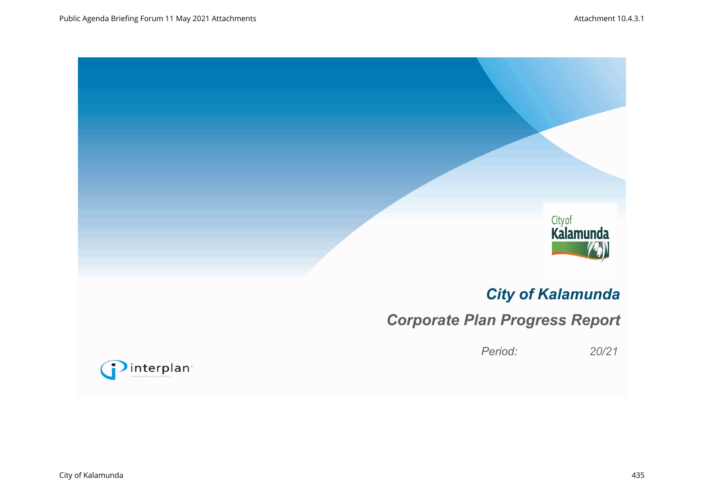

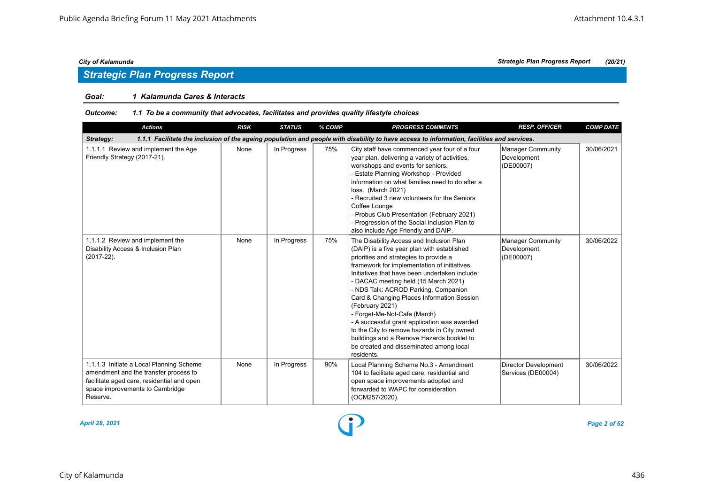# *Strategic Plan Progress Report*

### *Goal: 1 Kalamunda Cares & Interacts*

#### *Outcome: 1.1 To be a community that advocates, facilitates and provides quality lifestyle choices*

| <b>Actions</b>                                                                                                                                                                 | <b>RISK</b> | <b>STATUS</b> | % COMP | <b>PROGRESS COMMENTS</b>                                                                                                                                                                                                                                                                                                                                                                                                                                                                                                                                                                                                  | <b>RESP. OFFICER</b>                                 | <b>COMP DATE</b> |  |  |  |
|--------------------------------------------------------------------------------------------------------------------------------------------------------------------------------|-------------|---------------|--------|---------------------------------------------------------------------------------------------------------------------------------------------------------------------------------------------------------------------------------------------------------------------------------------------------------------------------------------------------------------------------------------------------------------------------------------------------------------------------------------------------------------------------------------------------------------------------------------------------------------------------|------------------------------------------------------|------------------|--|--|--|
| 1.1.1 Facilitate the inclusion of the ageing population and people with disability to have access to information, facilities and services.<br>Strategy:                        |             |               |        |                                                                                                                                                                                                                                                                                                                                                                                                                                                                                                                                                                                                                           |                                                      |                  |  |  |  |
| 1.1.1.1 Review and implement the Age<br>Friendly Strategy (2017-21).                                                                                                           | None        | In Progress   | 75%    | City staff have commenced year four of a four<br>year plan, delivering a variety of activities,<br>workshops and events for seniors.<br>- Estate Planning Workshop - Provided<br>information on what families need to do after a<br>loss. (March 2021)<br>- Recruited 3 new volunteers for the Seniors<br>Coffee Lounge<br>- Probus Club Presentation (February 2021)<br>- Progression of the Social Inclusion Plan to<br>also include Age Friendly and DAIP.                                                                                                                                                             | <b>Manager Community</b><br>Development<br>(DE00007) | 30/06/2021       |  |  |  |
| 1.1.1.2 Review and implement the<br>Disability Access & Inclusion Plan<br>$(2017-22)$ .                                                                                        | None        | In Progress   | 75%    | The Disability Access and Inclusion Plan<br>(DAIP) is a five year plan with established<br>priorities and strategies to provide a<br>framework for implementation of initiatives.<br>Initiatives that have been undertaken include:<br>- DACAC meeting held (15 March 2021)<br>- NDS Talk: ACROD Parking, Companion<br>Card & Changing Places Information Session<br>(February 2021)<br>- Forget-Me-Not-Cafe (March)<br>- A successful grant application was awarded<br>to the City to remove hazards in City owned<br>buildings and a Remove Hazards booklet to<br>be created and disseminated among local<br>residents. | <b>Manager Community</b><br>Development<br>(DE00007) | 30/06/2022       |  |  |  |
| 1.1.1.3 Initiate a Local Planning Scheme<br>amendment and the transfer process to<br>facilitate aged care, residential and open<br>space improvements to Cambridge<br>Reserve. | None        | In Progress   | 90%    | Local Planning Scheme No.3 - Amendment<br>104 to facilitate aged care, residential and<br>open space improvements adopted and<br>forwarded to WAPC for consideration<br>(OCM257/2020).                                                                                                                                                                                                                                                                                                                                                                                                                                    | Director Development<br>Services (DE00004)           | 30/06/2022       |  |  |  |

*April 28, 2021 Page 2 of 62*

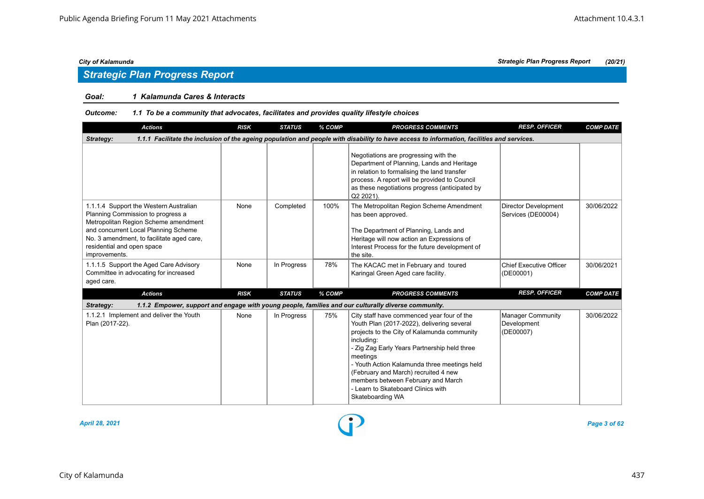# *Strategic Plan Progress Report*

### *Goal: 1 Kalamunda Cares & Interacts*

| <b>Actions</b>                                                                                                                                                                                                                                          | <b>RISK</b> | <b>STATUS</b> | % COMP | <b>PROGRESS COMMENTS</b>                                                                                                                                                                                                                                                                                                                                                                                  | <b>RESP. OFFICER</b>                                 | <b>COMP DATE</b> |  |  |  |
|---------------------------------------------------------------------------------------------------------------------------------------------------------------------------------------------------------------------------------------------------------|-------------|---------------|--------|-----------------------------------------------------------------------------------------------------------------------------------------------------------------------------------------------------------------------------------------------------------------------------------------------------------------------------------------------------------------------------------------------------------|------------------------------------------------------|------------------|--|--|--|
| 1.1.1 Facilitate the inclusion of the ageing population and people with disability to have access to information, facilities and services.<br>Strategy:                                                                                                 |             |               |        |                                                                                                                                                                                                                                                                                                                                                                                                           |                                                      |                  |  |  |  |
|                                                                                                                                                                                                                                                         |             |               |        | Negotiations are progressing with the<br>Department of Planning, Lands and Heritage<br>in relation to formalising the land transfer<br>process. A report will be provided to Council<br>as these negotiations progress (anticipated by<br>Q2 2021).                                                                                                                                                       |                                                      |                  |  |  |  |
| 1.1.1.4 Support the Western Australian<br>Planning Commission to progress a<br>Metropolitan Region Scheme amendment<br>and concurrent Local Planning Scheme<br>No. 3 amendment, to facilitate aged care,<br>residential and open space<br>improvements. | None        | Completed     | 100%   | The Metropolitan Region Scheme Amendment<br>has been approved.<br>The Department of Planning, Lands and<br>Heritage will now action an Expressions of<br>Interest Process for the future development of<br>the site.                                                                                                                                                                                      | <b>Director Development</b><br>Services (DE00004)    | 30/06/2022       |  |  |  |
| 1.1.1.5 Support the Aged Care Advisory<br>Committee in advocating for increased<br>aged care.                                                                                                                                                           | None        | In Progress   | 78%    | The KACAC met in February and toured<br>Karingal Green Aged care facility.                                                                                                                                                                                                                                                                                                                                | <b>Chief Executive Officer</b><br>(DE00001)          | 30/06/2021       |  |  |  |
| <b>Actions</b>                                                                                                                                                                                                                                          | <b>RISK</b> | <b>STATUS</b> | % COMP | <b>PROGRESS COMMENTS</b>                                                                                                                                                                                                                                                                                                                                                                                  | <b>RESP. OFFICER</b>                                 | <b>COMP DATE</b> |  |  |  |
| Strategy:                                                                                                                                                                                                                                               |             |               |        | 1.1.2 Empower, support and engage with young people, families and our culturally diverse community.                                                                                                                                                                                                                                                                                                       |                                                      |                  |  |  |  |
| 1.1.2.1 Implement and deliver the Youth<br>Plan (2017-22).                                                                                                                                                                                              | None        | In Progress   | 75%    | City staff have commenced year four of the<br>Youth Plan (2017-2022), delivering several<br>projects to the City of Kalamunda community<br>including:<br>- Zig Zag Early Years Partnership held three<br>meetings<br>- Youth Action Kalamunda three meetings held<br>(February and March) recruited 4 new<br>members between February and March<br>- Learn to Skateboard Clinics with<br>Skateboarding WA | <b>Manager Community</b><br>Development<br>(DE00007) | 30/06/2022       |  |  |  |

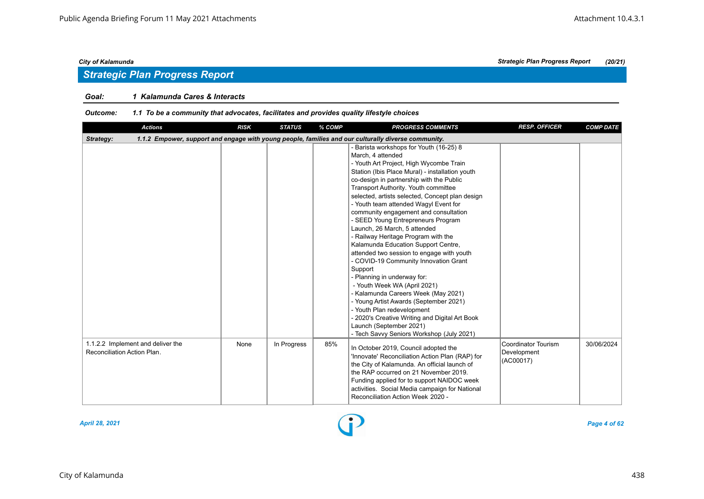# *Strategic Plan Progress Report*

### *Goal: 1 Kalamunda Cares & Interacts*

| <b>Actions</b>                                                                                                   | <b>RISK</b> | <b>STATUS</b> | % COMP | <b>PROGRESS COMMENTS</b>                                                                                                                                                                                                                                                                                                                                                                                                                                                                                                                                                                                                                                                                                                                                                                                                                                                                                                                         | <b>RESP. OFFICER</b>                                   | <b>COMP DATE</b> |  |  |  |  |
|------------------------------------------------------------------------------------------------------------------|-------------|---------------|--------|--------------------------------------------------------------------------------------------------------------------------------------------------------------------------------------------------------------------------------------------------------------------------------------------------------------------------------------------------------------------------------------------------------------------------------------------------------------------------------------------------------------------------------------------------------------------------------------------------------------------------------------------------------------------------------------------------------------------------------------------------------------------------------------------------------------------------------------------------------------------------------------------------------------------------------------------------|--------------------------------------------------------|------------------|--|--|--|--|
| 1.1.2 Empower, support and engage with young people, families and our culturally diverse community.<br>Strategy: |             |               |        |                                                                                                                                                                                                                                                                                                                                                                                                                                                                                                                                                                                                                                                                                                                                                                                                                                                                                                                                                  |                                                        |                  |  |  |  |  |
|                                                                                                                  |             |               |        | - Barista workshops for Youth (16-25) 8<br>March, 4 attended<br>- Youth Art Project, High Wycombe Train<br>Station (Ibis Place Mural) - installation youth<br>co-design in partnership with the Public<br>Transport Authority. Youth committee<br>selected, artists selected, Concept plan design<br>- Youth team attended Wagyl Event for<br>community engagement and consultation<br>- SEED Young Entrepreneurs Program<br>Launch, 26 March, 5 attended<br>- Railway Heritage Program with the<br>Kalamunda Education Support Centre,<br>attended two session to engage with youth<br>- COVID-19 Community Innovation Grant<br>Support<br>- Planning in underway for:<br>- Youth Week WA (April 2021)<br>- Kalamunda Careers Week (May 2021)<br>- Young Artist Awards (September 2021)<br>- Youth Plan redevelopment<br>- 2020's Creative Writing and Digital Art Book<br>Launch (September 2021)<br>- Tech Savvy Seniors Workshop (July 2021) |                                                        |                  |  |  |  |  |
| 1.1.2.2 Implement and deliver the<br>Reconciliation Action Plan.                                                 | None        | In Progress   | 85%    | In October 2019, Council adopted the<br>'Innovate' Reconciliation Action Plan (RAP) for<br>the City of Kalamunda. An official launch of<br>the RAP occurred on 21 November 2019.<br>Funding applied for to support NAIDOC week<br>activities. Social Media campaign for National<br>Reconciliation Action Week 2020 -                                                                                                                                                                                                                                                                                                                                                                                                                                                                                                                                                                                                                            | <b>Coordinator Tourism</b><br>Development<br>(AC00017) | 30/06/2024       |  |  |  |  |

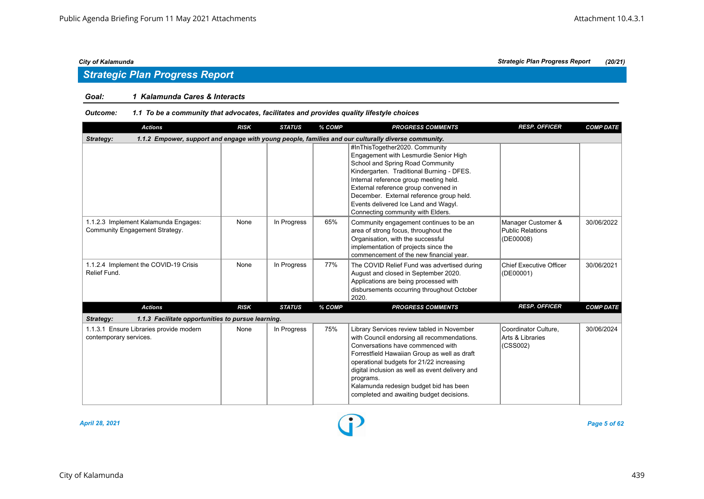# *Strategic Plan Progress Report*

### *Goal: 1 Kalamunda Cares & Interacts*

| <b>Actions</b>                                                         | <b>RISK</b>                                                                                         | <b>STATUS</b> | % COMP | <b>PROGRESS COMMENTS</b>                                                                                                                                                                                                                                                                                                                                                         | <b>RESP. OFFICER</b>                                       | <b>COMP DATE</b> |  |  |  |  |
|------------------------------------------------------------------------|-----------------------------------------------------------------------------------------------------|---------------|--------|----------------------------------------------------------------------------------------------------------------------------------------------------------------------------------------------------------------------------------------------------------------------------------------------------------------------------------------------------------------------------------|------------------------------------------------------------|------------------|--|--|--|--|
| Strategy:                                                              | 1.1.2 Empower, support and engage with young people, families and our culturally diverse community. |               |        |                                                                                                                                                                                                                                                                                                                                                                                  |                                                            |                  |  |  |  |  |
|                                                                        |                                                                                                     |               |        | #InThisTogether2020. Community<br>Engagement with Lesmurdie Senior High<br>School and Spring Road Community<br>Kindergarten. Traditional Burning - DFES.<br>Internal reference group meeting held.<br>External reference group convened in<br>December. External reference group held.<br>Events delivered Ice Land and Wagyl.<br>Connecting community with Elders.              |                                                            |                  |  |  |  |  |
| 1.1.2.3 Implement Kalamunda Engages:<br>Community Engagement Strategy. | None                                                                                                | In Progress   | 65%    | Community engagement continues to be an<br>area of strong focus, throughout the<br>Organisation, with the successful<br>implementation of projects since the<br>commencement of the new financial year.                                                                                                                                                                          | Manager Customer &<br><b>Public Relations</b><br>(DE00008) | 30/06/2022       |  |  |  |  |
| 1.1.2.4 Implement the COVID-19 Crisis<br>Relief Fund.                  | None                                                                                                | In Progress   | 77%    | The COVID Relief Fund was advertised during<br>August and closed in September 2020.<br>Applications are being processed with<br>disbursements occurring throughout October<br>2020.                                                                                                                                                                                              | <b>Chief Executive Officer</b><br>(DE00001)                | 30/06/2021       |  |  |  |  |
| <b>Actions</b>                                                         | <b>RISK</b>                                                                                         | <b>STATUS</b> | % COMP | <b>PROGRESS COMMENTS</b>                                                                                                                                                                                                                                                                                                                                                         | <b>RESP. OFFICER</b>                                       | <b>COMP DATE</b> |  |  |  |  |
| Strategy:<br>1.1.3 Facilitate opportunities to pursue learning.        |                                                                                                     |               |        |                                                                                                                                                                                                                                                                                                                                                                                  |                                                            |                  |  |  |  |  |
| 1.1.3.1 Ensure Libraries provide modern<br>contemporary services.      | None                                                                                                | In Progress   | 75%    | Library Services review tabled in November<br>with Council endorsing all recommendations.<br>Conversations have commenced with<br>Forrestfield Hawaiian Group as well as draft<br>operational budgets for 21/22 increasing<br>digital inclusion as well as event delivery and<br>programs.<br>Kalamunda redesign budget bid has been<br>completed and awaiting budget decisions. | Coordinator Culture.<br>Arts & Libraries<br>(CSS002)       | 30/06/2024       |  |  |  |  |

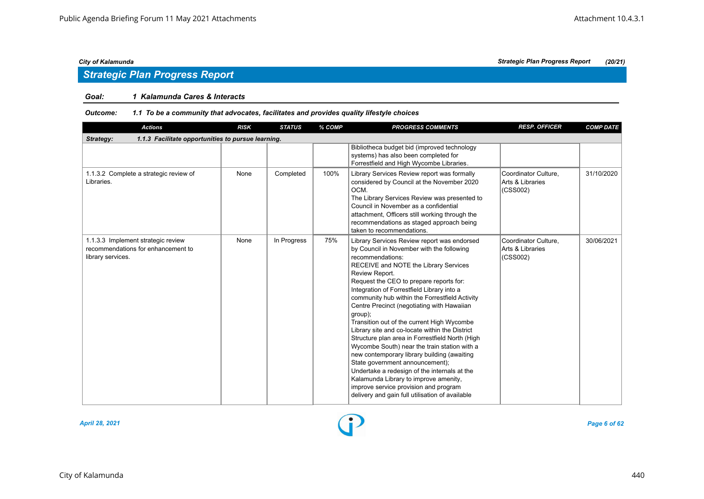# *Strategic Plan Progress Report*

### *Goal: 1 Kalamunda Cares & Interacts*

| <b>Actions</b>                                                                                | <b>RISK</b> | <b>STATUS</b> | % COMP | <b>PROGRESS COMMENTS</b>                                                                                                                                                                                                                                                                                                                                                                                                                                                                                                                                                                                                                                                                                                                                                                                                                              | <b>RESP. OFFICER</b>                                 | <b>COMP DATE</b> |  |  |  |  |
|-----------------------------------------------------------------------------------------------|-------------|---------------|--------|-------------------------------------------------------------------------------------------------------------------------------------------------------------------------------------------------------------------------------------------------------------------------------------------------------------------------------------------------------------------------------------------------------------------------------------------------------------------------------------------------------------------------------------------------------------------------------------------------------------------------------------------------------------------------------------------------------------------------------------------------------------------------------------------------------------------------------------------------------|------------------------------------------------------|------------------|--|--|--|--|
| Strategy:<br>1.1.3 Facilitate opportunities to pursue learning.                               |             |               |        |                                                                                                                                                                                                                                                                                                                                                                                                                                                                                                                                                                                                                                                                                                                                                                                                                                                       |                                                      |                  |  |  |  |  |
|                                                                                               |             |               |        | Bibliotheca budget bid (improved technology<br>systems) has also been completed for<br>Forrestfield and High Wycombe Libraries.                                                                                                                                                                                                                                                                                                                                                                                                                                                                                                                                                                                                                                                                                                                       |                                                      |                  |  |  |  |  |
| 1.1.3.2 Complete a strategic review of<br>Libraries.                                          | None        | Completed     | 100%   | Library Services Review report was formally<br>considered by Council at the November 2020<br>OCM.<br>The Library Services Review was presented to<br>Council in November as a confidential<br>attachment, Officers still working through the<br>recommendations as staged approach being<br>taken to recommendations.                                                                                                                                                                                                                                                                                                                                                                                                                                                                                                                                 | Coordinator Culture.<br>Arts & Libraries<br>(CSS002) | 31/10/2020       |  |  |  |  |
| 1.1.3.3 Implement strategic review<br>recommendations for enhancement to<br>library services. | None        | In Progress   | 75%    | Library Services Review report was endorsed<br>by Council in November with the following<br>recommendations:<br>RECEIVE and NOTE the Library Services<br>Review Report.<br>Request the CEO to prepare reports for:<br>Integration of Forrestfield Library into a<br>community hub within the Forrestfield Activity<br>Centre Precinct (negotiating with Hawaiian<br>group);<br>Transition out of the current High Wycombe<br>Library site and co-locate within the District<br>Structure plan area in Forrestfield North (High<br>Wycombe South) near the train station with a<br>new contemporary library building (awaiting<br>State government announcement);<br>Undertake a redesign of the internals at the<br>Kalamunda Library to improve amenity,<br>improve service provision and program<br>delivery and gain full utilisation of available | Coordinator Culture.<br>Arts & Libraries<br>(CSS002) | 30/06/2021       |  |  |  |  |

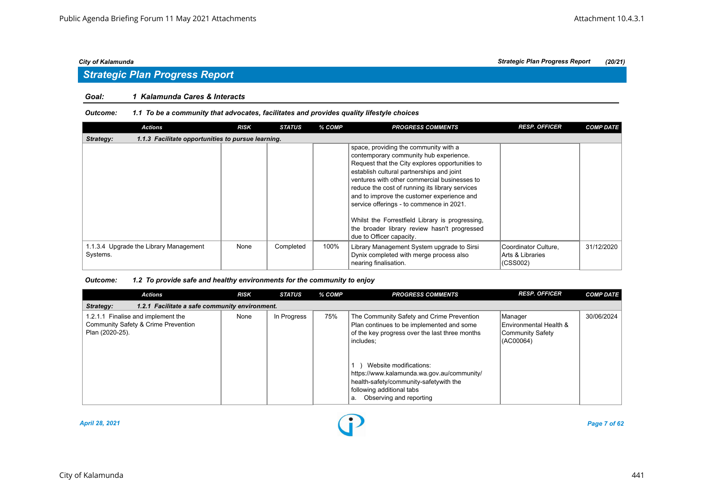# *Strategic Plan Progress Report*

### *Goal: 1 Kalamunda Cares & Interacts*

#### *Outcome: 1.1 To be a community that advocates, facilitates and provides quality lifestyle choices*

| <b>Actions</b>                                                  | <b>RISK</b> | <b>STATUS</b> | % COMP | <b>PROGRESS COMMENTS</b>                                                                                                                                                                                                                                                                                                                                                                                                                                                                                    | <b>RESP. OFFICER</b>                                 | <b>COMP DATE</b> |  |  |  |
|-----------------------------------------------------------------|-------------|---------------|--------|-------------------------------------------------------------------------------------------------------------------------------------------------------------------------------------------------------------------------------------------------------------------------------------------------------------------------------------------------------------------------------------------------------------------------------------------------------------------------------------------------------------|------------------------------------------------------|------------------|--|--|--|
| 1.1.3 Facilitate opportunities to pursue learning.<br>Strategy: |             |               |        |                                                                                                                                                                                                                                                                                                                                                                                                                                                                                                             |                                                      |                  |  |  |  |
|                                                                 |             |               |        | space, providing the community with a<br>contemporary community hub experience.<br>Request that the City explores opportunities to<br>establish cultural partnerships and joint<br>ventures with other commercial businesses to<br>reduce the cost of running its library services<br>and to improve the customer experience and<br>service offerings - to commence in 2021.<br>Whilst the Forrestfield Library is progressing,<br>the broader library review hasn't progressed<br>due to Officer capacity. |                                                      |                  |  |  |  |
| 1.1.3.4 Upgrade the Library Management<br>Systems.              | None        | Completed     | 100%   | Library Management System upgrade to Sirsi<br>Dynix completed with merge process also<br>nearing finalisation.                                                                                                                                                                                                                                                                                                                                                                                              | Coordinator Culture.<br>Arts & Libraries<br>(CSS002) | 31/12/2020       |  |  |  |

| <b>Actions</b>                                                                               | <b>RISK</b> | <b>STATUS</b> | % COMP | <b>PROGRESS COMMENTS</b>                                                                                                                                                                                                                                                                                                              | <b>RESP. OFFICER</b>                                                | <b>COMP DATE</b> |
|----------------------------------------------------------------------------------------------|-------------|---------------|--------|---------------------------------------------------------------------------------------------------------------------------------------------------------------------------------------------------------------------------------------------------------------------------------------------------------------------------------------|---------------------------------------------------------------------|------------------|
| 1.2.1 Facilitate a safe community environment.<br>Strategy:                                  |             |               |        |                                                                                                                                                                                                                                                                                                                                       |                                                                     |                  |
| 1.2.1.1 Finalise and implement the<br>Community Safety & Crime Prevention<br>Plan (2020-25). | None        | In Progress   | 75%    | The Community Safety and Crime Prevention<br>Plan continues to be implemented and some<br>of the key progress over the last three months<br>includes:<br>Website modifications:<br>https://www.kalamunda.wa.gov.au/community/<br>health-safety/community-safetywith the<br>following additional tabs<br>Observing and reporting<br>a. | Manager<br>IEnvironmental Health &<br>Community Safety<br>(AC00064) | 30/06/2024       |

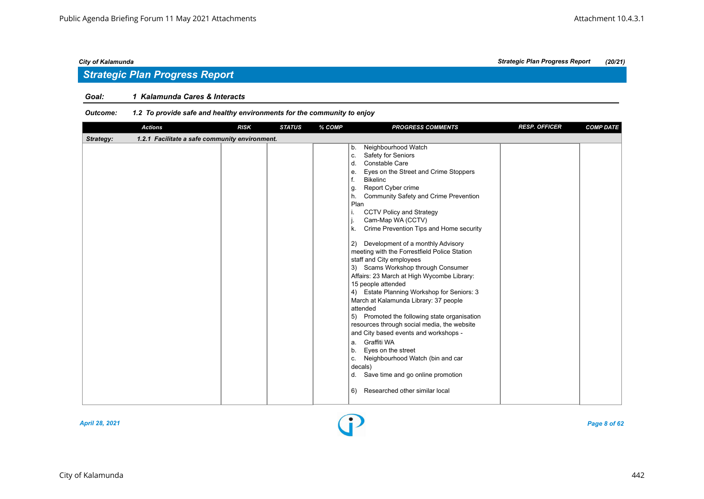# *Strategic Plan Progress Report*

### *Goal: 1 Kalamunda Cares & Interacts*

| <b>Actions</b>                                              | <b>RISK</b> | <b>STATUS</b> | % COMP | <b>PROGRESS COMMENTS</b>                                                                                                                                                                                                                                                                                                                                                                                                                                                                                                                                                                                                                                                                                                                                                                                                                                                                                                                                                                                                           | <b>RESP. OFFICER</b> | <b>COMP DATE</b> |
|-------------------------------------------------------------|-------------|---------------|--------|------------------------------------------------------------------------------------------------------------------------------------------------------------------------------------------------------------------------------------------------------------------------------------------------------------------------------------------------------------------------------------------------------------------------------------------------------------------------------------------------------------------------------------------------------------------------------------------------------------------------------------------------------------------------------------------------------------------------------------------------------------------------------------------------------------------------------------------------------------------------------------------------------------------------------------------------------------------------------------------------------------------------------------|----------------------|------------------|
| 1.2.1 Facilitate a safe community environment.<br>Strategy: |             |               |        |                                                                                                                                                                                                                                                                                                                                                                                                                                                                                                                                                                                                                                                                                                                                                                                                                                                                                                                                                                                                                                    |                      |                  |
|                                                             |             |               |        | Neighbourhood Watch<br>b.<br>Safety for Seniors<br>c.<br>Constable Care<br>d.<br>Eyes on the Street and Crime Stoppers<br>е.<br>f.<br><b>Bikelinc</b><br>Report Cyber crime<br>g.<br>Community Safety and Crime Prevention<br>h.<br>Plan<br><b>CCTV Policy and Strategy</b><br>i.<br>Cam-Map WA (CCTV)<br>j.<br>Crime Prevention Tips and Home security<br>k.<br>Development of a monthly Advisory<br>2)<br>meeting with the Forrestfield Police Station<br>staff and City employees<br>3) Scams Workshop through Consumer<br>Affairs: 23 March at High Wycombe Library:<br>15 people attended<br>4) Estate Planning Workshop for Seniors: 3<br>March at Kalamunda Library: 37 people<br>attended<br>5) Promoted the following state organisation<br>resources through social media, the website<br>and City based events and workshops -<br>Graffiti WA<br>a.<br>Eyes on the street<br>b.<br>Neighbourhood Watch (bin and car<br>c.<br>decals)<br>Save time and go online promotion<br>d.<br>Researched other similar local<br>6) |                      |                  |

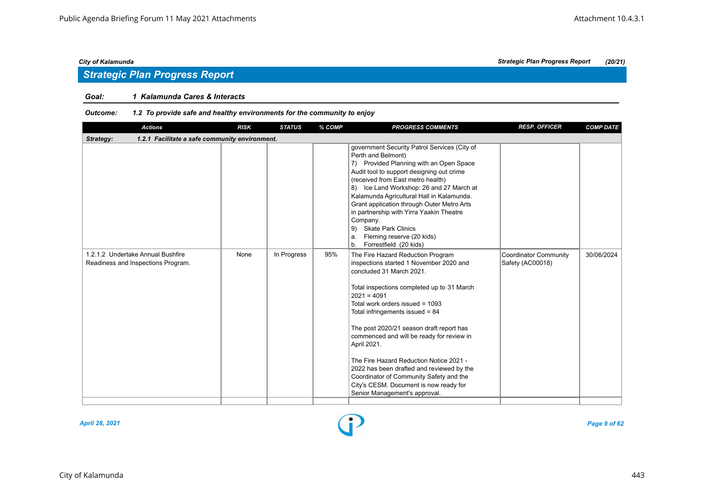# *Strategic Plan Progress Report*

### *Goal: 1 Kalamunda Cares & Interacts*

| <b>Actions</b>                                                          | <b>RISK</b> | <b>STATUS</b> | % COMP | <b>PROGRESS COMMENTS</b>                                                                                                                                                                                                                                                                                                                                                                                                                                                                                                                                              | <b>RESP. OFFICER</b>                             | <b>COMP DATE</b> |  |  |  |  |
|-------------------------------------------------------------------------|-------------|---------------|--------|-----------------------------------------------------------------------------------------------------------------------------------------------------------------------------------------------------------------------------------------------------------------------------------------------------------------------------------------------------------------------------------------------------------------------------------------------------------------------------------------------------------------------------------------------------------------------|--------------------------------------------------|------------------|--|--|--|--|
| 1.2.1 Facilitate a safe community environment.<br>Strategy:             |             |               |        |                                                                                                                                                                                                                                                                                                                                                                                                                                                                                                                                                                       |                                                  |                  |  |  |  |  |
|                                                                         |             |               |        | government Security Patrol Services (City of<br>Perth and Belmont)<br>7) Provided Planning with an Open Space<br>Audit tool to support designing out crime<br>(received from East metro health)<br>8) Ice Land Workshop: 26 and 27 March at<br>Kalamunda Agricultural Hall in Kalamunda.<br>Grant application through Outer Metro Arts<br>in partnership with Yirra Yaakin Theatre<br>Company.<br>9) Skate Park Clinics<br>Fleming reserve (20 kids)<br>a.<br>Forrestfield (20 kids)<br>b.                                                                            |                                                  |                  |  |  |  |  |
| 1.2.1.2 Undertake Annual Bushfire<br>Readiness and Inspections Program. | None        | In Progress   | 95%    | The Fire Hazard Reduction Program<br>inspections started 1 November 2020 and<br>concluded 31 March 2021.<br>Total inspections completed up to 31 March<br>$2021 = 4091$<br>Total work orders issued = 1093<br>Total infringements issued $= 84$<br>The post 2020/21 season draft report has<br>commenced and will be ready for review in<br>April 2021.<br>The Fire Hazard Reduction Notice 2021 -<br>2022 has been drafted and reviewed by the<br>Coordinator of Community Safety and the<br>City's CESM. Document is now ready for<br>Senior Management's approval. | <b>Coordinator Community</b><br>Safety (AC00018) | 30/06/2024       |  |  |  |  |

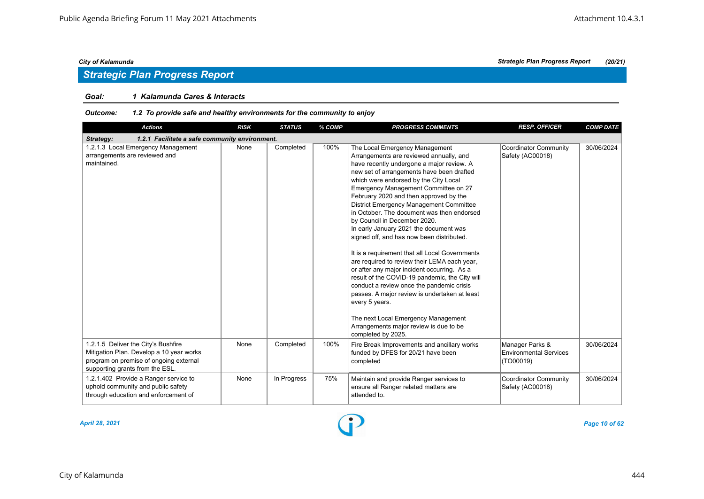### *Goal: 1 Kalamunda Cares & Interacts*

| <b>Actions</b>                                                                                                                                               | <b>RISK</b> | <b>STATUS</b> | % COMP | <b>PROGRESS COMMENTS</b>                                                                                                                                                                                                                                                                                                                                                                                                                                                                                                                                                                                                                                                                                                                                                                                                                                                                                                                        | <b>RESP. OFFICER</b>                                          | <b>COMP DATE</b> |  |  |  |  |
|--------------------------------------------------------------------------------------------------------------------------------------------------------------|-------------|---------------|--------|-------------------------------------------------------------------------------------------------------------------------------------------------------------------------------------------------------------------------------------------------------------------------------------------------------------------------------------------------------------------------------------------------------------------------------------------------------------------------------------------------------------------------------------------------------------------------------------------------------------------------------------------------------------------------------------------------------------------------------------------------------------------------------------------------------------------------------------------------------------------------------------------------------------------------------------------------|---------------------------------------------------------------|------------------|--|--|--|--|
| 1.2.1 Facilitate a safe community environment.<br>Strategy:                                                                                                  |             |               |        |                                                                                                                                                                                                                                                                                                                                                                                                                                                                                                                                                                                                                                                                                                                                                                                                                                                                                                                                                 |                                                               |                  |  |  |  |  |
| 1.2.1.3 Local Emergency Management<br>arrangements are reviewed and<br>maintained.                                                                           | None        | Completed     | 100%   | The Local Emergency Management<br>Arrangements are reviewed annually, and<br>have recently undergone a major review. A<br>new set of arrangements have been drafted<br>which were endorsed by the City Local<br>Emergency Management Committee on 27<br>February 2020 and then approved by the<br><b>District Emergency Management Committee</b><br>in October. The document was then endorsed<br>by Council in December 2020.<br>In early January 2021 the document was<br>signed off, and has now been distributed.<br>It is a requirement that all Local Governments<br>are required to review their LEMA each year,<br>or after any major incident occurring. As a<br>result of the COVID-19 pandemic, the City will<br>conduct a review once the pandemic crisis<br>passes. A major review is undertaken at least<br>every 5 years.<br>The next Local Emergency Management<br>Arrangements major review is due to be<br>completed by 2025. | <b>Coordinator Community</b><br>Safety (AC00018)              | 30/06/2024       |  |  |  |  |
| 1.2.1.5 Deliver the City's Bushfire<br>Mitigation Plan. Develop a 10 year works<br>program on premise of ongoing external<br>supporting grants from the ESL. | None        | Completed     | 100%   | Fire Break Improvements and ancillary works<br>funded by DFES for 20/21 have been<br>completed                                                                                                                                                                                                                                                                                                                                                                                                                                                                                                                                                                                                                                                                                                                                                                                                                                                  | Manager Parks &<br><b>Environmental Services</b><br>(TO00019) | 30/06/2024       |  |  |  |  |
| 1.2.1.402 Provide a Ranger service to<br>uphold community and public safety<br>through education and enforcement of                                          | None        | In Progress   | 75%    | Maintain and provide Ranger services to<br>ensure all Ranger related matters are<br>attended to.                                                                                                                                                                                                                                                                                                                                                                                                                                                                                                                                                                                                                                                                                                                                                                                                                                                | <b>Coordinator Community</b><br>Safety (AC00018)              | 30/06/2024       |  |  |  |  |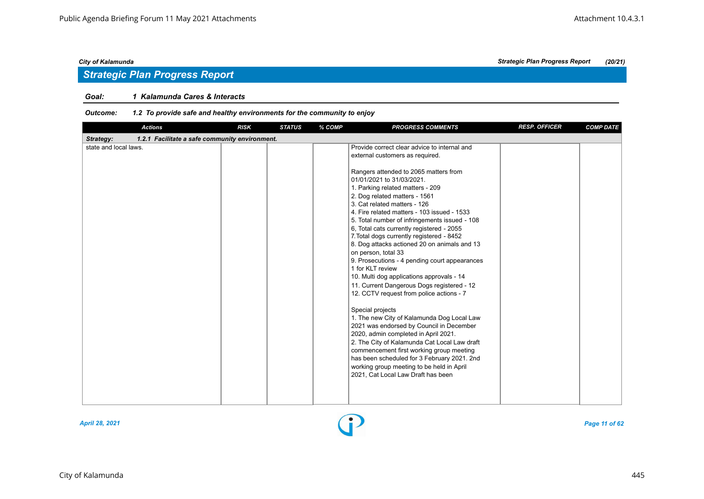# *Strategic Plan Progress Report*

### *Goal: 1 Kalamunda Cares & Interacts*

| <b>Actions</b>                                              | <b>RISK</b> | <b>STATUS</b> | % COMP | <b>PROGRESS COMMENTS</b>                                                                                                                                                                                                                                                                                                                                                                                                                                                                                                                                                                                                                                                                                                                                                                                                                                                                                                                                                                                                                                                                                                    | <b>RESP. OFFICER</b> | <b>COMP DATE</b> |  |  |  |  |
|-------------------------------------------------------------|-------------|---------------|--------|-----------------------------------------------------------------------------------------------------------------------------------------------------------------------------------------------------------------------------------------------------------------------------------------------------------------------------------------------------------------------------------------------------------------------------------------------------------------------------------------------------------------------------------------------------------------------------------------------------------------------------------------------------------------------------------------------------------------------------------------------------------------------------------------------------------------------------------------------------------------------------------------------------------------------------------------------------------------------------------------------------------------------------------------------------------------------------------------------------------------------------|----------------------|------------------|--|--|--|--|
| Strategy:<br>1.2.1 Facilitate a safe community environment. |             |               |        |                                                                                                                                                                                                                                                                                                                                                                                                                                                                                                                                                                                                                                                                                                                                                                                                                                                                                                                                                                                                                                                                                                                             |                      |                  |  |  |  |  |
| state and local laws.                                       |             |               |        | Provide correct clear advice to internal and<br>external customers as required.<br>Rangers attended to 2065 matters from<br>01/01/2021 to 31/03/2021.<br>1. Parking related matters - 209<br>2. Dog related matters - 1561<br>3. Cat related matters - 126<br>4. Fire related matters - 103 issued - 1533<br>5. Total number of infringements issued - 108<br>6. Total cats currently registered - 2055<br>7. Total dogs currently registered - 8452<br>8. Dog attacks actioned 20 on animals and 13<br>on person, total 33<br>9. Prosecutions - 4 pending court appearances<br>1 for KLT review<br>10. Multi dog applications approvals - 14<br>11. Current Dangerous Dogs registered - 12<br>12. CCTV request from police actions - 7<br>Special projects<br>1. The new City of Kalamunda Dog Local Law<br>2021 was endorsed by Council in December<br>2020, admin completed in April 2021.<br>2. The City of Kalamunda Cat Local Law draft<br>commencement first working group meeting<br>has been scheduled for 3 February 2021. 2nd<br>working group meeting to be held in April<br>2021, Cat Local Law Draft has been |                      |                  |  |  |  |  |
|                                                             |             |               |        |                                                                                                                                                                                                                                                                                                                                                                                                                                                                                                                                                                                                                                                                                                                                                                                                                                                                                                                                                                                                                                                                                                                             |                      |                  |  |  |  |  |

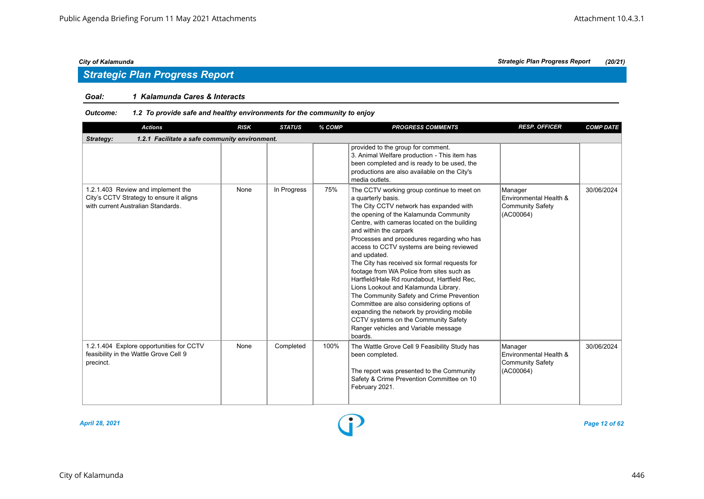# *Strategic Plan Progress Report*

### *Goal: 1 Kalamunda Cares & Interacts*

| <b>Actions</b>                                                                                                       | <b>RISK</b> | <b>STATUS</b> | % COMP | <b>PROGRESS COMMENTS</b>                                                                                                                                                                                                                                                                                                                                                                                                                                                                                                                                                                                                                                                                                                                                           | <b>RESP. OFFICER</b>                                                      | <b>COMP DATE</b> |  |  |  |
|----------------------------------------------------------------------------------------------------------------------|-------------|---------------|--------|--------------------------------------------------------------------------------------------------------------------------------------------------------------------------------------------------------------------------------------------------------------------------------------------------------------------------------------------------------------------------------------------------------------------------------------------------------------------------------------------------------------------------------------------------------------------------------------------------------------------------------------------------------------------------------------------------------------------------------------------------------------------|---------------------------------------------------------------------------|------------------|--|--|--|
| 1.2.1 Facilitate a safe community environment.<br>Strategy:                                                          |             |               |        |                                                                                                                                                                                                                                                                                                                                                                                                                                                                                                                                                                                                                                                                                                                                                                    |                                                                           |                  |  |  |  |
|                                                                                                                      |             |               |        | provided to the group for comment.<br>3. Animal Welfare production - This item has<br>been completed and is ready to be used, the<br>productions are also available on the City's<br>media outlets.                                                                                                                                                                                                                                                                                                                                                                                                                                                                                                                                                                |                                                                           |                  |  |  |  |
| 1.2.1.403 Review and implement the<br>City's CCTV Strategy to ensure it aligns<br>with current Australian Standards. | None        | In Progress   | 75%    | The CCTV working group continue to meet on<br>a quarterly basis.<br>The City CCTV network has expanded with<br>the opening of the Kalamunda Community<br>Centre, with cameras located on the building<br>and within the carpark<br>Processes and procedures regarding who has<br>access to CCTV systems are being reviewed<br>and updated.<br>The City has received six formal requests for<br>footage from WA Police from sites such as<br>Hartfield/Hale Rd roundabout, Hartfield Rec,<br>Lions Lookout and Kalamunda Library.<br>The Community Safety and Crime Prevention<br>Committee are also considering options of<br>expanding the network by providing mobile<br>CCTV systems on the Community Safety<br>Ranger vehicles and Variable message<br>boards. | Manager<br>Environmental Health &<br><b>Community Safety</b><br>(AC00064) | 30/06/2024       |  |  |  |
| 1.2.1.404 Explore opportunities for CCTV<br>feasibility in the Wattle Grove Cell 9<br>precinct.                      | None        | Completed     | 100%   | The Wattle Grove Cell 9 Feasibility Study has<br>been completed.<br>The report was presented to the Community<br>Safety & Crime Prevention Committee on 10<br>February 2021.                                                                                                                                                                                                                                                                                                                                                                                                                                                                                                                                                                                       | Manager<br>Environmental Health &<br><b>Community Safety</b><br>(AC00064) | 30/06/2024       |  |  |  |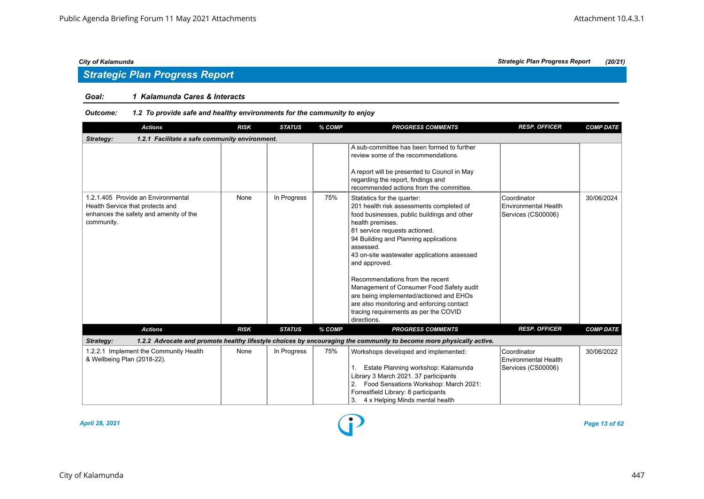# *Strategic Plan Progress Report*

### *Goal: 1 Kalamunda Cares & Interacts*

### *Outcome: 1.2 To provide safe and healthy environments for the community to enjoy*

| <b>Actions</b>                                                                                                                 | <b>RISK</b> | <b>STATUS</b> | % COMP | <b>PROGRESS COMMENTS</b>                                                                                                                                                                                                                                                                                                                                                                                                                                                                                                         | <b>RESP. OFFICER</b>                                             | <b>COMP DATE</b> |
|--------------------------------------------------------------------------------------------------------------------------------|-------------|---------------|--------|----------------------------------------------------------------------------------------------------------------------------------------------------------------------------------------------------------------------------------------------------------------------------------------------------------------------------------------------------------------------------------------------------------------------------------------------------------------------------------------------------------------------------------|------------------------------------------------------------------|------------------|
| Strategy:<br>1.2.1 Facilitate a safe community environment.                                                                    |             |               |        |                                                                                                                                                                                                                                                                                                                                                                                                                                                                                                                                  |                                                                  |                  |
|                                                                                                                                |             |               |        | A sub-committee has been formed to further<br>review some of the recommendations.<br>A report will be presented to Council in May<br>regarding the report, findings and<br>recommended actions from the committee.                                                                                                                                                                                                                                                                                                               |                                                                  |                  |
| 1.2.1.405 Provide an Environmental<br>Health Service that protects and<br>enhances the safety and amenity of the<br>community. | None        | In Progress   | 75%    | Statistics for the quarter:<br>201 health risk assessments completed of<br>food businesses, public buildings and other<br>health premises.<br>81 service requests actioned.<br>94 Building and Planning applications<br>assessed.<br>43 on-site wastewater applications assessed<br>and approved.<br>Recommendations from the recent<br>Management of Consumer Food Safety audit<br>are being implemented/actioned and EHOs<br>are also monitoring and enforcing contact<br>tracing requirements as per the COVID<br>directions. | Coordinator<br><b>Environmental Health</b><br>Services (CS00006) | 30/06/2024       |
| <b>Actions</b>                                                                                                                 | <b>RISK</b> | <b>STATUS</b> | % COMP | <b>PROGRESS COMMENTS</b>                                                                                                                                                                                                                                                                                                                                                                                                                                                                                                         | <b>RESP. OFFICER</b>                                             | <b>COMP DATE</b> |
| Strategy:                                                                                                                      |             |               |        | 1.2.2 Advocate and promote healthy lifestyle choices by encouraging the community to become more physically active.                                                                                                                                                                                                                                                                                                                                                                                                              |                                                                  |                  |
| 1.2.2.1 Implement the Community Health<br>& Wellbeing Plan (2018-22).                                                          | None        | In Progress   | 75%    | Workshops developed and implemented:<br>Estate Planning workshop: Kalamunda<br>Library 3 March 2021. 37 participants<br>2. Food Sensations Workshop: March 2021:<br>Forrestfield Library: 8 participants<br>4 x Helping Minds mental health<br>3.                                                                                                                                                                                                                                                                                | Coordinator<br><b>Environmental Health</b><br>Services (CS00006) | 30/06/2022       |



*April 28, 2021 Page 13 of 62*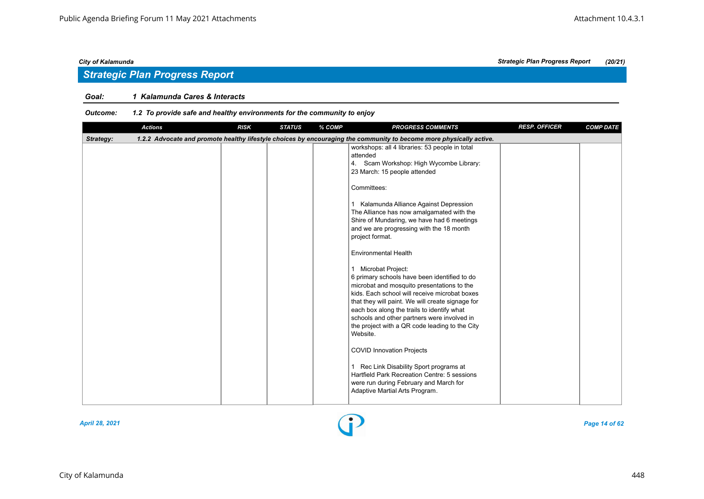# *Strategic Plan Progress Report*

### *Goal: 1 Kalamunda Cares & Interacts*

| <b>Actions</b> | <b>RISK</b> | <b>STATUS</b> | % COMP | <b>PROGRESS COMMENTS</b>                                                                                                                                                                                                                                                                                                                                                                                                                                                                                                                                                                                                                                                                                                                                                                                                        | <b>RESP. OFFICER</b> | <b>COMP DATE</b> |
|----------------|-------------|---------------|--------|---------------------------------------------------------------------------------------------------------------------------------------------------------------------------------------------------------------------------------------------------------------------------------------------------------------------------------------------------------------------------------------------------------------------------------------------------------------------------------------------------------------------------------------------------------------------------------------------------------------------------------------------------------------------------------------------------------------------------------------------------------------------------------------------------------------------------------|----------------------|------------------|
| Strategy:      |             |               |        | 1.2.2 Advocate and promote healthy lifestyle choices by encouraging the community to become more physically active.                                                                                                                                                                                                                                                                                                                                                                                                                                                                                                                                                                                                                                                                                                             |                      |                  |
|                |             |               |        | workshops: all 4 libraries: 53 people in total<br>attended<br>4. Scam Workshop: High Wycombe Library:<br>23 March: 15 people attended<br>Committees:<br>1 Kalamunda Alliance Against Depression<br>The Alliance has now amalgamated with the<br>Shire of Mundaring, we have had 6 meetings<br>and we are progressing with the 18 month<br>project format.<br><b>Environmental Health</b><br>Microbat Project:<br>$\mathbf{1}$<br>6 primary schools have been identified to do<br>microbat and mosquito presentations to the<br>kids. Each school will receive microbat boxes<br>that they will paint. We will create signage for<br>each box along the trails to identify what<br>schools and other partners were involved in<br>the project with a QR code leading to the City<br>Website.<br><b>COVID Innovation Projects</b> |                      |                  |
|                |             |               |        | Rec Link Disability Sport programs at<br>$\mathbf{1}$<br>Hartfield Park Recreation Centre: 5 sessions<br>were run during February and March for<br>Adaptive Martial Arts Program.                                                                                                                                                                                                                                                                                                                                                                                                                                                                                                                                                                                                                                               |                      |                  |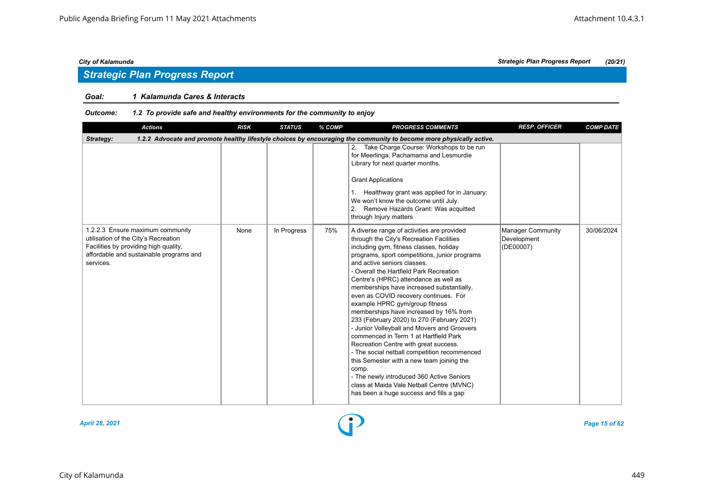# *Strategic Plan Progress Report*

### *Goal: 1 Kalamunda Cares & Interacts*

| <b>Actions</b>                                                                                                                                                            | <b>RISK</b> | <b>STATUS</b> | % COMP | <b>PROGRESS COMMENTS</b>                                                                                                                                                                                                                                                                                                                                                                                                                                                                                                                                                                                                                                                                                                                                                                                                                                                                          | <b>RESP. OFFICER</b>                          | <b>COMP DATE</b> |
|---------------------------------------------------------------------------------------------------------------------------------------------------------------------------|-------------|---------------|--------|---------------------------------------------------------------------------------------------------------------------------------------------------------------------------------------------------------------------------------------------------------------------------------------------------------------------------------------------------------------------------------------------------------------------------------------------------------------------------------------------------------------------------------------------------------------------------------------------------------------------------------------------------------------------------------------------------------------------------------------------------------------------------------------------------------------------------------------------------------------------------------------------------|-----------------------------------------------|------------------|
| Strategy:                                                                                                                                                                 |             |               |        | 1.2.2 Advocate and promote healthy lifestyle choices by encouraging the community to become more physically active.                                                                                                                                                                                                                                                                                                                                                                                                                                                                                                                                                                                                                                                                                                                                                                               |                                               |                  |
|                                                                                                                                                                           |             |               |        | 2. Take Charge Course: Workshops to be run<br>for Meerlinga, Pachamama and Lesmurdie<br>Library for next quarter months.<br><b>Grant Applications</b><br>1. Healthway grant was applied for in January:<br>We won't know the outcome until July.<br>2. Remove Hazards Grant: Was acquitted<br>through Injury matters                                                                                                                                                                                                                                                                                                                                                                                                                                                                                                                                                                              |                                               |                  |
| 1.2.2.3 Ensure maximum community<br>utilisation of the City's Recreation<br>Facilities by providing high quality,<br>affordable and sustainable programs and<br>services. | None        | In Progress   | 75%    | A diverse range of activities are provided<br>through the City's Recreation Facilities<br>including gym, fitness classes, holiday<br>programs, sport competitions, junior programs<br>and active seniors classes.<br>- Overall the Hartfield Park Recreation<br>Centre's (HPRC) attendance as well as<br>memberships have increased substantially,<br>even as COVID recovery continues. For<br>example HPRC gym/group fitness<br>memberships have increased by 16% from<br>233 (February 2020) to 270 (February 2021)<br>- Junior Volleyball and Movers and Groovers<br>commenced in Term 1 at Hartfield Park<br>Recreation Centre with great success.<br>- The social netball competition recommenced<br>this Semester with a new team joining the<br>comp.<br>- The newly introduced 360 Active Seniors<br>class at Maida Vale Netball Centre (MVNC)<br>has been a huge success and fills a gap | Manager Community<br>Development<br>(DE00007) | 30/06/2024       |

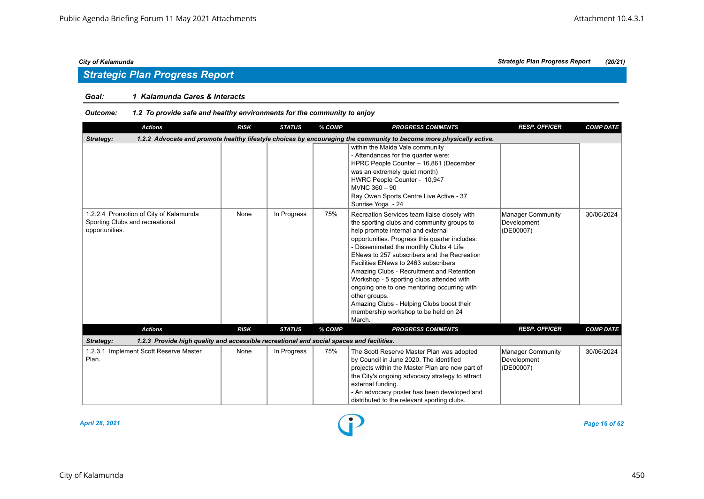# *Strategic Plan Progress Report*

### *Goal: 1 Kalamunda Cares & Interacts*

| <b>Actions</b>                                                                                        | <b>RISK</b> | <b>STATUS</b> | % COMP | <b>PROGRESS COMMENTS</b>                                                                                                                                                                                                                                                                                                                                                                                                                                                                                                                                                      | <b>RESP. OFFICER</b>                                 | <b>COMP DATE</b> |
|-------------------------------------------------------------------------------------------------------|-------------|---------------|--------|-------------------------------------------------------------------------------------------------------------------------------------------------------------------------------------------------------------------------------------------------------------------------------------------------------------------------------------------------------------------------------------------------------------------------------------------------------------------------------------------------------------------------------------------------------------------------------|------------------------------------------------------|------------------|
| Strategy:                                                                                             |             |               |        | 1.2.2 Advocate and promote healthy lifestyle choices by encouraging the community to become more physically active.                                                                                                                                                                                                                                                                                                                                                                                                                                                           |                                                      |                  |
|                                                                                                       |             |               |        | within the Maida Vale community<br>- Attendances for the quarter were:<br>HPRC People Counter - 16,861 (December<br>was an extremely quiet month)<br>HWRC People Counter - 10,947<br>MVNC 360 - 90<br>Ray Owen Sports Centre Live Active - 37<br>Sunrise Yoga - 24                                                                                                                                                                                                                                                                                                            |                                                      |                  |
| 1.2.2.4 Promotion of City of Kalamunda<br>Sporting Clubs and recreational<br>opportunities.           | None        | In Progress   | 75%    | Recreation Services team liaise closely with<br>the sporting clubs and community groups to<br>help promote internal and external<br>opportunities. Progress this quarter includes:<br>- Disseminated the monthly Clubs 4 Life<br>ENews to 257 subscribers and the Recreation<br>Facilities ENews to 2463 subscribers<br>Amazing Clubs - Recruitment and Retention<br>Workshop - 5 sporting clubs attended with<br>ongoing one to one mentoring occurring with<br>other groups.<br>Amazing Clubs - Helping Clubs boost their<br>membership workshop to be held on 24<br>March. | <b>Manager Community</b><br>Development<br>(DE00007) | 30/06/2024       |
| <b>Actions</b>                                                                                        | <b>RISK</b> | <b>STATUS</b> | % COMP | <b>PROGRESS COMMENTS</b>                                                                                                                                                                                                                                                                                                                                                                                                                                                                                                                                                      | <b>RESP. OFFICER</b>                                 | <b>COMP DATE</b> |
| Strategy:<br>1.2.3 Provide high quality and accessible recreational and social spaces and facilities. |             |               |        |                                                                                                                                                                                                                                                                                                                                                                                                                                                                                                                                                                               |                                                      |                  |
| 1.2.3.1 Implement Scott Reserve Master<br>Plan.                                                       | None        | In Progress   | 75%    | The Scott Reserve Master Plan was adopted<br>by Council in June 2020. The identified<br>projects within the Master Plan are now part of<br>the City's ongoing advocacy strategy to attract<br>external funding.<br>- An advocacy poster has been developed and<br>distributed to the relevant sporting clubs.                                                                                                                                                                                                                                                                 | Manager Community<br>Development<br>(DE00007)        | 30/06/2024       |

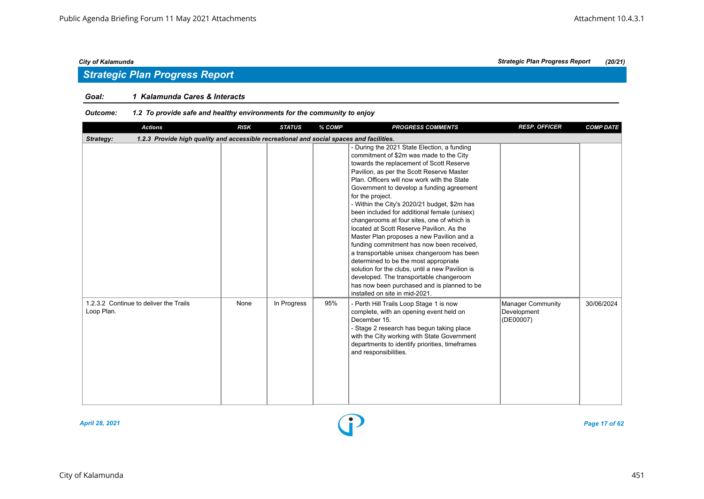### *Goal: 1 Kalamunda Cares & Interacts*

### *Outcome: 1.2 To provide safe and healthy environments for the community to enjoy*

| <b>Actions</b>                                                                                        | <b>RISK</b> | <b>STATUS</b> | % COMP | <b>PROGRESS COMMENTS</b>                                                                                                                                                                                                                                                                                                                                                                                                                                                                                                                                                                                                                                                                                                                                                                                                                                   | <b>RESP. OFFICER</b>                          | <b>COMP DATE</b> |
|-------------------------------------------------------------------------------------------------------|-------------|---------------|--------|------------------------------------------------------------------------------------------------------------------------------------------------------------------------------------------------------------------------------------------------------------------------------------------------------------------------------------------------------------------------------------------------------------------------------------------------------------------------------------------------------------------------------------------------------------------------------------------------------------------------------------------------------------------------------------------------------------------------------------------------------------------------------------------------------------------------------------------------------------|-----------------------------------------------|------------------|
| 1.2.3 Provide high quality and accessible recreational and social spaces and facilities.<br>Strategy: |             |               |        |                                                                                                                                                                                                                                                                                                                                                                                                                                                                                                                                                                                                                                                                                                                                                                                                                                                            |                                               |                  |
|                                                                                                       |             |               |        | - During the 2021 State Election, a funding<br>commitment of \$2m was made to the City<br>towards the replacement of Scott Reserve<br>Pavilion, as per the Scott Reserve Master<br>Plan. Officers will now work with the State<br>Government to develop a funding agreement<br>for the project.<br>- Within the City's 2020/21 budget, \$2m has<br>been included for additional female (unisex)<br>changerooms at four sites, one of which is<br>located at Scott Reserve Pavilion. As the<br>Master Plan proposes a new Pavilion and a<br>funding commitment has now been received,<br>a transportable unisex changeroom has been<br>determined to be the most appropriate<br>solution for the clubs, until a new Pavilion is<br>developed. The transportable changeroom<br>has now been purchased and is planned to be<br>installed on site in mid-2021. |                                               |                  |
| 1.2.3.2 Continue to deliver the Trails<br>Loop Plan.                                                  | None        | In Progress   | 95%    | - Perth Hill Trails Loop Stage 1 is now<br>complete, with an opening event held on<br>December 15.<br>- Stage 2 research has begun taking place<br>with the City working with State Government<br>departments to identify priorities, timeframes<br>and responsibilities.                                                                                                                                                                                                                                                                                                                                                                                                                                                                                                                                                                                  | Manager Community<br>Development<br>(DE00007) | 30/06/2024       |



*April 28, 2021 Page 17 of 62*

*City of Kalamunda Strategic Plan Progress Report (20/21)*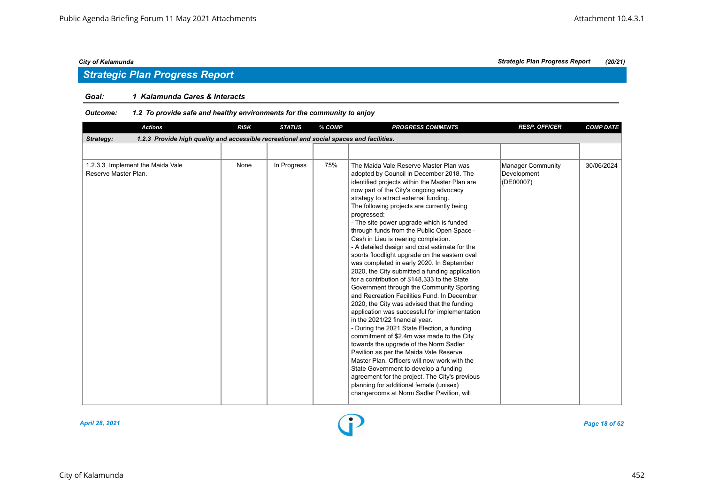### *Goal: 1 Kalamunda Cares & Interacts*

### *Outcome: 1.2 To provide safe and healthy environments for the community to enjoy*

| <b>Actions</b>                                                                                        | <b>RISK</b> | <b>STATUS</b> | % COMP | <b>PROGRESS COMMENTS</b>                                                                                                                                                                                                                                                                                                                                                                                                                                                                                                                                                                                                                                                                                                                                                                                                                                                                                                                                                                                                                                                                                                                                                                                                                                                                                                 | <b>RESP. OFFICER</b>                          | <b>COMP DATE</b> |
|-------------------------------------------------------------------------------------------------------|-------------|---------------|--------|--------------------------------------------------------------------------------------------------------------------------------------------------------------------------------------------------------------------------------------------------------------------------------------------------------------------------------------------------------------------------------------------------------------------------------------------------------------------------------------------------------------------------------------------------------------------------------------------------------------------------------------------------------------------------------------------------------------------------------------------------------------------------------------------------------------------------------------------------------------------------------------------------------------------------------------------------------------------------------------------------------------------------------------------------------------------------------------------------------------------------------------------------------------------------------------------------------------------------------------------------------------------------------------------------------------------------|-----------------------------------------------|------------------|
| 1.2.3 Provide high quality and accessible recreational and social spaces and facilities.<br>Strategy: |             |               |        |                                                                                                                                                                                                                                                                                                                                                                                                                                                                                                                                                                                                                                                                                                                                                                                                                                                                                                                                                                                                                                                                                                                                                                                                                                                                                                                          |                                               |                  |
|                                                                                                       |             |               |        |                                                                                                                                                                                                                                                                                                                                                                                                                                                                                                                                                                                                                                                                                                                                                                                                                                                                                                                                                                                                                                                                                                                                                                                                                                                                                                                          |                                               |                  |
| 1.2.3.3 Implement the Maida Vale<br>Reserve Master Plan.                                              | None        | In Progress   | 75%    | The Maida Vale Reserve Master Plan was<br>adopted by Council in December 2018. The<br>identified projects within the Master Plan are<br>now part of the City's ongoing advocacy<br>strategy to attract external funding.<br>The following projects are currently being<br>progressed:<br>- The site power upgrade which is funded<br>through funds from the Public Open Space -<br>Cash in Lieu is nearing completion.<br>- A detailed design and cost estimate for the<br>sports floodlight upgrade on the eastern oval<br>was completed in early 2020. In September<br>2020, the City submitted a funding application<br>for a contribution of \$148,333 to the State<br>Government through the Community Sporting<br>and Recreation Facilities Fund. In December<br>2020, the City was advised that the funding<br>application was successful for implementation<br>in the 2021/22 financial year.<br>- During the 2021 State Election, a funding<br>commitment of \$2.4m was made to the City<br>towards the upgrade of the Norm Sadler<br>Pavilion as per the Maida Vale Reserve<br>Master Plan. Officers will now work with the<br>State Government to develop a funding<br>agreement for the project. The City's previous<br>planning for additional female (unisex)<br>changerooms at Norm Sadler Pavilion, will | Manager Community<br>Development<br>(DE00007) | 30/06/2024       |



### *City of Kalamunda Strategic Plan Progress Report (20/21)*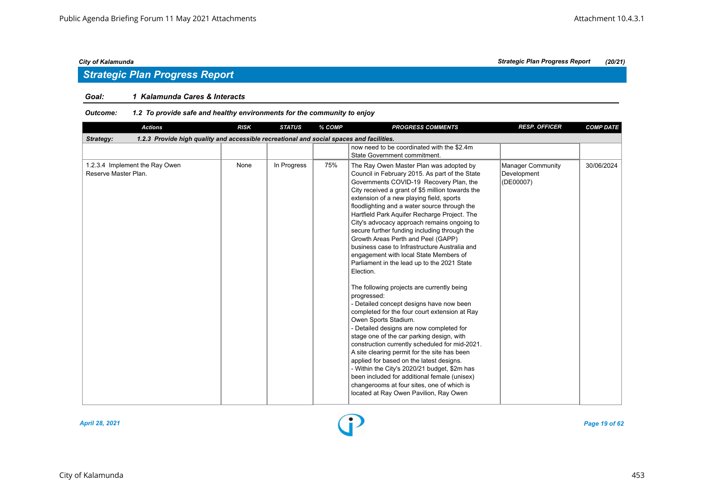# *Strategic Plan Progress Report*

### *Goal: 1 Kalamunda Cares & Interacts*

| <b>Actions</b>                                                                                        | <b>RISK</b> | <b>STATUS</b> | % COMP | <b>PROGRESS COMMENTS</b>                                                                                                                                                                                                                                                                                                                                                                                                                                                                                                                                                                                                                                                                                                                                                                                                                                                                                                                                                                                                                                                                                                                                                                                                                          | <b>RESP. OFFICER</b>                          | <b>COMP DATE</b> |
|-------------------------------------------------------------------------------------------------------|-------------|---------------|--------|---------------------------------------------------------------------------------------------------------------------------------------------------------------------------------------------------------------------------------------------------------------------------------------------------------------------------------------------------------------------------------------------------------------------------------------------------------------------------------------------------------------------------------------------------------------------------------------------------------------------------------------------------------------------------------------------------------------------------------------------------------------------------------------------------------------------------------------------------------------------------------------------------------------------------------------------------------------------------------------------------------------------------------------------------------------------------------------------------------------------------------------------------------------------------------------------------------------------------------------------------|-----------------------------------------------|------------------|
| 1.2.3 Provide high quality and accessible recreational and social spaces and facilities.<br>Strategy: |             |               |        |                                                                                                                                                                                                                                                                                                                                                                                                                                                                                                                                                                                                                                                                                                                                                                                                                                                                                                                                                                                                                                                                                                                                                                                                                                                   |                                               |                  |
|                                                                                                       |             |               |        | now need to be coordinated with the \$2.4m<br>State Government commitment.                                                                                                                                                                                                                                                                                                                                                                                                                                                                                                                                                                                                                                                                                                                                                                                                                                                                                                                                                                                                                                                                                                                                                                        |                                               |                  |
| 1.2.3.4 Implement the Ray Owen<br>Reserve Master Plan.                                                | None        | In Progress   | 75%    | The Ray Owen Master Plan was adopted by<br>Council in February 2015. As part of the State<br>Governments COVID-19 Recovery Plan, the<br>City received a grant of \$5 million towards the<br>extension of a new playing field, sports<br>floodlighting and a water source through the<br>Hartfield Park Aquifer Recharge Project. The<br>City's advocacy approach remains ongoing to<br>secure further funding including through the<br>Growth Areas Perth and Peel (GAPP)<br>business case to Infrastructure Australia and<br>engagement with local State Members of<br>Parliament in the lead up to the 2021 State<br>Election.<br>The following projects are currently being<br>progressed:<br>- Detailed concept designs have now been<br>completed for the four court extension at Ray<br>Owen Sports Stadium.<br>- Detailed designs are now completed for<br>stage one of the car parking design, with<br>construction currently scheduled for mid-2021.<br>A site clearing permit for the site has been<br>applied for based on the latest designs.<br>- Within the City's 2020/21 budget, \$2m has<br>been included for additional female (unisex)<br>changerooms at four sites, one of which is<br>located at Ray Owen Pavilion, Ray Owen | Manager Community<br>Development<br>(DE00007) | 30/06/2024       |

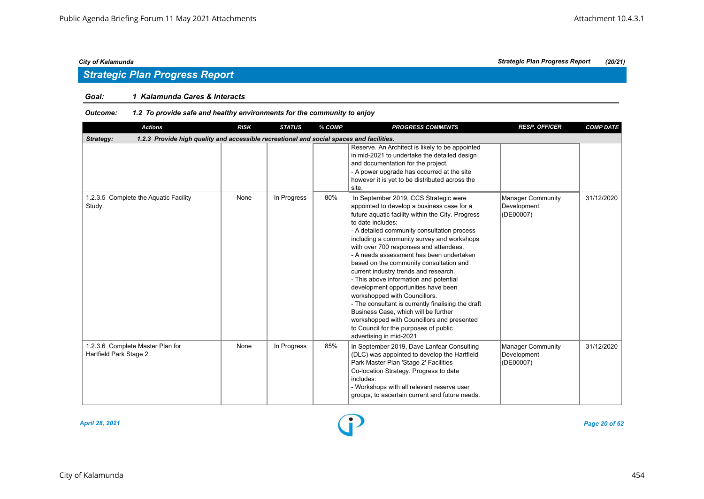# *Strategic Plan Progress Report*

### *Goal: 1 Kalamunda Cares & Interacts*

| <b>Actions</b>                                                                                        | <b>RISK</b> | <b>STATUS</b> | % COMP | <b>PROGRESS COMMENTS</b>                                                                                                                                                                                                                                                                                                                                                                                                                                                                                                                                                                                                                                                                                                                                                | <b>RESP. OFFICER</b>                                 | <b>COMP DATE</b> |
|-------------------------------------------------------------------------------------------------------|-------------|---------------|--------|-------------------------------------------------------------------------------------------------------------------------------------------------------------------------------------------------------------------------------------------------------------------------------------------------------------------------------------------------------------------------------------------------------------------------------------------------------------------------------------------------------------------------------------------------------------------------------------------------------------------------------------------------------------------------------------------------------------------------------------------------------------------------|------------------------------------------------------|------------------|
| 1.2.3 Provide high quality and accessible recreational and social spaces and facilities.<br>Strategy: |             |               |        |                                                                                                                                                                                                                                                                                                                                                                                                                                                                                                                                                                                                                                                                                                                                                                         |                                                      |                  |
|                                                                                                       |             |               |        | Reserve. An Architect is likely to be appointed<br>in mid-2021 to undertake the detailed design<br>and documentation for the project.<br>- A power upgrade has occurred at the site<br>however it is yet to be distributed across the<br>site.                                                                                                                                                                                                                                                                                                                                                                                                                                                                                                                          |                                                      |                  |
| 1.2.3.5 Complete the Aquatic Facility<br>Study.                                                       | None        | In Progress   | 80%    | In September 2019, CCS Strategic were<br>appointed to develop a business case for a<br>future aquatic facility within the City. Progress<br>to date includes:<br>- A detailed community consultation process<br>including a community survey and workshops<br>with over 700 responses and attendees.<br>- A needs assessment has been undertaken<br>based on the community consultation and<br>current industry trends and research.<br>- This above information and potential<br>development opportunities have been<br>workshopped with Councillors.<br>- The consultant is currently finalising the draft<br>Business Case, which will be further<br>workshopped with Councillors and presented<br>to Council for the purposes of public<br>advertising in mid-2021. | Manager Community<br>Development<br>(DE00007)        | 31/12/2020       |
| 1.2.3.6 Complete Master Plan for<br>Hartfield Park Stage 2.                                           | None        | In Progress   | 85%    | In September 2019, Dave Lanfear Consulting<br>(DLC) was appointed to develop the Hartfield<br>Park Master Plan 'Stage 2' Facilities<br>Co-location Strategy. Progress to date<br>includes:<br>- Workshops with all relevant reserve user<br>groups, to ascertain current and future needs.                                                                                                                                                                                                                                                                                                                                                                                                                                                                              | <b>Manager Community</b><br>Development<br>(DE00007) | 31/12/2020       |

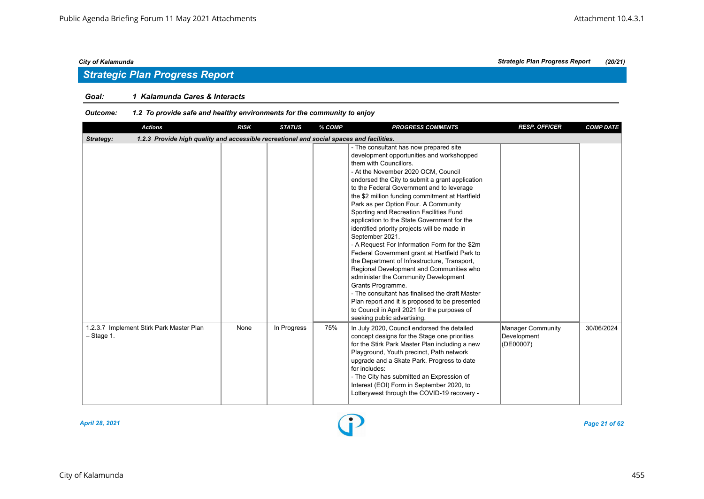# *Strategic Plan Progress Report*

### *Goal: 1 Kalamunda Cares & Interacts*

| <b>Actions</b>                                                                                        | <b>RISK</b> | <b>STATUS</b> | % COMP | <b>PROGRESS COMMENTS</b>                                                                                                                                                                                                                                                                                                                                                                                                                                                                                                                                                                                                                                                                                                                                                                                                                                                                                                                                    | <b>RESP. OFFICER</b>                          | <b>COMP DATE</b> |
|-------------------------------------------------------------------------------------------------------|-------------|---------------|--------|-------------------------------------------------------------------------------------------------------------------------------------------------------------------------------------------------------------------------------------------------------------------------------------------------------------------------------------------------------------------------------------------------------------------------------------------------------------------------------------------------------------------------------------------------------------------------------------------------------------------------------------------------------------------------------------------------------------------------------------------------------------------------------------------------------------------------------------------------------------------------------------------------------------------------------------------------------------|-----------------------------------------------|------------------|
| 1.2.3 Provide high quality and accessible recreational and social spaces and facilities.<br>Strategy: |             |               |        |                                                                                                                                                                                                                                                                                                                                                                                                                                                                                                                                                                                                                                                                                                                                                                                                                                                                                                                                                             |                                               |                  |
|                                                                                                       |             |               |        | - The consultant has now prepared site<br>development opportunities and workshopped<br>them with Councillors.<br>- At the November 2020 OCM, Council<br>endorsed the City to submit a grant application<br>to the Federal Government and to leverage<br>the \$2 million funding commitment at Hartfield<br>Park as per Option Four. A Community<br>Sporting and Recreation Facilities Fund<br>application to the State Government for the<br>identified priority projects will be made in<br>September 2021.<br>- A Request For Information Form for the \$2m<br>Federal Government grant at Hartfield Park to<br>the Department of Infrastructure, Transport,<br>Regional Development and Communities who<br>administer the Community Development<br>Grants Programme.<br>- The consultant has finalised the draft Master<br>Plan report and it is proposed to be presented<br>to Council in April 2021 for the purposes of<br>seeking public advertising. |                                               |                  |
| 1.2.3.7 Implement Stirk Park Master Plan<br>$-$ Stage 1.                                              | None        | In Progress   | 75%    | In July 2020, Council endorsed the detailed<br>concept designs for the Stage one priorities<br>for the Stirk Park Master Plan including a new<br>Playground, Youth precinct, Path network<br>upgrade and a Skate Park. Progress to date<br>for includes:<br>- The City has submitted an Expression of<br>Interest (EOI) Form in September 2020, to<br>Lotterywest through the COVID-19 recovery -                                                                                                                                                                                                                                                                                                                                                                                                                                                                                                                                                           | Manager Community<br>Development<br>(DE00007) | 30/06/2024       |

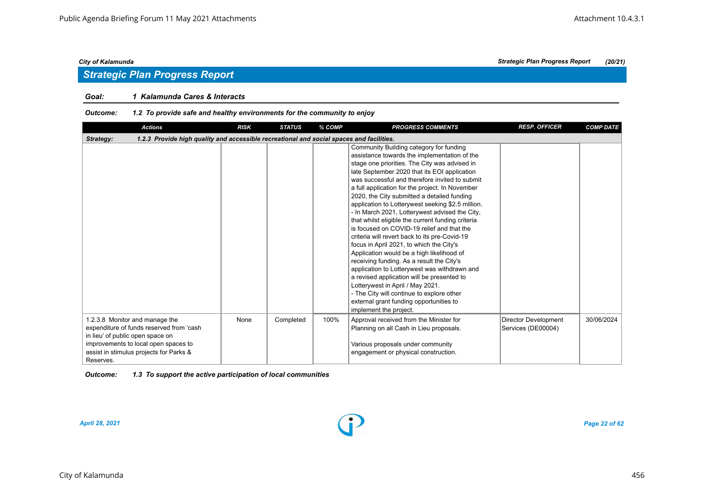### *Goal: 1 Kalamunda Cares & Interacts*

| <b>Actions</b>                                                                                                                                                                                                 | <b>RISK</b> | <b>STATUS</b> | % COMP | <b>PROGRESS COMMENTS</b>                                                                                                                                                                                                                                                                                                                                                                                                                                                                                                                                                                                                                                                                                                                                                                                                                                                                                                                                                                          | <b>RESP. OFFICER</b>                              | <b>COMP DATE</b> |
|----------------------------------------------------------------------------------------------------------------------------------------------------------------------------------------------------------------|-------------|---------------|--------|---------------------------------------------------------------------------------------------------------------------------------------------------------------------------------------------------------------------------------------------------------------------------------------------------------------------------------------------------------------------------------------------------------------------------------------------------------------------------------------------------------------------------------------------------------------------------------------------------------------------------------------------------------------------------------------------------------------------------------------------------------------------------------------------------------------------------------------------------------------------------------------------------------------------------------------------------------------------------------------------------|---------------------------------------------------|------------------|
| 1.2.3 Provide high quality and accessible recreational and social spaces and facilities.<br>Strategy:                                                                                                          |             |               |        |                                                                                                                                                                                                                                                                                                                                                                                                                                                                                                                                                                                                                                                                                                                                                                                                                                                                                                                                                                                                   |                                                   |                  |
|                                                                                                                                                                                                                |             |               |        | Community Building category for funding<br>assistance towards the implementation of the<br>stage one priorities. The City was advised in<br>late September 2020 that its EOI application<br>was successful and therefore invited to submit<br>a full application for the project. In November<br>2020, the City submitted a detailed funding<br>application to Lotterywest seeking \$2.5 million.<br>- In March 2021, Lotterywest advised the City,<br>that whilst eligible the current funding criteria<br>is focused on COVID-19 relief and that the<br>criteria will revert back to its pre-Covid-19<br>focus in April 2021, to which the City's<br>Application would be a high likelihood of<br>receiving funding. As a result the City's<br>application to Lotterywest was withdrawn and<br>a revised application will be presented to<br>Lotterywest in April / May 2021.<br>- The City will continue to explore other<br>external grant funding opportunities to<br>implement the project. |                                                   |                  |
| 1.2.3.8 Monitor and manage the<br>expenditure of funds reserved from 'cash<br>in lieu' of public open space on<br>improvements to local open spaces to<br>assist in stimulus projects for Parks &<br>Reserves. | None        | Completed     | 100%   | Approval received from the Minister for<br>Planning on all Cash in Lieu proposals.<br>Various proposals under community<br>engagement or physical construction.                                                                                                                                                                                                                                                                                                                                                                                                                                                                                                                                                                                                                                                                                                                                                                                                                                   | <b>Director Development</b><br>Services (DE00004) | 30/06/2024       |

| <b>Outcome:</b> | 1.3 To support the active participation of local communities |
|-----------------|--------------------------------------------------------------|
|-----------------|--------------------------------------------------------------|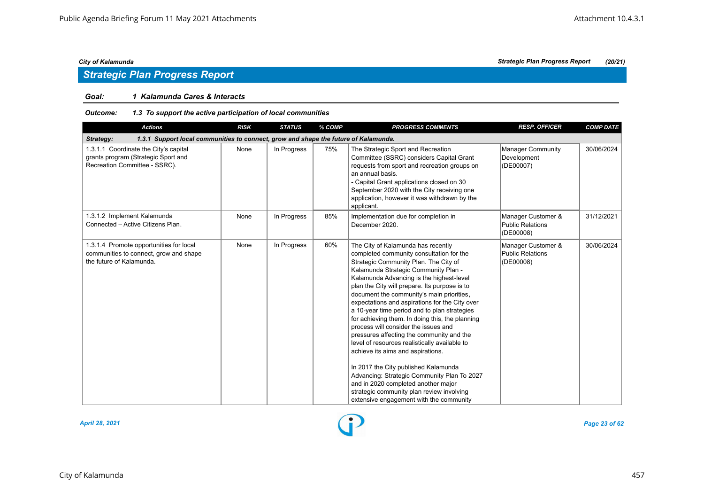# *Strategic Plan Progress Report*

### *Goal: 1 Kalamunda Cares & Interacts*

### *Outcome: 1.3 To support the active participation of local communities*

| <b>Actions</b>                                                                                                | <b>RISK</b> | <b>STATUS</b> | % COMP | <b>PROGRESS COMMENTS</b>                                                                                                                                                                                                                                                                                                                                                                                                                                                                                                                                                                                                                                                                                                                                                                                                                                        | <b>RESP. OFFICER</b>                                       | <b>COMP DATE</b> |
|---------------------------------------------------------------------------------------------------------------|-------------|---------------|--------|-----------------------------------------------------------------------------------------------------------------------------------------------------------------------------------------------------------------------------------------------------------------------------------------------------------------------------------------------------------------------------------------------------------------------------------------------------------------------------------------------------------------------------------------------------------------------------------------------------------------------------------------------------------------------------------------------------------------------------------------------------------------------------------------------------------------------------------------------------------------|------------------------------------------------------------|------------------|
| 1.3.1 Support local communities to connect, grow and shape the future of Kalamunda.<br>Strategy:              |             |               |        |                                                                                                                                                                                                                                                                                                                                                                                                                                                                                                                                                                                                                                                                                                                                                                                                                                                                 |                                                            |                  |
| 1.3.1.1 Coordinate the City's capital<br>grants program (Strategic Sport and<br>Recreation Committee - SSRC). | None        | In Progress   | 75%    | The Strategic Sport and Recreation<br>Committee (SSRC) considers Capital Grant<br>requests from sport and recreation groups on<br>an annual basis.<br>- Capital Grant applications closed on 30<br>September 2020 with the City receiving one<br>application, however it was withdrawn by the<br>applicant.                                                                                                                                                                                                                                                                                                                                                                                                                                                                                                                                                     | <b>Manager Community</b><br>Development<br>(DE00007)       | 30/06/2024       |
| 1.3.1.2 Implement Kalamunda<br>Connected - Active Citizens Plan.                                              | None        | In Progress   | 85%    | Implementation due for completion in<br>December 2020.                                                                                                                                                                                                                                                                                                                                                                                                                                                                                                                                                                                                                                                                                                                                                                                                          | Manager Customer &<br><b>Public Relations</b><br>(DE00008) | 31/12/2021       |
| 1.3.1.4 Promote opportunities for local<br>communities to connect, grow and shape<br>the future of Kalamunda. | None        | In Progress   | 60%    | The City of Kalamunda has recently<br>completed community consultation for the<br>Strategic Community Plan. The City of<br>Kalamunda Strategic Community Plan -<br>Kalamunda Advancing is the highest-level<br>plan the City will prepare. Its purpose is to<br>document the community's main priorities,<br>expectations and aspirations for the City over<br>a 10-year time period and to plan strategies<br>for achieving them. In doing this, the planning<br>process will consider the issues and<br>pressures affecting the community and the<br>level of resources realistically available to<br>achieve its aims and aspirations.<br>In 2017 the City published Kalamunda<br>Advancing: Strategic Community Plan To 2027<br>and in 2020 completed another major<br>strategic community plan review involving<br>extensive engagement with the community | Manager Customer &<br><b>Public Relations</b><br>(DE00008) | 30/06/2024       |



*April 28, 2021 Page 23 of 62*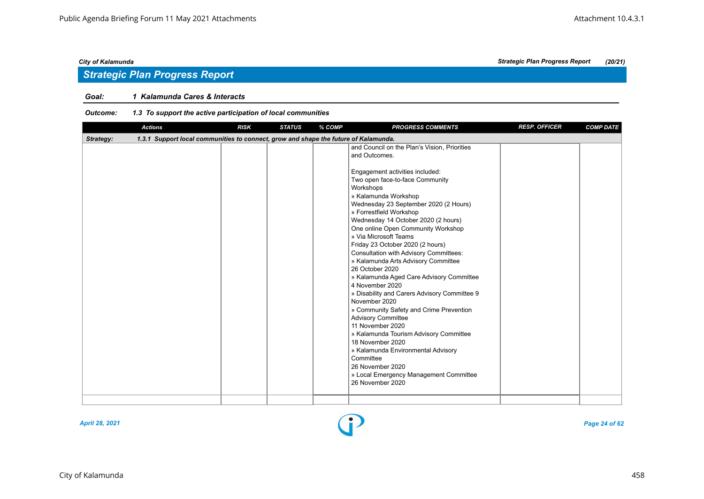# *Strategic Plan Progress Report*

### *Goal: 1 Kalamunda Cares & Interacts*

| <b>Actions</b>                                                                                   | <b>RISK</b> | <b>STATUS</b> | % COMP | <b>PROGRESS COMMENTS</b>                                                                                                                                                                                                                                                                                                                                                                                                                                                                                                                                                                                                                                                                                                                                                                                                                                                                                                  | <b>RESP. OFFICER</b> | <b>COMP DATE</b> |
|--------------------------------------------------------------------------------------------------|-------------|---------------|--------|---------------------------------------------------------------------------------------------------------------------------------------------------------------------------------------------------------------------------------------------------------------------------------------------------------------------------------------------------------------------------------------------------------------------------------------------------------------------------------------------------------------------------------------------------------------------------------------------------------------------------------------------------------------------------------------------------------------------------------------------------------------------------------------------------------------------------------------------------------------------------------------------------------------------------|----------------------|------------------|
| 1.3.1 Support local communities to connect, grow and shape the future of Kalamunda.<br>Strategy: |             |               |        |                                                                                                                                                                                                                                                                                                                                                                                                                                                                                                                                                                                                                                                                                                                                                                                                                                                                                                                           |                      |                  |
|                                                                                                  |             |               |        | and Council on the Plan's Vision, Priorities<br>and Outcomes.<br>Engagement activities included:<br>Two open face-to-face Community<br>Workshops<br>» Kalamunda Workshop<br>Wednesday 23 September 2020 (2 Hours)<br>» Forrestfield Workshop<br>Wednesday 14 October 2020 (2 hours)<br>One online Open Community Workshop<br>» Via Microsoft Teams<br>Friday 23 October 2020 (2 hours)<br>Consultation with Advisory Committees:<br>» Kalamunda Arts Advisory Committee<br>26 October 2020<br>» Kalamunda Aged Care Advisory Committee<br>4 November 2020<br>» Disability and Carers Advisory Committee 9<br>November 2020<br>» Community Safety and Crime Prevention<br><b>Advisory Committee</b><br>11 November 2020<br>» Kalamunda Tourism Advisory Committee<br>18 November 2020<br>» Kalamunda Environmental Advisory<br>Committee<br>26 November 2020<br>» Local Emergency Management Committee<br>26 November 2020 |                      |                  |
|                                                                                                  |             |               |        |                                                                                                                                                                                                                                                                                                                                                                                                                                                                                                                                                                                                                                                                                                                                                                                                                                                                                                                           |                      |                  |

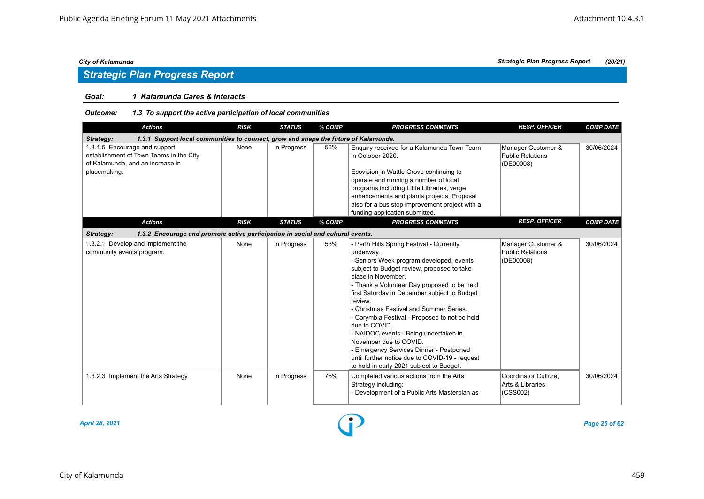# *Strategic Plan Progress Report*

### *Goal: 1 Kalamunda Cares & Interacts*

### *Outcome: 1.3 To support the active participation of local communities*

| <b>Actions</b>                                                                                                               | <b>RISK</b> | <b>STATUS</b> | % COMP | <b>PROGRESS COMMENTS</b>                                                                                                                                                                                                                                                                                                                                                                                                                                                                                                                                                                                  | <b>RESP. OFFICER</b>                                       | <b>COMP DATE</b> |  |  |  |  |
|------------------------------------------------------------------------------------------------------------------------------|-------------|---------------|--------|-----------------------------------------------------------------------------------------------------------------------------------------------------------------------------------------------------------------------------------------------------------------------------------------------------------------------------------------------------------------------------------------------------------------------------------------------------------------------------------------------------------------------------------------------------------------------------------------------------------|------------------------------------------------------------|------------------|--|--|--|--|
| 1.3.1 Support local communities to connect, grow and shape the future of Kalamunda.<br>Strategy:                             |             |               |        |                                                                                                                                                                                                                                                                                                                                                                                                                                                                                                                                                                                                           |                                                            |                  |  |  |  |  |
| 1.3.1.5 Encourage and support<br>establishment of Town Teams in the City<br>of Kalamunda, and an increase in<br>placemaking. | None        | In Progress   | 56%    | Enquiry received for a Kalamunda Town Team<br>in October 2020.<br>Ecovision in Wattle Grove continuing to<br>operate and running a number of local<br>programs including Little Libraries, verge<br>enhancements and plants projects. Proposal<br>also for a bus stop improvement project with a<br>funding application submitted.                                                                                                                                                                                                                                                                        | Manager Customer &<br><b>Public Relations</b><br>(DE00008) | 30/06/2024       |  |  |  |  |
| <b>Actions</b>                                                                                                               | <b>RISK</b> | <b>STATUS</b> | % COMP | <b>PROGRESS COMMENTS</b>                                                                                                                                                                                                                                                                                                                                                                                                                                                                                                                                                                                  | <b>RESP. OFFICER</b>                                       | <b>COMP DATE</b> |  |  |  |  |
| 1.3.2 Encourage and promote active participation in social and cultural events.<br>Strategy:                                 |             |               |        |                                                                                                                                                                                                                                                                                                                                                                                                                                                                                                                                                                                                           |                                                            |                  |  |  |  |  |
| 1.3.2.1 Develop and implement the<br>community events program.                                                               | None        | In Progress   | 53%    | - Perth Hills Spring Festival - Currently<br>underway.<br>- Seniors Week program developed, events<br>subject to Budget review, proposed to take<br>place in November.<br>- Thank a Volunteer Day proposed to be held<br>first Saturday in December subject to Budget<br>review.<br>- Christmas Festival and Summer Series.<br>- Corymbia Festival - Proposed to not be held<br>due to COVID.<br>- NAIDOC events - Being undertaken in<br>November due to COVID.<br>- Emergency Services Dinner - Postponed<br>until further notice due to COVID-19 - request<br>to hold in early 2021 subject to Budget. | Manager Customer &<br>Public Relations<br>(DE00008)        | 30/06/2024       |  |  |  |  |
| 1.3.2.3 Implement the Arts Strategy.                                                                                         | None        | In Progress   | 75%    | Completed various actions from the Arts<br>Strategy including:<br>- Development of a Public Arts Masterplan as                                                                                                                                                                                                                                                                                                                                                                                                                                                                                            | Coordinator Culture,<br>Arts & Libraries<br>(CSS002)       | 30/06/2024       |  |  |  |  |

*April 28, 2021 Page 25 of 62*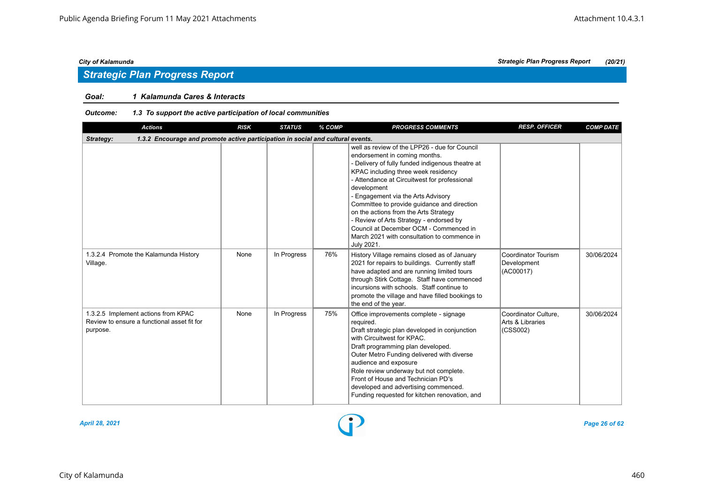# *Strategic Plan Progress Report*

### *Goal: 1 Kalamunda Cares & Interacts*

| <b>Actions</b>                                                                                 | <b>RISK</b> | <b>STATUS</b> | % COMP | <b>PROGRESS COMMENTS</b>                                                                                                                                                                                                                                                                                                                                                                                                                                                                                                 | <b>RESP. OFFICER</b>                                 | <b>COMP DATE</b> |  |  |  |  |  |
|------------------------------------------------------------------------------------------------|-------------|---------------|--------|--------------------------------------------------------------------------------------------------------------------------------------------------------------------------------------------------------------------------------------------------------------------------------------------------------------------------------------------------------------------------------------------------------------------------------------------------------------------------------------------------------------------------|------------------------------------------------------|------------------|--|--|--|--|--|
| Strategy:<br>1.3.2 Encourage and promote active participation in social and cultural events.   |             |               |        |                                                                                                                                                                                                                                                                                                                                                                                                                                                                                                                          |                                                      |                  |  |  |  |  |  |
|                                                                                                |             |               |        | well as review of the LPP26 - due for Council<br>endorsement in coming months.<br>- Delivery of fully funded indigenous theatre at<br>KPAC including three week residency<br>- Attendance at Circuitwest for professional<br>development<br>- Engagement via the Arts Advisory<br>Committee to provide guidance and direction<br>on the actions from the Arts Strategy<br>- Review of Arts Strategy - endorsed by<br>Council at December OCM - Commenced in<br>March 2021 with consultation to commence in<br>July 2021. |                                                      |                  |  |  |  |  |  |
| 1.3.2.4 Promote the Kalamunda History<br>Village.                                              | None        | In Progress   | 76%    | History Village remains closed as of January<br>2021 for repairs to buildings. Currently staff<br>have adapted and are running limited tours<br>through Stirk Cottage. Staff have commenced<br>incursions with schools. Staff continue to<br>promote the village and have filled bookings to<br>the end of the year.                                                                                                                                                                                                     | Coordinator Tourism<br>Development<br>(AC00017)      | 30/06/2024       |  |  |  |  |  |
| 1.3.2.5 Implement actions from KPAC<br>Review to ensure a functional asset fit for<br>purpose. | None        | In Progress   | 75%    | Office improvements complete - signage<br>required.<br>Draft strategic plan developed in conjunction<br>with Circuitwest for KPAC.<br>Draft programming plan developed.<br>Outer Metro Funding delivered with diverse<br>audience and exposure<br>Role review underway but not complete.<br>Front of House and Technician PD's<br>developed and advertising commenced.<br>Funding requested for kitchen renovation, and                                                                                                  | Coordinator Culture,<br>Arts & Libraries<br>(CSS002) | 30/06/2024       |  |  |  |  |  |

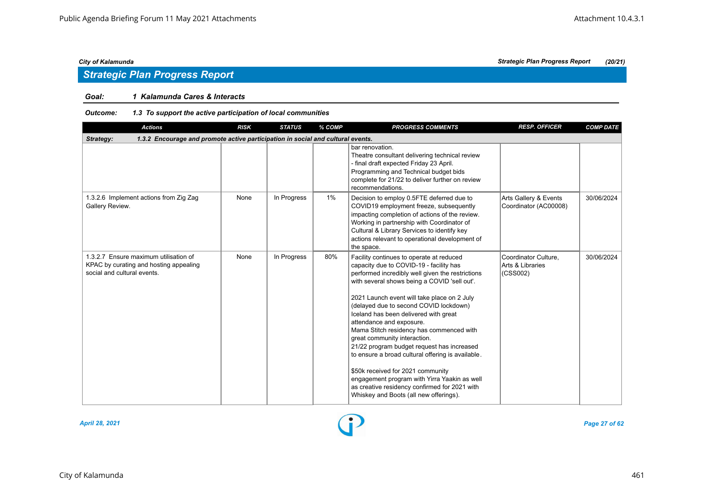### *Goal: 1 Kalamunda Cares & Interacts*

| <b>Actions</b>                                                                                                 | <b>RISK</b> | <b>STATUS</b> | % COMP | <b>PROGRESS COMMENTS</b>                                                                                                                                                                                                                                                                                                                                                                                                                                                                                                                                                                                                                                                                                             | <b>RESP. OFFICER</b>                                 | <b>COMP DATE</b> |
|----------------------------------------------------------------------------------------------------------------|-------------|---------------|--------|----------------------------------------------------------------------------------------------------------------------------------------------------------------------------------------------------------------------------------------------------------------------------------------------------------------------------------------------------------------------------------------------------------------------------------------------------------------------------------------------------------------------------------------------------------------------------------------------------------------------------------------------------------------------------------------------------------------------|------------------------------------------------------|------------------|
| 1.3.2 Encourage and promote active participation in social and cultural events.<br>Strategy:                   |             |               |        |                                                                                                                                                                                                                                                                                                                                                                                                                                                                                                                                                                                                                                                                                                                      |                                                      |                  |
|                                                                                                                |             |               |        | bar renovation.<br>Theatre consultant delivering technical review<br>- final draft expected Friday 23 April.<br>Programming and Technical budget bids<br>complete for 21/22 to deliver further on review<br>recommendations.                                                                                                                                                                                                                                                                                                                                                                                                                                                                                         |                                                      |                  |
| 1.3.2.6 Implement actions from Zig Zag<br>Gallery Review.                                                      | None        | In Progress   | 1%     | Decision to employ 0.5FTE deferred due to<br>COVID19 employment freeze, subsequently<br>impacting completion of actions of the review.<br>Working in partnership with Coordinator of<br>Cultural & Library Services to identify key<br>actions relevant to operational development of<br>the space.                                                                                                                                                                                                                                                                                                                                                                                                                  | Arts Gallery & Events<br>Coordinator (AC00008)       | 30/06/2024       |
| 1.3.2.7 Ensure maximum utilisation of<br>KPAC by curating and hosting appealing<br>social and cultural events. | None        | In Progress   | 80%    | Facility continues to operate at reduced<br>capacity due to COVID-19 - facility has<br>performed incredibly well given the restrictions<br>with several shows being a COVID 'sell out'.<br>2021 Launch event will take place on 2 July<br>(delayed due to second COVID lockdown)<br>Iceland has been delivered with great<br>attendance and exposure.<br>Mama Stitch residency has commenced with<br>great community interaction.<br>21/22 program budget request has increased<br>to ensure a broad cultural offering is available.<br>\$50k received for 2021 community<br>engagement program with Yirra Yaakin as well<br>as creative residency confirmed for 2021 with<br>Whiskey and Boots (all new offerings). | Coordinator Culture,<br>Arts & Libraries<br>(CSS002) | 30/06/2024       |

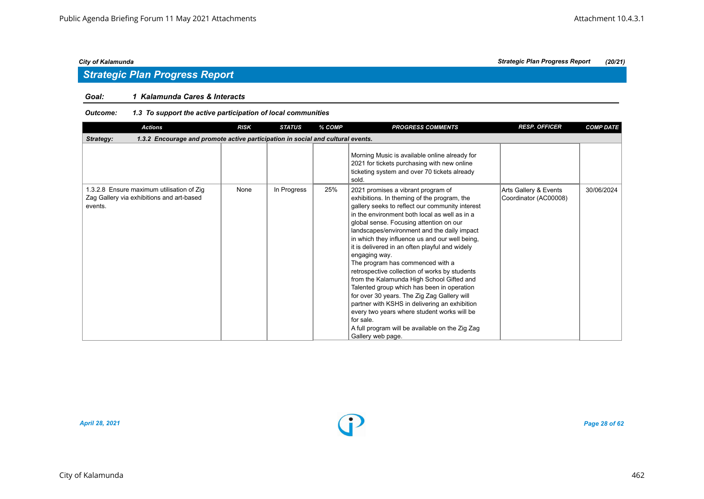### *Goal: 1 Kalamunda Cares & Interacts*

| <b>Actions</b>                                                                                    | <b>RISK</b> | <b>STATUS</b> | % COMP | <b>PROGRESS COMMENTS</b>                                                                                                                                                                                                                                                                                                                                                                                                                                                                                                                                                                                                                                                                                                                                                                                                 | <b>RESP. OFFICER</b>                           | <b>COMP DATE</b> |  |  |  |  |  |
|---------------------------------------------------------------------------------------------------|-------------|---------------|--------|--------------------------------------------------------------------------------------------------------------------------------------------------------------------------------------------------------------------------------------------------------------------------------------------------------------------------------------------------------------------------------------------------------------------------------------------------------------------------------------------------------------------------------------------------------------------------------------------------------------------------------------------------------------------------------------------------------------------------------------------------------------------------------------------------------------------------|------------------------------------------------|------------------|--|--|--|--|--|
| 1.3.2 Encourage and promote active participation in social and cultural events.<br>Strategy:      |             |               |        |                                                                                                                                                                                                                                                                                                                                                                                                                                                                                                                                                                                                                                                                                                                                                                                                                          |                                                |                  |  |  |  |  |  |
|                                                                                                   |             |               |        | Morning Music is available online already for<br>2021 for tickets purchasing with new online<br>ticketing system and over 70 tickets already<br>sold.                                                                                                                                                                                                                                                                                                                                                                                                                                                                                                                                                                                                                                                                    |                                                |                  |  |  |  |  |  |
| 1.3.2.8 Ensure maximum utilisation of Zig<br>Zag Gallery via exhibitions and art-based<br>events. | None        | In Progress   | 25%    | 2021 promises a vibrant program of<br>exhibitions. In theming of the program, the<br>gallery seeks to reflect our community interest<br>in the environment both local as well as in a<br>global sense. Focusing attention on our<br>landscapes/environment and the daily impact<br>in which they influence us and our well being,<br>it is delivered in an often playful and widely<br>engaging way.<br>The program has commenced with a<br>retrospective collection of works by students<br>from the Kalamunda High School Gifted and<br>Talented group which has been in operation<br>for over 30 years. The Zig Zag Gallery will<br>partner with KSHS in delivering an exhibition<br>every two years where student works will be<br>for sale.<br>A full program will be available on the Zig Zag<br>Gallery web page. | Arts Gallery & Events<br>Coordinator (AC00008) | 30/06/2024       |  |  |  |  |  |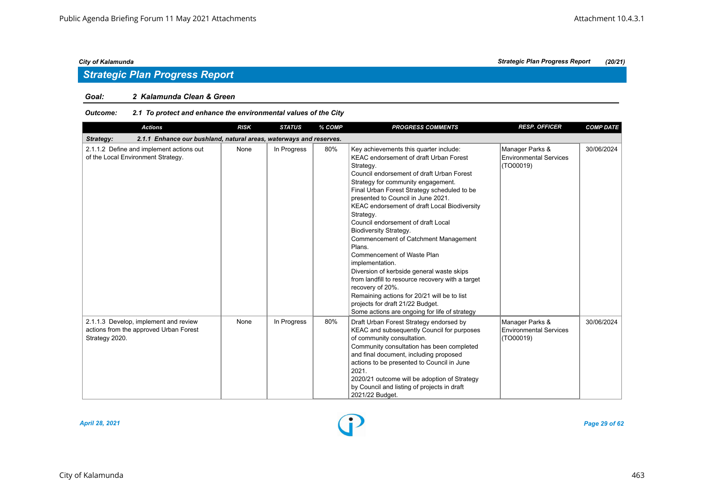#### *Goal: 2 Kalamunda Clean & Green*

### *Outcome: 2.1 To protect and enhance the environmental values of the City*

| <b>Actions</b>                                                                                    | <b>RISK</b> | <b>STATUS</b> | % COMP | <b>PROGRESS COMMENTS</b>                                                                                                                                                                                                                                                                                                                                                                                                                                                                                                                                                                                                                                                                                                                                              | <b>RESP. OFFICER</b>                                          | <b>COMP DATE</b> |
|---------------------------------------------------------------------------------------------------|-------------|---------------|--------|-----------------------------------------------------------------------------------------------------------------------------------------------------------------------------------------------------------------------------------------------------------------------------------------------------------------------------------------------------------------------------------------------------------------------------------------------------------------------------------------------------------------------------------------------------------------------------------------------------------------------------------------------------------------------------------------------------------------------------------------------------------------------|---------------------------------------------------------------|------------------|
| Strategy:<br>2.1.1 Enhance our bushland, natural areas, waterways and reserves.                   |             |               |        |                                                                                                                                                                                                                                                                                                                                                                                                                                                                                                                                                                                                                                                                                                                                                                       |                                                               |                  |
| 2.1.1.2 Define and implement actions out<br>of the Local Environment Strategy.                    | None        | In Progress   | 80%    | Key achievements this quarter include:<br><b>KEAC endorsement of draft Urban Forest</b><br>Strategy.<br>Council endorsement of draft Urban Forest<br>Strategy for community engagement.<br>Final Urban Forest Strategy scheduled to be<br>presented to Council in June 2021.<br>KEAC endorsement of draft Local Biodiversity<br>Strategy.<br>Council endorsement of draft Local<br>Biodiversity Strategy.<br>Commencement of Catchment Management<br>Plans.<br>Commencement of Waste Plan<br>implementation.<br>Diversion of kerbside general waste skips<br>from landfill to resource recovery with a target<br>recovery of 20%.<br>Remaining actions for 20/21 will be to list<br>projects for draft 21/22 Budget.<br>Some actions are ongoing for life of strategy | Manager Parks &<br><b>Environmental Services</b><br>(TO00019) | 30/06/2024       |
| 2.1.1.3 Develop, implement and review<br>actions from the approved Urban Forest<br>Strategy 2020. | None        | In Progress   | 80%    | Draft Urban Forest Strategy endorsed by<br>KEAC and subsequently Council for purposes<br>of community consultation.<br>Community consultation has been completed<br>and final document, including proposed<br>actions to be presented to Council in June<br>2021.<br>2020/21 outcome will be adoption of Strategy<br>by Council and listing of projects in draft<br>2021/22 Budget.                                                                                                                                                                                                                                                                                                                                                                                   | Manager Parks &<br><b>Environmental Services</b><br>(TO00019) | 30/06/2024       |

*City of Kalamunda Strategic Plan Progress Report (20/21)*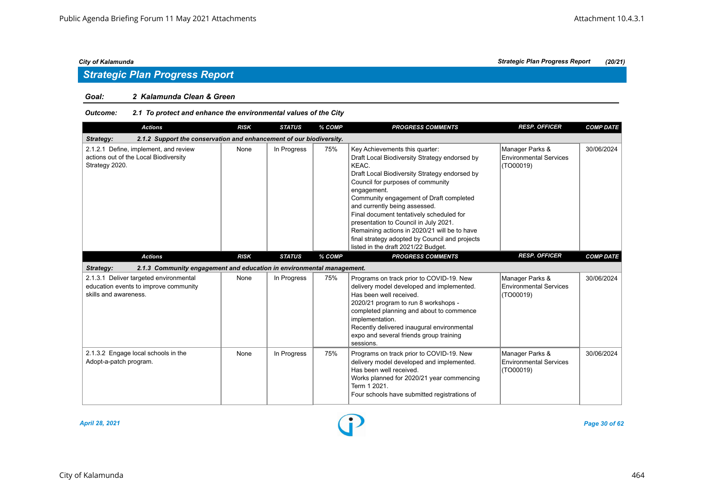# *Strategic Plan Progress Report*

#### *Goal: 2 Kalamunda Clean & Green*

### *Outcome: 2.1 To protect and enhance the environmental values of the City*

| <b>Actions</b>                                                                                           | <b>RISK</b> | <b>STATUS</b> | % COMP | <b>PROGRESS COMMENTS</b>                                                                                                                                                                                                                                                                                                                                                                                                                                                                                | <b>RESP. OFFICER</b>                                          | <b>COMP DATE</b> |  |  |  |  |
|----------------------------------------------------------------------------------------------------------|-------------|---------------|--------|---------------------------------------------------------------------------------------------------------------------------------------------------------------------------------------------------------------------------------------------------------------------------------------------------------------------------------------------------------------------------------------------------------------------------------------------------------------------------------------------------------|---------------------------------------------------------------|------------------|--|--|--|--|
| 2.1.2 Support the conservation and enhancement of our biodiversity.<br>Strategy:                         |             |               |        |                                                                                                                                                                                                                                                                                                                                                                                                                                                                                                         |                                                               |                  |  |  |  |  |
| 2.1.2.1 Define, implement, and review<br>actions out of the Local Biodiversity<br>Strategy 2020.         | None        | In Progress   | 75%    | Key Achievements this quarter:<br>Draft Local Biodiversity Strategy endorsed by<br>KEAC.<br>Draft Local Biodiversity Strategy endorsed by<br>Council for purposes of community<br>engagement.<br>Community engagement of Draft completed<br>and currently being assessed.<br>Final document tentatively scheduled for<br>presentation to Council in July 2021.<br>Remaining actions in 2020/21 will be to have<br>final strategy adopted by Council and projects<br>listed in the draft 2021/22 Budget. | Manager Parks &<br><b>Environmental Services</b><br>(TO00019) | 30/06/2024       |  |  |  |  |
| <b>Actions</b>                                                                                           | <b>RISK</b> | <b>STATUS</b> | % COMP | <b>PROGRESS COMMENTS</b>                                                                                                                                                                                                                                                                                                                                                                                                                                                                                | <b>RESP. OFFICER</b>                                          | <b>COMP DATE</b> |  |  |  |  |
| 2.1.3 Community engagement and education in environmental management.<br>Strategy:                       |             |               |        |                                                                                                                                                                                                                                                                                                                                                                                                                                                                                                         |                                                               |                  |  |  |  |  |
| 2.1.3.1 Deliver targeted environmental<br>education events to improve community<br>skills and awareness. | None        | In Progress   | 75%    | Programs on track prior to COVID-19. New<br>delivery model developed and implemented.<br>Has been well received.<br>2020/21 program to run 8 workshops -<br>completed planning and about to commence<br>implementation.<br>Recently delivered inaugural environmental<br>expo and several friends group training<br>sessions.                                                                                                                                                                           | Manager Parks &<br><b>Environmental Services</b><br>(TO00019) | 30/06/2024       |  |  |  |  |
| 2.1.3.2 Engage local schools in the<br>Adopt-a-patch program.                                            | None        | In Progress   | 75%    | Programs on track prior to COVID-19. New<br>delivery model developed and implemented.<br>Has been well received.<br>Works planned for 2020/21 year commencing<br>Term 1 2021.<br>Four schools have submitted registrations of                                                                                                                                                                                                                                                                           | Manager Parks &<br><b>Environmental Services</b><br>(TO00019) | 30/06/2024       |  |  |  |  |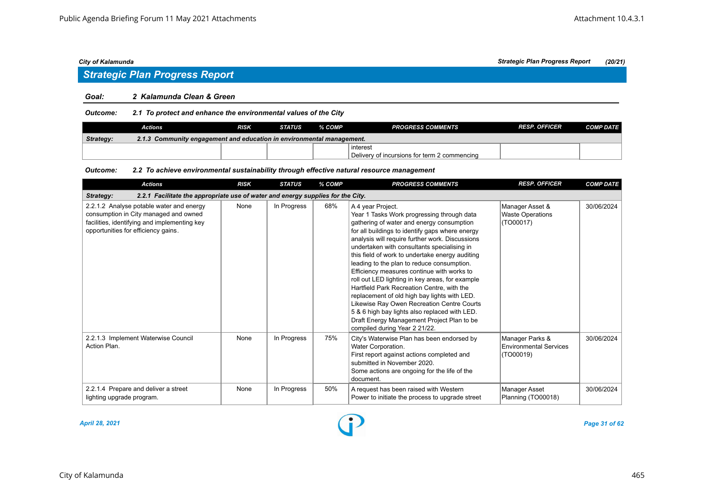### *Strategic Plan Progress Report*

### *Goal: 2 Kalamunda Clean & Green*

#### *Outcome: 2.1 To protect and enhance the environmental values of the City*

|                  | Actions                                                               | RISK | <b>STATUS</b> | % COMP | <b>PROGRESS COMMENTS</b>                     | <b>RESP. OFFICER</b> | <b>COMP DATE</b> |  |  |  |
|------------------|-----------------------------------------------------------------------|------|---------------|--------|----------------------------------------------|----------------------|------------------|--|--|--|
| <b>Strategy:</b> | 2.1.3 Community engagement and education in environmental management. |      |               |        |                                              |                      |                  |  |  |  |
|                  |                                                                       |      |               |        | ∣interest                                    |                      |                  |  |  |  |
|                  |                                                                       |      |               |        | Delivery of incursions for term 2 commencing |                      |                  |  |  |  |

#### *Outcome: 2.2 To achieve environmental sustainability through effective natural resource management*

| <b>Actions</b>                                                                                                                                                           | <b>RISK</b> | <b>STATUS</b> | % COMP | <b>PROGRESS COMMENTS</b>                                                                                                                                                                                                                                                                                                                                                                                                                                                                                                                                                                                                                                                                                                                        | <b>RESP. OFFICER</b>                                    | <b>COMP DATE</b> |  |  |  |  |
|--------------------------------------------------------------------------------------------------------------------------------------------------------------------------|-------------|---------------|--------|-------------------------------------------------------------------------------------------------------------------------------------------------------------------------------------------------------------------------------------------------------------------------------------------------------------------------------------------------------------------------------------------------------------------------------------------------------------------------------------------------------------------------------------------------------------------------------------------------------------------------------------------------------------------------------------------------------------------------------------------------|---------------------------------------------------------|------------------|--|--|--|--|
| 2.2.1 Facilitate the appropriate use of water and energy supplies for the City.<br>Strategy:                                                                             |             |               |        |                                                                                                                                                                                                                                                                                                                                                                                                                                                                                                                                                                                                                                                                                                                                                 |                                                         |                  |  |  |  |  |
| 2.2.1.2 Analyse potable water and energy<br>consumption in City managed and owned<br>facilities, identifying and implementing key<br>opportunities for efficiency gains. | None        | In Progress   | 68%    | A 4 year Project.<br>Year 1 Tasks Work progressing through data<br>gathering of water and energy consumption<br>for all buildings to identify gaps where energy<br>analysis will require further work. Discussions<br>undertaken with consultants specialising in<br>this field of work to undertake energy auditing<br>leading to the plan to reduce consumption.<br>Efficiency measures continue with works to<br>roll out LED lighting in key areas, for example<br>Hartfield Park Recreation Centre, with the<br>replacement of old high bay lights with LED.<br>Likewise Ray Owen Recreation Centre Courts<br>5 & 6 high bay lights also replaced with LED.<br>Draft Energy Management Project Plan to be<br>compiled during Year 2 21/22. | Manager Asset &<br><b>Waste Operations</b><br>(TO00017) | 30/06/2024       |  |  |  |  |
| 2.2.1.3 Implement Waterwise Council<br>Action Plan.                                                                                                                      | None        | In Progress   | 75%    | City's Waterwise Plan has been endorsed by<br>Water Corporation.<br>First report against actions completed and<br>submitted in November 2020.<br>Some actions are ongoing for the life of the<br>document.                                                                                                                                                                                                                                                                                                                                                                                                                                                                                                                                      | Manager Parks &<br>Environmental Services<br>(TO00019)  | 30/06/2024       |  |  |  |  |
| 2.2.1.4 Prepare and deliver a street<br>lighting upgrade program.                                                                                                        | None        | In Progress   | 50%    | A request has been raised with Western<br>Power to initiate the process to upgrade street                                                                                                                                                                                                                                                                                                                                                                                                                                                                                                                                                                                                                                                       | Manager Asset<br>Planning (TO00018)                     | 30/06/2024       |  |  |  |  |

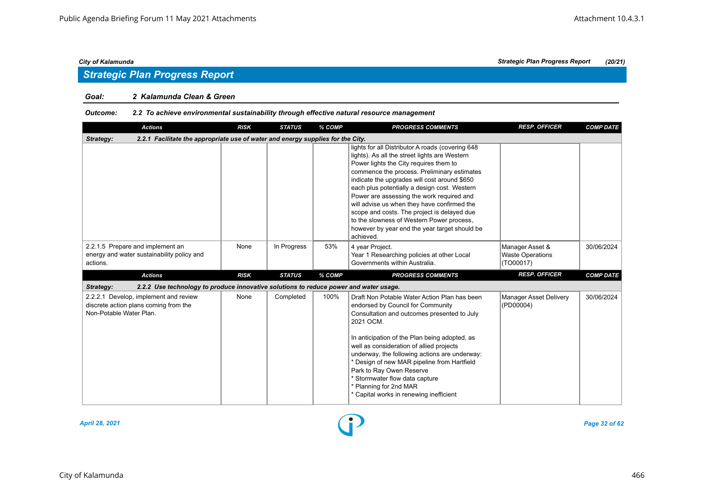# *Strategic Plan Progress Report*

### *Goal: 2 Kalamunda Clean & Green*

### *Outcome: 2.2 To achieve environmental sustainability through effective natural resource management*

| <b>Actions</b>                                                                                            | <b>RISK</b> | <b>STATUS</b> | % COMP | <b>PROGRESS COMMENTS</b>                                                                                                                                                                                                                                                                                                                                                                                                                                                                                                                         | <b>RESP. OFFICER</b>                                    | <b>COMP DATE</b> |  |  |  |  |  |
|-----------------------------------------------------------------------------------------------------------|-------------|---------------|--------|--------------------------------------------------------------------------------------------------------------------------------------------------------------------------------------------------------------------------------------------------------------------------------------------------------------------------------------------------------------------------------------------------------------------------------------------------------------------------------------------------------------------------------------------------|---------------------------------------------------------|------------------|--|--|--|--|--|
| 2.2.1 Facilitate the appropriate use of water and energy supplies for the City.<br>Strategy:              |             |               |        |                                                                                                                                                                                                                                                                                                                                                                                                                                                                                                                                                  |                                                         |                  |  |  |  |  |  |
|                                                                                                           |             |               |        | lights for all Distributor A roads (covering 648<br>lights). As all the street lights are Western<br>Power lights the City requires them to<br>commence the process. Preliminary estimates<br>indicate the upgrades will cost around \$650<br>each plus potentially a design cost. Western<br>Power are assessing the work required and<br>will advise us when they have confirmed the<br>scope and costs. The project is delayed due<br>to the slowness of Western Power process,<br>however by year end the year target should be<br>achieved. |                                                         |                  |  |  |  |  |  |
| 2.2.1.5 Prepare and implement an<br>energy and water sustainability policy and<br>actions.                | None        | In Progress   | 53%    | 4 year Project.<br>Year 1 Researching policies at other Local<br>Governments within Australia.                                                                                                                                                                                                                                                                                                                                                                                                                                                   | Manager Asset &<br><b>Waste Operations</b><br>(TO00017) | 30/06/2024       |  |  |  |  |  |
| <b>Actions</b>                                                                                            | <b>RISK</b> | <b>STATUS</b> | % COMP | <b>PROGRESS COMMENTS</b>                                                                                                                                                                                                                                                                                                                                                                                                                                                                                                                         | <b>RESP. OFFICER</b>                                    | <b>COMP DATE</b> |  |  |  |  |  |
| 2.2.2 Use technology to produce innovative solutions to reduce power and water usage.<br>Strategy:        |             |               |        |                                                                                                                                                                                                                                                                                                                                                                                                                                                                                                                                                  |                                                         |                  |  |  |  |  |  |
| 2.2.2.1 Develop, implement and review<br>discrete action plans coming from the<br>Non-Potable Water Plan. | None        | Completed     | 100%   | Draft Non Potable Water Action Plan has been<br>endorsed by Council for Community<br>Consultation and outcomes presented to July<br>2021 OCM.<br>In anticipation of the Plan being adopted, as<br>well as consideration of allied projects<br>underway, the following actions are underway:<br>* Design of new MAR pipeline from Hartfield<br>Park to Ray Owen Reserve<br>* Stormwater flow data capture<br>* Planning for 2nd MAR<br>* Capital works in renewing inefficient                                                                    | Manager Asset Delivery<br>(PD00004)                     | 30/06/2024       |  |  |  |  |  |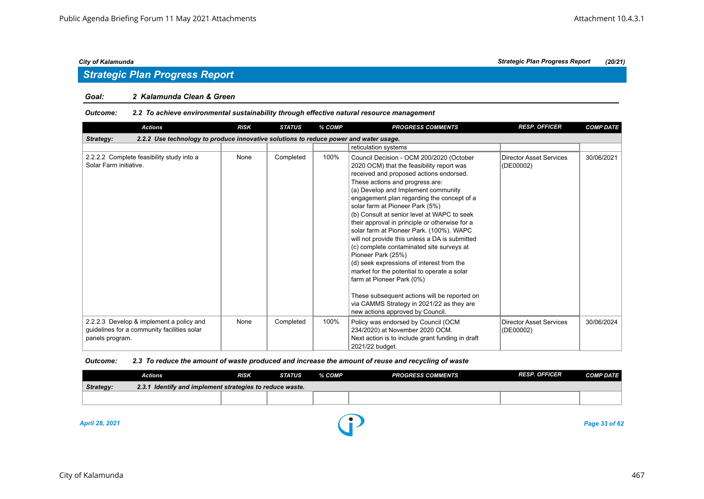#### *Goal: 2 Kalamunda Clean & Green*

#### *Outcome: 2.2 To achieve environmental sustainability through effective natural resource management*

| <b>Actions</b>                                                                                             | <b>RISK</b> | <b>STATUS</b> | % COMP | <b>PROGRESS COMMENTS</b>                                                                                                                                                                                                                                                                                                                                                                                                                                                                                                                                                                                                                                                                                                                                                                                                | <b>RESP. OFFICER</b>                        | <b>COMP DATE</b> |  |  |  |  |  |
|------------------------------------------------------------------------------------------------------------|-------------|---------------|--------|-------------------------------------------------------------------------------------------------------------------------------------------------------------------------------------------------------------------------------------------------------------------------------------------------------------------------------------------------------------------------------------------------------------------------------------------------------------------------------------------------------------------------------------------------------------------------------------------------------------------------------------------------------------------------------------------------------------------------------------------------------------------------------------------------------------------------|---------------------------------------------|------------------|--|--|--|--|--|
| 2.2.2 Use technology to produce innovative solutions to reduce power and water usage.<br>Strategy:         |             |               |        |                                                                                                                                                                                                                                                                                                                                                                                                                                                                                                                                                                                                                                                                                                                                                                                                                         |                                             |                  |  |  |  |  |  |
|                                                                                                            |             |               |        | reticulation systems                                                                                                                                                                                                                                                                                                                                                                                                                                                                                                                                                                                                                                                                                                                                                                                                    |                                             |                  |  |  |  |  |  |
| 2.2.2.2 Complete feasibility study into a<br>Solar Farm initiative.                                        | None        | Completed     | 100%   | Council Decision - OCM 200/2020 (October<br>2020 OCM) that the feasibility report was<br>received and proposed actions endorsed.<br>These actions and progress are:<br>(a) Develop and Implement community<br>engagement plan regarding the concept of a<br>solar farm at Pioneer Park (5%)<br>(b) Consult at senior level at WAPC to seek<br>their approval in principle or otherwise for a<br>solar farm at Pioneer Park. (100%). WAPC<br>will not provide this unless a DA is submitted<br>(c) complete contaminated site surveys at<br>Pioneer Park (25%)<br>(d) seek expressions of interest from the<br>market for the potential to operate a solar<br>farm at Pioneer Park (0%)<br>These subsequent actions will be reported on<br>via CAMMS Strategy in 2021/22 as they are<br>new actions approved by Council. | Director Asset Services<br>(DE00002)        | 30/06/2021       |  |  |  |  |  |
| 2.2.2.3 Develop & implement a policy and<br>guidelines for a community facilities solar<br>panels program. | None        | Completed     | 100%   | Policy was endorsed by Council (OCM<br>234/2020) at November 2020 OCM.<br>Next action is to include grant funding in draft<br>2021/22 budget.                                                                                                                                                                                                                                                                                                                                                                                                                                                                                                                                                                                                                                                                           | <b>Director Asset Services</b><br>(DE00002) | 30/06/2024       |  |  |  |  |  |

#### *Outcome: 2.3 To reduce the amount of waste produced and increase the amount of reuse and recycling of waste*

|                  | Actions                                                  | <b>RISK</b> | <b>STATUS</b> | % COMP | <b>PROGRESS COMMENTS</b> | <b>RESP. OFFICER</b> | <b>COMP DATE</b> |
|------------------|----------------------------------------------------------|-------------|---------------|--------|--------------------------|----------------------|------------------|
| <b>Strategy:</b> | 2.3.1 Identify and implement strategies to reduce waste. |             |               |        |                          |                      |                  |
|                  |                                                          |             |               |        |                          |                      |                  |
|                  |                                                          |             |               |        |                          |                      |                  |

*April 28, 2021 Page 33 of 62*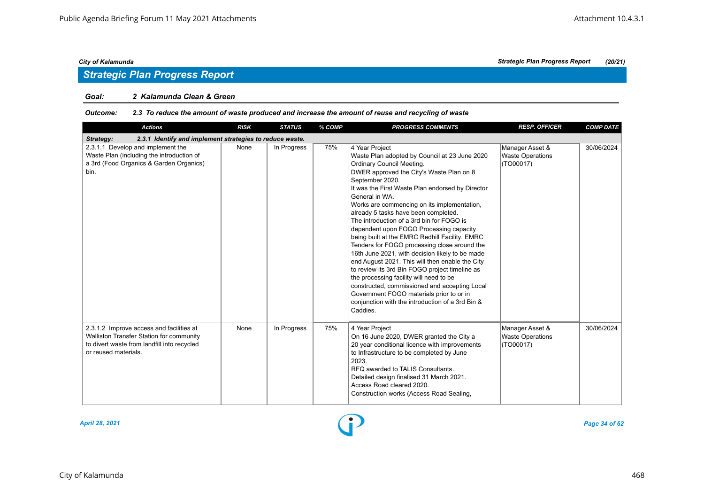### *Goal: 2 Kalamunda Clean & Green*

#### *Outcome: 2.3 To reduce the amount of waste produced and increase the amount of reuse and recycling of waste*

| <b>Actions</b>                                                                                                                                              | <b>RISK</b> | <b>STATUS</b> | % COMP | <b>PROGRESS COMMENTS</b>                                                                                                                                                                                                                                                                                                                                                                                                                                                                                                                                                                                                                                                                                                                                                                                                                                                           | <b>RESP. OFFICER</b>                                    | <b>COMP DATE</b> |  |  |  |  |  |
|-------------------------------------------------------------------------------------------------------------------------------------------------------------|-------------|---------------|--------|------------------------------------------------------------------------------------------------------------------------------------------------------------------------------------------------------------------------------------------------------------------------------------------------------------------------------------------------------------------------------------------------------------------------------------------------------------------------------------------------------------------------------------------------------------------------------------------------------------------------------------------------------------------------------------------------------------------------------------------------------------------------------------------------------------------------------------------------------------------------------------|---------------------------------------------------------|------------------|--|--|--|--|--|
| 2.3.1 Identify and implement strategies to reduce waste.<br>Strategy:                                                                                       |             |               |        |                                                                                                                                                                                                                                                                                                                                                                                                                                                                                                                                                                                                                                                                                                                                                                                                                                                                                    |                                                         |                  |  |  |  |  |  |
| 2.3.1.1 Develop and implement the<br>Waste Plan (including the introduction of<br>a 3rd (Food Organics & Garden Organics)<br>bin.                           | None        | In Progress   | 75%    | 4 Year Project<br>Waste Plan adopted by Council at 23 June 2020<br>Ordinary Council Meeting.<br>DWER approved the City's Waste Plan on 8<br>September 2020.<br>It was the First Waste Plan endorsed by Director<br>General in WA.<br>Works are commencing on its implementation,<br>already 5 tasks have been completed.<br>The introduction of a 3rd bin for FOGO is<br>dependent upon FOGO Processing capacity<br>being built at the EMRC Redhill Facility. EMRC<br>Tenders for FOGO processing close around the<br>16th June 2021, with decision likely to be made<br>end August 2021. This will then enable the City<br>to review its 3rd Bin FOGO project timeline as<br>the processing facility will need to be<br>constructed, commissioned and accepting Local<br>Government FOGO materials prior to or in<br>conjunction with the introduction of a 3rd Bin &<br>Caddies. | Manager Asset &<br><b>Waste Operations</b><br>(TO00017) | 30/06/2024       |  |  |  |  |  |
| 2.3.1.2 Improve access and facilities at<br>Walliston Transfer Station for community<br>to divert waste from landfill into recycled<br>or reused materials. | None        | In Progress   | 75%    | 4 Year Project<br>On 16 June 2020, DWER granted the City a<br>20 year conditional licence with improvements<br>to Infrastructure to be completed by June<br>2023.<br>RFQ awarded to TALIS Consultants.<br>Detailed design finalised 31 March 2021.<br>Access Road cleared 2020.<br>Construction works (Access Road Sealing,                                                                                                                                                                                                                                                                                                                                                                                                                                                                                                                                                        | Manager Asset &<br><b>Waste Operations</b><br>(TO00017) | 30/06/2024       |  |  |  |  |  |

*City of Kalamunda Strategic Plan Progress Report (20/21)*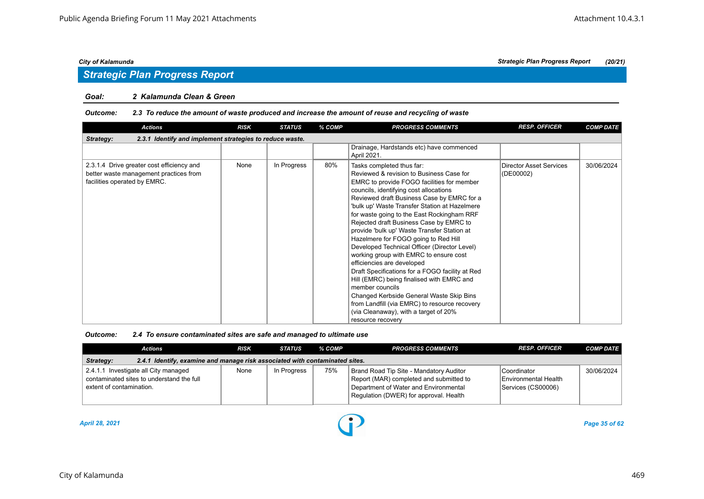#### *Goal: 2 Kalamunda Clean & Green*

#### *Outcome: 2.3 To reduce the amount of waste produced and increase the amount of reuse and recycling of waste*

| <b>Actions</b>                                                                                                      | <b>RISK</b> | <b>STATUS</b> | % COMP | <b>PROGRESS COMMENTS</b>                                                                                                                                                                                                                                                                                                                                                                                                                                                                                                                                                                                                                                                                                                                                                                                                                           | <b>RESP. OFFICER</b>                 | <b>COMP DATE</b> |  |  |  |  |
|---------------------------------------------------------------------------------------------------------------------|-------------|---------------|--------|----------------------------------------------------------------------------------------------------------------------------------------------------------------------------------------------------------------------------------------------------------------------------------------------------------------------------------------------------------------------------------------------------------------------------------------------------------------------------------------------------------------------------------------------------------------------------------------------------------------------------------------------------------------------------------------------------------------------------------------------------------------------------------------------------------------------------------------------------|--------------------------------------|------------------|--|--|--|--|
| 2.3.1 Identify and implement strategies to reduce waste.<br>Strategy:                                               |             |               |        |                                                                                                                                                                                                                                                                                                                                                                                                                                                                                                                                                                                                                                                                                                                                                                                                                                                    |                                      |                  |  |  |  |  |
|                                                                                                                     |             |               |        | Drainage, Hardstands etc) have commenced<br>April 2021.                                                                                                                                                                                                                                                                                                                                                                                                                                                                                                                                                                                                                                                                                                                                                                                            |                                      |                  |  |  |  |  |
| 2.3.1.4 Drive greater cost efficiency and<br>better waste management practices from<br>facilities operated by EMRC. | None        | In Progress   | 80%    | Tasks completed thus far:<br>Reviewed & revision to Business Case for<br>EMRC to provide FOGO facilities for member<br>councils, identifying cost allocations<br>Reviewed draft Business Case by EMRC for a<br>'bulk up' Waste Transfer Station at Hazelmere<br>for waste going to the East Rockingham RRF<br>Rejected draft Business Case by EMRC to<br>provide 'bulk up' Waste Transfer Station at<br>Hazelmere for FOGO going to Red Hill<br>Developed Technical Officer (Director Level)<br>working group with EMRC to ensure cost<br>efficiencies are developed<br>Draft Specifications for a FOGO facility at Red<br>Hill (EMRC) being finalised with EMRC and<br>member councils<br>Changed Kerbside General Waste Skip Bins<br>from Landfill (via EMRC) to resource recovery<br>(via Cleanaway), with a target of 20%<br>resource recovery | Director Asset Services<br>(DE00002) | 30/06/2024       |  |  |  |  |

| Outcome: | 2.4 To ensure contaminated sites are safe and managed to ultimate use |
|----------|-----------------------------------------------------------------------|
|----------|-----------------------------------------------------------------------|

|                          | Actions                                                                           | <b>RISK</b> | <b>STATUS</b> | % COMP | <b>PROGRESS COMMENTS</b>                                                                                                                                              | <b>RESP. OFFICER</b>                                             | <b>COMP DATE</b> |
|--------------------------|-----------------------------------------------------------------------------------|-------------|---------------|--------|-----------------------------------------------------------------------------------------------------------------------------------------------------------------------|------------------------------------------------------------------|------------------|
| Strategy:                | 2.4.1 Identify, examine and manage risk associated with contaminated sites.       |             |               |        |                                                                                                                                                                       |                                                                  |                  |
| extent of contamination. | 2.4.1.1 Investigate all City managed<br>contaminated sites to understand the full | None        | In Progress   | 75%    | Brand Road Tip Site - Mandatory Auditor<br>Report (MAR) completed and submitted to<br>Department of Water and Environmental<br>Regulation (DWER) for approval. Health | <b>Coordinator</b><br>Environmental Health<br>Services (CS00006) | 30/06/2024       |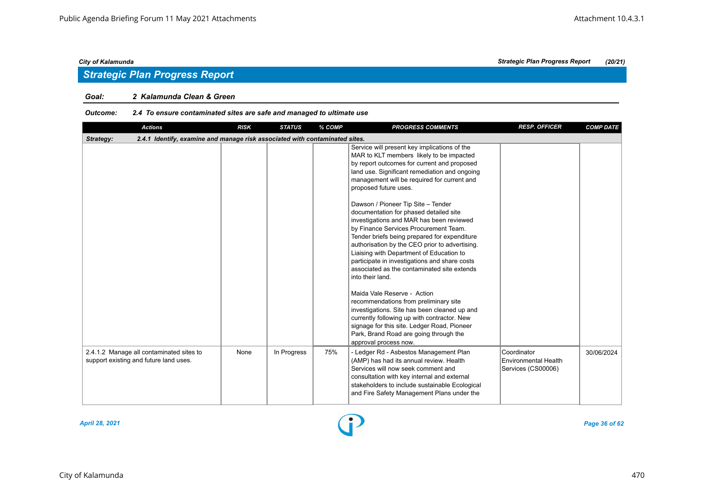# *Strategic Plan Progress Report*

#### *Goal: 2 Kalamunda Clean & Green*

### *Outcome: 2.4 To ensure contaminated sites are safe and managed to ultimate use*

| <b>Actions</b>                                                                           | <b>RISK</b> | <b>STATUS</b> | % COMP | <b>PROGRESS COMMENTS</b>                                                                                                                                                                                                                                                                                                                            | <b>RESP. OFFICER</b>                                      | <b>COMP DATE</b> |
|------------------------------------------------------------------------------------------|-------------|---------------|--------|-----------------------------------------------------------------------------------------------------------------------------------------------------------------------------------------------------------------------------------------------------------------------------------------------------------------------------------------------------|-----------------------------------------------------------|------------------|
| 2.4.1 Identify, examine and manage risk associated with contaminated sites.<br>Strategy: |             |               |        |                                                                                                                                                                                                                                                                                                                                                     |                                                           |                  |
|                                                                                          |             |               |        | Service will present key implications of the<br>MAR to KLT members likely to be impacted<br>by report outcomes for current and proposed<br>land use. Significant remediation and ongoing<br>management will be required for current and<br>proposed future uses.<br>Dawson / Pioneer Tip Site - Tender<br>documentation for phased detailed site    |                                                           |                  |
|                                                                                          |             |               |        | investigations and MAR has been reviewed<br>by Finance Services Procurement Team.<br>Tender briefs being prepared for expenditure<br>authorisation by the CEO prior to advertising.<br>Liaising with Department of Education to<br>participate in investigations and share costs<br>associated as the contaminated site extends<br>into their land. |                                                           |                  |
|                                                                                          |             |               |        | Maida Vale Reserve - Action<br>recommendations from preliminary site<br>investigations. Site has been cleaned up and<br>currently following up with contractor. New<br>signage for this site. Ledger Road, Pioneer<br>Park, Brand Road are going through the<br>approval process now.                                                               |                                                           |                  |
| 2.4.1.2 Manage all contaminated sites to<br>support existing and future land uses.       | None        | In Progress   | 75%    | - Ledger Rd - Asbestos Management Plan<br>(AMP) has had its annual review. Health<br>Services will now seek comment and<br>consultation with key internal and external<br>stakeholders to include sustainable Ecological<br>and Fire Safety Management Plans under the                                                                              | Coordinator<br>Environmental Health<br>Services (CS00006) | 30/06/2024       |

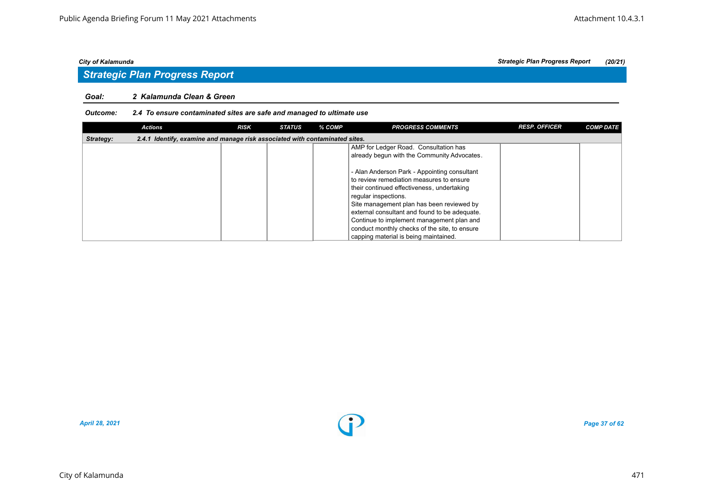#### *Goal: 2 Kalamunda Clean & Green*

### *Outcome: 2.4 To ensure contaminated sites are safe and managed to ultimate use*

|           | <b>Actions</b>                                                              | <b>RISK</b> | <b>STATUS</b> | % COMP | <b>PROGRESS COMMENTS</b>                      | <b>RESP. OFFICER</b> | <b>COMP DATE</b> |
|-----------|-----------------------------------------------------------------------------|-------------|---------------|--------|-----------------------------------------------|----------------------|------------------|
| Strategy: | 2.4.1 Identify, examine and manage risk associated with contaminated sites. |             |               |        |                                               |                      |                  |
|           |                                                                             |             |               |        | AMP for Ledger Road. Consultation has         |                      |                  |
|           |                                                                             |             |               |        | already begun with the Community Advocates.   |                      |                  |
|           |                                                                             |             |               |        |                                               |                      |                  |
|           |                                                                             |             |               |        | - Alan Anderson Park - Appointing consultant  |                      |                  |
|           |                                                                             |             |               |        | to review remediation measures to ensure      |                      |                  |
|           |                                                                             |             |               |        | their continued effectiveness, undertaking    |                      |                  |
|           |                                                                             |             |               |        | reqular inspections.                          |                      |                  |
|           |                                                                             |             |               |        | Site management plan has been reviewed by     |                      |                  |
|           |                                                                             |             |               |        | external consultant and found to be adequate. |                      |                  |
|           |                                                                             |             |               |        | Continue to implement management plan and     |                      |                  |
|           |                                                                             |             |               |        | conduct monthly checks of the site, to ensure |                      |                  |
|           |                                                                             |             |               |        | capping material is being maintained.         |                      |                  |

*April 28, 2021 Page 37 of 62*

*City of Kalamunda Strategic Plan Progress Report (20/21)*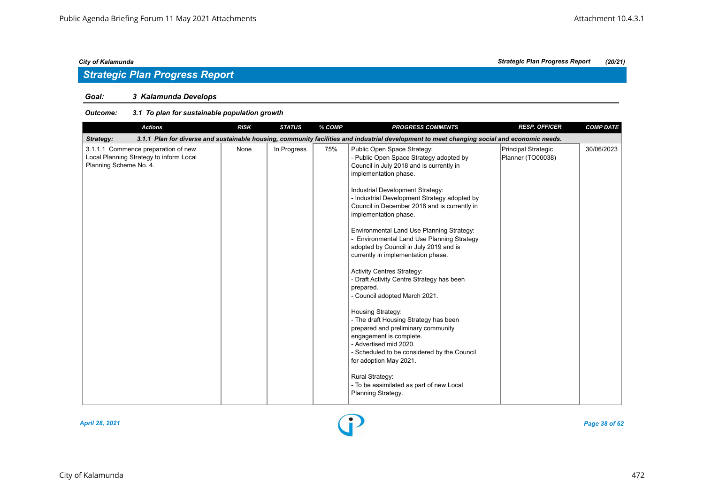# *Strategic Plan Progress Report*

### *Goal: 3 Kalamunda Develops*

| <b>Actions</b>                                                                                           | <b>RISK</b> | <b>STATUS</b> | % COMP | <b>PROGRESS COMMENTS</b>                                                                                                                                                                                                                                                                                                                                                                                                                                                                                                                                                                                                                                                                                                                                                                                                                                                                                                                               | <b>RESP. OFFICER</b>                     | <b>COMP DATE</b> |
|----------------------------------------------------------------------------------------------------------|-------------|---------------|--------|--------------------------------------------------------------------------------------------------------------------------------------------------------------------------------------------------------------------------------------------------------------------------------------------------------------------------------------------------------------------------------------------------------------------------------------------------------------------------------------------------------------------------------------------------------------------------------------------------------------------------------------------------------------------------------------------------------------------------------------------------------------------------------------------------------------------------------------------------------------------------------------------------------------------------------------------------------|------------------------------------------|------------------|
| Strategy:                                                                                                |             |               |        | 3.1.1 Plan for diverse and sustainable housing, community facilities and industrial development to meet changing social and economic needs.                                                                                                                                                                                                                                                                                                                                                                                                                                                                                                                                                                                                                                                                                                                                                                                                            |                                          |                  |
| 3.1.1.1 Commence preparation of new<br>Local Planning Strategy to inform Local<br>Planning Scheme No. 4. | None        | In Progress   | 75%    | Public Open Space Strategy:<br>- Public Open Space Strategy adopted by<br>Council in July 2018 and is currently in<br>implementation phase.<br>Industrial Development Strategy:<br>- Industrial Development Strategy adopted by<br>Council in December 2018 and is currently in<br>implementation phase.<br>Environmental Land Use Planning Strategy:<br><b>Environmental Land Use Planning Strategy</b><br>adopted by Council in July 2019 and is<br>currently in implementation phase.<br><b>Activity Centres Strategy:</b><br>- Draft Activity Centre Strategy has been<br>prepared.<br>- Council adopted March 2021.<br>Housing Strategy:<br>- The draft Housing Strategy has been<br>prepared and preliminary community<br>engagement is complete.<br>- Advertised mid 2020.<br>- Scheduled to be considered by the Council<br>for adoption May 2021.<br><b>Rural Strategy:</b><br>- To be assimilated as part of new Local<br>Planning Strategy. | Principal Strategic<br>Planner (TO00038) | 30/06/2023       |

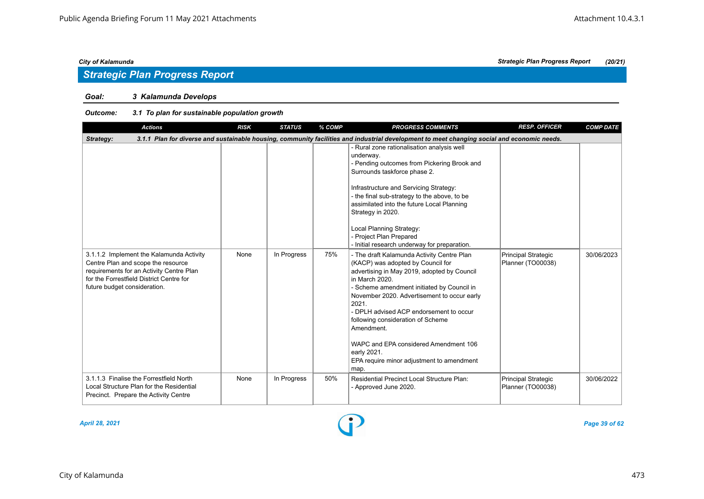# *Strategic Plan Progress Report*

### *Goal: 3 Kalamunda Develops*

| <b>Actions</b>                                                                                                                                                                                         | <b>RISK</b> | <b>STATUS</b> | % COMP | <b>PROGRESS COMMENTS</b>                                                                                                                                                                                                                                                                                                                                                                                                                                          | <b>RESP. OFFICER</b>                            | <b>COMP DATE</b> |
|--------------------------------------------------------------------------------------------------------------------------------------------------------------------------------------------------------|-------------|---------------|--------|-------------------------------------------------------------------------------------------------------------------------------------------------------------------------------------------------------------------------------------------------------------------------------------------------------------------------------------------------------------------------------------------------------------------------------------------------------------------|-------------------------------------------------|------------------|
| Strategy:                                                                                                                                                                                              |             |               |        | 3.1.1 Plan for diverse and sustainable housing, community facilities and industrial development to meet changing social and economic needs.                                                                                                                                                                                                                                                                                                                       |                                                 |                  |
|                                                                                                                                                                                                        |             |               |        | - Rural zone rationalisation analysis well<br>underway.<br>- Pending outcomes from Pickering Brook and<br>Surrounds taskforce phase 2.<br>Infrastructure and Servicing Strategy:<br>- the final sub-strategy to the above, to be<br>assimilated into the future Local Planning<br>Strategy in 2020.<br>Local Planning Strategy:<br>- Project Plan Prepared<br>- Initial research underway for preparation.                                                        |                                                 |                  |
| 3.1.1.2 Implement the Kalamunda Activity<br>Centre Plan and scope the resource<br>requirements for an Activity Centre Plan<br>for the Forrestfield District Centre for<br>future budget consideration. | None        | In Progress   | 75%    | - The draft Kalamunda Activity Centre Plan<br>(KACP) was adopted by Council for<br>advertising in May 2019, adopted by Council<br>in March 2020.<br>- Scheme amendment initiated by Council in<br>November 2020. Advertisement to occur early<br>2021.<br>- DPLH advised ACP endorsement to occur<br>following consideration of Scheme<br>Amendment.<br>WAPC and EPA considered Amendment 106<br>early 2021.<br>EPA require minor adjustment to amendment<br>map. | <b>Principal Strategic</b><br>Planner (TO00038) | 30/06/2023       |
| 3.1.1.3 Finalise the Forrestfield North<br>Local Structure Plan for the Residential<br>Precinct. Prepare the Activity Centre                                                                           | None        | In Progress   | 50%    | <b>Residential Precinct Local Structure Plan:</b><br>- Approved June 2020.                                                                                                                                                                                                                                                                                                                                                                                        | <b>Principal Strategic</b><br>Planner (TO00038) | 30/06/2022       |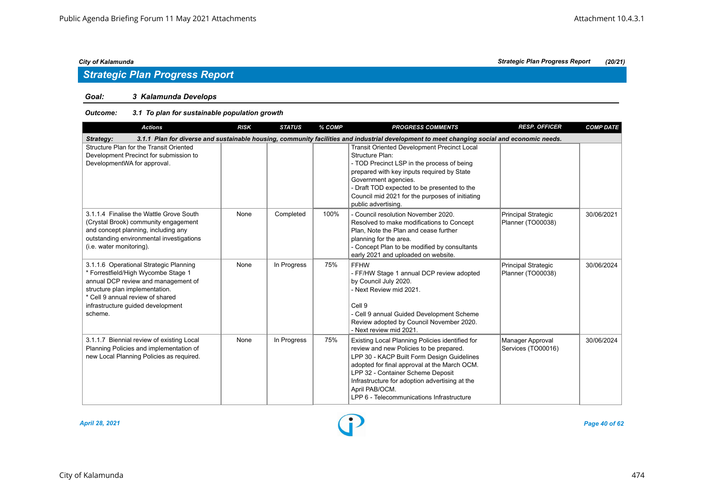### *Goal: 3 Kalamunda Develops*

| <b>Actions</b>                                                                                                                                                                                                                             | <b>RISK</b> | <b>STATUS</b> | % COMP | <b>PROGRESS COMMENTS</b>                                                                                                                                                                                                                                                                                                                       | <b>RESP. OFFICER</b>                            | <b>COMP DATE</b> |  |  |  |  |
|--------------------------------------------------------------------------------------------------------------------------------------------------------------------------------------------------------------------------------------------|-------------|---------------|--------|------------------------------------------------------------------------------------------------------------------------------------------------------------------------------------------------------------------------------------------------------------------------------------------------------------------------------------------------|-------------------------------------------------|------------------|--|--|--|--|
| 3.1.1 Plan for diverse and sustainable housing, community facilities and industrial development to meet changing social and economic needs.<br>Strategy:                                                                                   |             |               |        |                                                                                                                                                                                                                                                                                                                                                |                                                 |                  |  |  |  |  |
| Structure Plan for the Transit Oriented<br>Development Precinct for submission to<br>DevelopmentWA for approval.                                                                                                                           |             |               |        | <b>Transit Oriented Development Precinct Local</b><br>Structure Plan:<br>- TOD Precinct LSP in the process of being<br>prepared with key inputs required by State<br>Government agencies.<br>- Draft TOD expected to be presented to the<br>Council mid 2021 for the purposes of initiating<br>public advertising.                             |                                                 |                  |  |  |  |  |
| 3.1.1.4 Finalise the Wattle Grove South<br>(Crystal Brook) community engagement<br>and concept planning, including any<br>outstanding environmental investigations<br>(i.e. water monitoring).                                             | None        | Completed     | 100%   | - Council resolution November 2020.<br>Resolved to make modifications to Concept<br>Plan, Note the Plan and cease further<br>planning for the area.<br>- Concept Plan to be modified by consultants<br>early 2021 and uploaded on website.                                                                                                     | <b>Principal Strategic</b><br>Planner (TO00038) | 30/06/2021       |  |  |  |  |
| 3.1.1.6 Operational Strategic Planning<br>* Forrestfield/High Wycombe Stage 1<br>annual DCP review and management of<br>structure plan implementation.<br>* Cell 9 annual review of shared<br>infrastructure guided development<br>scheme. | None        | In Progress   | 75%    | <b>FFHW</b><br>- FF/HW Stage 1 annual DCP review adopted<br>by Council July 2020.<br>- Next Review mid 2021.<br>Cell 9<br>- Cell 9 annual Guided Development Scheme<br>Review adopted by Council November 2020.<br>- Next review mid 2021.                                                                                                     | <b>Principal Strategic</b><br>Planner (TO00038) | 30/06/2024       |  |  |  |  |
| 3.1.1.7 Biennial review of existing Local<br>Planning Policies and implementation of<br>new Local Planning Policies as required.                                                                                                           | None        | In Progress   | 75%    | Existing Local Planning Policies identified for<br>review and new Policies to be prepared.<br>LPP 30 - KACP Built Form Design Guidelines<br>adopted for final approval at the March OCM.<br>LPP 32 - Container Scheme Deposit<br>Infrastructure for adoption advertising at the<br>April PAB/OCM.<br>LPP 6 - Telecommunications Infrastructure | Manager Approval<br>Services (TO00016)          | 30/06/2024       |  |  |  |  |

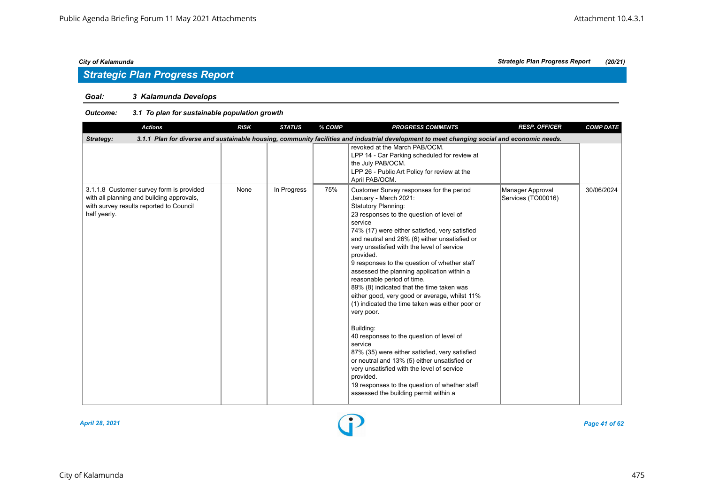# *Strategic Plan Progress Report*

### *Goal: 3 Kalamunda Develops*

### *Outcome: 3.1 To plan for sustainable population growth*

| <b>Actions</b>                                                                                                                                   | <b>RISK</b> | <b>STATUS</b> | % COMP | <b>PROGRESS COMMENTS</b>                                                                                                                                                                                                                                                                                                                                                                                                                                                                                                                                                                                                                                                                                                                                                                                                                                                                                                                   | <b>RESP. OFFICER</b>                   | <b>COMP DATE</b> |
|--------------------------------------------------------------------------------------------------------------------------------------------------|-------------|---------------|--------|--------------------------------------------------------------------------------------------------------------------------------------------------------------------------------------------------------------------------------------------------------------------------------------------------------------------------------------------------------------------------------------------------------------------------------------------------------------------------------------------------------------------------------------------------------------------------------------------------------------------------------------------------------------------------------------------------------------------------------------------------------------------------------------------------------------------------------------------------------------------------------------------------------------------------------------------|----------------------------------------|------------------|
| Strategy:                                                                                                                                        |             |               |        | 3.1.1 Plan for diverse and sustainable housing, community facilities and industrial development to meet changing social and economic needs.                                                                                                                                                                                                                                                                                                                                                                                                                                                                                                                                                                                                                                                                                                                                                                                                |                                        |                  |
|                                                                                                                                                  |             |               |        | revoked at the March PAB/OCM.<br>LPP 14 - Car Parking scheduled for review at<br>the July PAB/OCM.<br>LPP 26 - Public Art Policy for review at the<br>April PAB/OCM.                                                                                                                                                                                                                                                                                                                                                                                                                                                                                                                                                                                                                                                                                                                                                                       |                                        |                  |
| 3.1.1.8 Customer survey form is provided<br>with all planning and building approvals,<br>with survey results reported to Council<br>half yearly. | None        | In Progress   | 75%    | Customer Survey responses for the period<br>January - March 2021:<br><b>Statutory Planning:</b><br>23 responses to the question of level of<br>service<br>74% (17) were either satisfied, very satisfied<br>and neutral and 26% (6) either unsatisfied or<br>very unsatisfied with the level of service<br>provided.<br>9 responses to the question of whether staff<br>assessed the planning application within a<br>reasonable period of time.<br>89% (8) indicated that the time taken was<br>either good, very good or average, whilst 11%<br>(1) indicated the time taken was either poor or<br>very poor.<br>Building:<br>40 responses to the question of level of<br>service<br>87% (35) were either satisfied, very satisfied<br>or neutral and 13% (5) either unsatisfied or<br>very unsatisfied with the level of service<br>provided.<br>19 responses to the question of whether staff<br>assessed the building permit within a | Manager Approval<br>Services (TO00016) | 30/06/2024       |



*April 28, 2021 Page 41 of 62*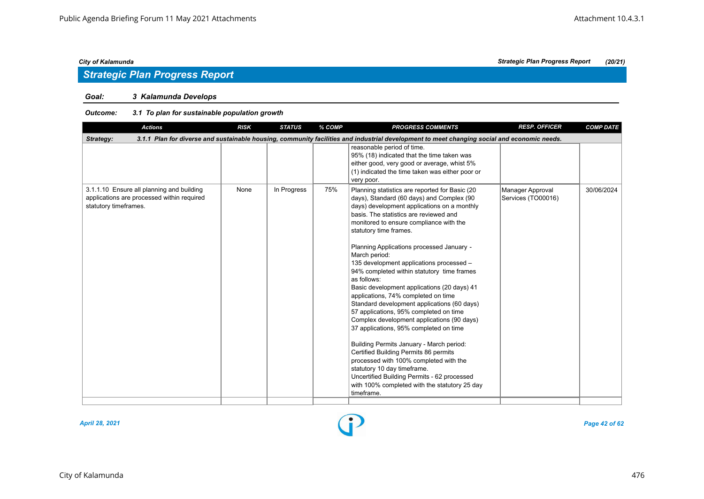# *Strategic Plan Progress Report*

### *Goal: 3 Kalamunda Develops*

### *Outcome: 3.1 To plan for sustainable population growth*

| 3.1.1 Plan for diverse and sustainable housing, community facilities and industrial development to meet changing social and economic needs.<br>Strategy:<br>reasonable period of time.<br>95% (18) indicated that the time taken was<br>either good, very good or average, whist 5%<br>(1) indicated the time taken was either poor or<br>very poor.<br>In Progress<br>75%<br>3.1.1.10 Ensure all planning and building<br>None<br>30/06/2024<br>Planning statistics are reported for Basic (20<br>Manager Approval<br>applications are processed within required<br>days), Standard (60 days) and Complex (90<br>Services (TO00016)<br>statutory timeframes.<br>days) development applications on a monthly<br>basis. The statistics are reviewed and<br>monitored to ensure compliance with the<br>statutory time frames.<br>Planning Applications processed January -<br>March period:<br>135 development applications processed -<br>94% completed within statutory time frames<br>as follows:<br>Basic development applications (20 days) 41<br>applications, 74% completed on time<br>Standard development applications (60 days)<br>57 applications, 95% completed on time<br>Complex development applications (90 days)<br>37 applications, 95% completed on time | <b>Actions</b> | <b>RISK</b> | <b>STATUS</b> | % COMP | <b>PROGRESS COMMENTS</b> | <b>RESP. OFFICER</b> | <b>COMP DATE</b> |
|---------------------------------------------------------------------------------------------------------------------------------------------------------------------------------------------------------------------------------------------------------------------------------------------------------------------------------------------------------------------------------------------------------------------------------------------------------------------------------------------------------------------------------------------------------------------------------------------------------------------------------------------------------------------------------------------------------------------------------------------------------------------------------------------------------------------------------------------------------------------------------------------------------------------------------------------------------------------------------------------------------------------------------------------------------------------------------------------------------------------------------------------------------------------------------------------------------------------------------------------------------------------------|----------------|-------------|---------------|--------|--------------------------|----------------------|------------------|
|                                                                                                                                                                                                                                                                                                                                                                                                                                                                                                                                                                                                                                                                                                                                                                                                                                                                                                                                                                                                                                                                                                                                                                                                                                                                           |                |             |               |        |                          |                      |                  |
|                                                                                                                                                                                                                                                                                                                                                                                                                                                                                                                                                                                                                                                                                                                                                                                                                                                                                                                                                                                                                                                                                                                                                                                                                                                                           |                |             |               |        |                          |                      |                  |
| Building Permits January - March period:<br>Certified Building Permits 86 permits<br>processed with 100% completed with the<br>statutory 10 day timeframe.<br>Uncertified Building Permits - 62 processed<br>with 100% completed with the statutory 25 day<br>timeframe.                                                                                                                                                                                                                                                                                                                                                                                                                                                                                                                                                                                                                                                                                                                                                                                                                                                                                                                                                                                                  |                |             |               |        |                          |                      |                  |



*April 28, 2021 Page 42 of 62*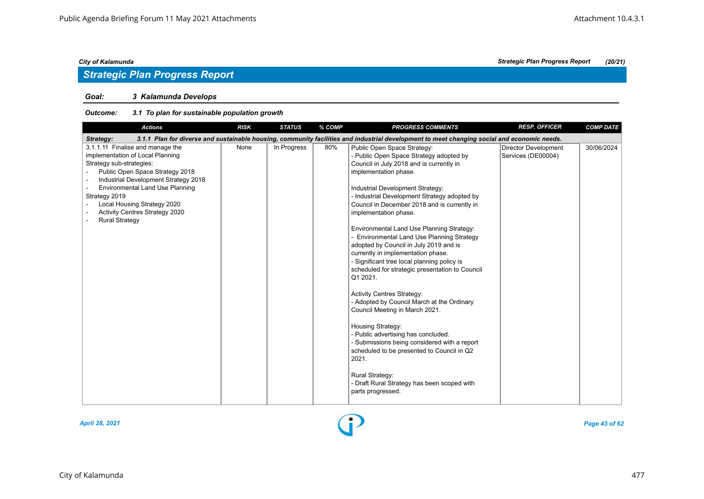# *Strategic Plan Progress Report*

### *Goal: 3 Kalamunda Develops*

| <b>Actions</b>                                                                                                                                                                                                                                                                                                                   | <b>RISK</b> | <b>STATUS</b> | % COMP | <b>PROGRESS COMMENTS</b>                                                                                                                                                                                                                                                                                                                                                                                                                                                                                                                                                                                                                                                                                                                                                                                                                                                                                                                                                              | <b>RESP. OFFICER</b>                              | <b>COMP DATE</b> |
|----------------------------------------------------------------------------------------------------------------------------------------------------------------------------------------------------------------------------------------------------------------------------------------------------------------------------------|-------------|---------------|--------|---------------------------------------------------------------------------------------------------------------------------------------------------------------------------------------------------------------------------------------------------------------------------------------------------------------------------------------------------------------------------------------------------------------------------------------------------------------------------------------------------------------------------------------------------------------------------------------------------------------------------------------------------------------------------------------------------------------------------------------------------------------------------------------------------------------------------------------------------------------------------------------------------------------------------------------------------------------------------------------|---------------------------------------------------|------------------|
| Strategy:                                                                                                                                                                                                                                                                                                                        |             |               |        | 3.1.1 Plan for diverse and sustainable housing, community facilities and industrial development to meet changing social and economic needs.                                                                                                                                                                                                                                                                                                                                                                                                                                                                                                                                                                                                                                                                                                                                                                                                                                           |                                                   |                  |
| 3.1.1.11 Finalise and manage the<br>implementation of Local Planning<br>Strategy sub-strategies:<br>Public Open Space Strategy 2018<br>Industrial Development Strategy 2018<br><b>Environmental Land Use Planning</b><br>Strategy 2019<br>Local Housing Strategy 2020<br>Activity Centres Strategy 2020<br><b>Rural Strategy</b> | None        | In Progress   | 80%    | Public Open Space Strategy:<br>- Public Open Space Strategy adopted by<br>Council in July 2018 and is currently in<br>implementation phase.<br>Industrial Development Strategy:<br>- Industrial Development Strategy adopted by<br>Council in December 2018 and is currently in<br>implementation phase.<br>Environmental Land Use Planning Strategy:<br>Environmental Land Use Planning Strategy<br>adopted by Council in July 2019 and is<br>currently in implementation phase.<br>- Significant tree local planning policy is<br>scheduled for strategic presentation to Council<br>Q1 2021.<br><b>Activity Centres Strategy:</b><br>- Adopted by Council March at the Ordinary<br>Council Meeting in March 2021.<br>Housing Strategy:<br>- Public advertising has concluded.<br>- Submissions being considered with a report<br>scheduled to be presented to Council in Q2<br>2021.<br><b>Rural Strategy:</b><br>- Draft Rural Strategy has been scoped with<br>parts progressed. | <b>Director Development</b><br>Services (DE00004) | 30/06/2024       |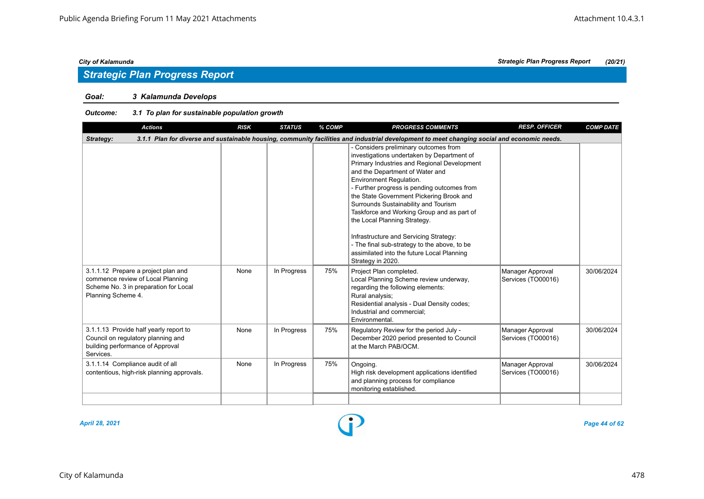# *Strategic Plan Progress Report*

### *Goal: 3 Kalamunda Develops*

### *Outcome: 3.1 To plan for sustainable population growth*

| <b>Actions</b>                                                                                                                                           | <b>RISK</b> | <b>STATUS</b> | % COMP | <b>PROGRESS COMMENTS</b>                                                                                                                                                                                                                                                                                                                                                                                                                                                                                                                                                       | <b>RESP. OFFICER</b>                   | <b>COMP DATE</b> |  |  |  |  |
|----------------------------------------------------------------------------------------------------------------------------------------------------------|-------------|---------------|--------|--------------------------------------------------------------------------------------------------------------------------------------------------------------------------------------------------------------------------------------------------------------------------------------------------------------------------------------------------------------------------------------------------------------------------------------------------------------------------------------------------------------------------------------------------------------------------------|----------------------------------------|------------------|--|--|--|--|
| 3.1.1 Plan for diverse and sustainable housing, community facilities and industrial development to meet changing social and economic needs.<br>Strategy: |             |               |        |                                                                                                                                                                                                                                                                                                                                                                                                                                                                                                                                                                                |                                        |                  |  |  |  |  |
|                                                                                                                                                          |             |               |        | - Considers preliminary outcomes from<br>investigations undertaken by Department of<br>Primary Industries and Regional Development<br>and the Department of Water and<br>Environment Regulation.<br>- Further progress is pending outcomes from<br>the State Government Pickering Brook and<br>Surrounds Sustainability and Tourism<br>Taskforce and Working Group and as part of<br>the Local Planning Strategy.<br>Infrastructure and Servicing Strategy:<br>- The final sub-strategy to the above, to be<br>assimilated into the future Local Planning<br>Strategy in 2020. |                                        |                  |  |  |  |  |
| 3.1.1.12 Prepare a project plan and<br>commence review of Local Planning<br>Scheme No. 3 in preparation for Local<br>Planning Scheme 4.                  | None        | In Progress   | 75%    | Project Plan completed.<br>Local Planning Scheme review underway,<br>regarding the following elements:<br>Rural analysis;<br>Residential analysis - Dual Density codes;<br>Industrial and commercial;<br>Environmental.                                                                                                                                                                                                                                                                                                                                                        | Manager Approval<br>Services (TO00016) | 30/06/2024       |  |  |  |  |
| 3.1.1.13 Provide half yearly report to<br>Council on regulatory planning and<br>building performance of Approval<br>Services.                            | None        | In Progress   | 75%    | Regulatory Review for the period July -<br>December 2020 period presented to Council<br>at the March PAB/OCM.                                                                                                                                                                                                                                                                                                                                                                                                                                                                  | Manager Approval<br>Services (TO00016) | 30/06/2024       |  |  |  |  |
| 3.1.1.14 Compliance audit of all<br>contentious, high-risk planning approvals.                                                                           | None        | In Progress   | 75%    | Ongoing.<br>High risk development applications identified<br>and planning process for compliance<br>monitoring established.                                                                                                                                                                                                                                                                                                                                                                                                                                                    | Manager Approval<br>Services (TO00016) | 30/06/2024       |  |  |  |  |
|                                                                                                                                                          |             |               |        |                                                                                                                                                                                                                                                                                                                                                                                                                                                                                                                                                                                |                                        |                  |  |  |  |  |

*April 28, 2021 Page 44 of 62*

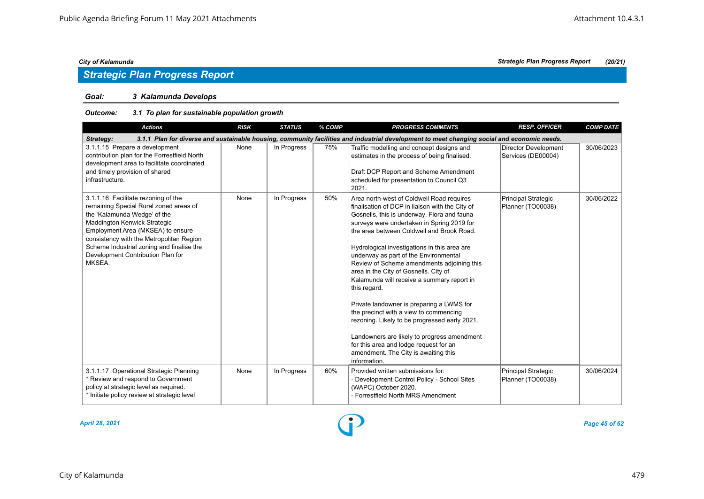### *Goal: 3 Kalamunda Develops*

| <b>Actions</b>                                                                                                                                                                                                                                                                                                             | <b>RISK</b> | <b>STATUS</b> | % COMP | <b>PROGRESS COMMENTS</b>                                                                                                                                                                                                                                                                                                                                                                                                                                                                                                                                                                                                                                                                                                                                                      | <b>RESP. OFFICER</b>                              | <b>COMP DATE</b> |  |  |  |  |
|----------------------------------------------------------------------------------------------------------------------------------------------------------------------------------------------------------------------------------------------------------------------------------------------------------------------------|-------------|---------------|--------|-------------------------------------------------------------------------------------------------------------------------------------------------------------------------------------------------------------------------------------------------------------------------------------------------------------------------------------------------------------------------------------------------------------------------------------------------------------------------------------------------------------------------------------------------------------------------------------------------------------------------------------------------------------------------------------------------------------------------------------------------------------------------------|---------------------------------------------------|------------------|--|--|--|--|
| 3.1.1 Plan for diverse and sustainable housing, community facilities and industrial development to meet changing social and economic needs.<br>Strategy:                                                                                                                                                                   |             |               |        |                                                                                                                                                                                                                                                                                                                                                                                                                                                                                                                                                                                                                                                                                                                                                                               |                                                   |                  |  |  |  |  |
| 3.1.1.15 Prepare a development<br>contribution plan for the Forrestfield North<br>development area to facilitate coordinated<br>and timely provision of shared<br>infrastructure.                                                                                                                                          | None        | In Progress   | 75%    | Traffic modelling and concept designs and<br>estimates in the process of being finalised.<br>Draft DCP Report and Scheme Amendment<br>scheduled for presentation to Council Q3<br>2021.                                                                                                                                                                                                                                                                                                                                                                                                                                                                                                                                                                                       | <b>Director Development</b><br>Services (DE00004) | 30/06/2023       |  |  |  |  |
| 3.1.1.16 Facilitate rezoning of the<br>remaining Special Rural zoned areas of<br>the 'Kalamunda Wedge' of the<br>Maddington Kenwick Strategic<br>Employment Area (MKSEA) to ensure<br>consistency with the Metropolitan Region<br>Scheme Industrial zoning and finalise the<br>Development Contribution Plan for<br>MKSEA. | None        | In Progress   | 50%    | Area north-west of Coldwell Road requires<br>finalisation of DCP in liaison with the City of<br>Gosnells, this is underway. Flora and fauna<br>surveys were undertaken in Spring 2019 for<br>the area between Coldwell and Brook Road.<br>Hydrological investigations in this area are<br>underway as part of the Environmental<br>Review of Scheme amendments adjoining this<br>area in the City of Gosnells. City of<br>Kalamunda will receive a summary report in<br>this regard.<br>Private landowner is preparing a LWMS for<br>the precinct with a view to commencing<br>rezoning. Likely to be progressed early 2021.<br>Landowners are likely to progress amendment<br>for this area and lodge request for an<br>amendment. The City is awaiting this<br>information. | <b>Principal Strategic</b><br>Planner (TO00038)   | 30/06/2022       |  |  |  |  |
| 3.1.1.17 Operational Strategic Planning<br>* Review and respond to Government<br>policy at strategic level as required.<br>* Initiate policy review at strategic level                                                                                                                                                     | None        | In Progress   | 60%    | Provided written submissions for:<br>- Development Control Policy - School Sites<br>(WAPC) October 2020.<br>- Forrestfield North MRS Amendment                                                                                                                                                                                                                                                                                                                                                                                                                                                                                                                                                                                                                                | <b>Principal Strategic</b><br>Planner (TO00038)   | 30/06/2024       |  |  |  |  |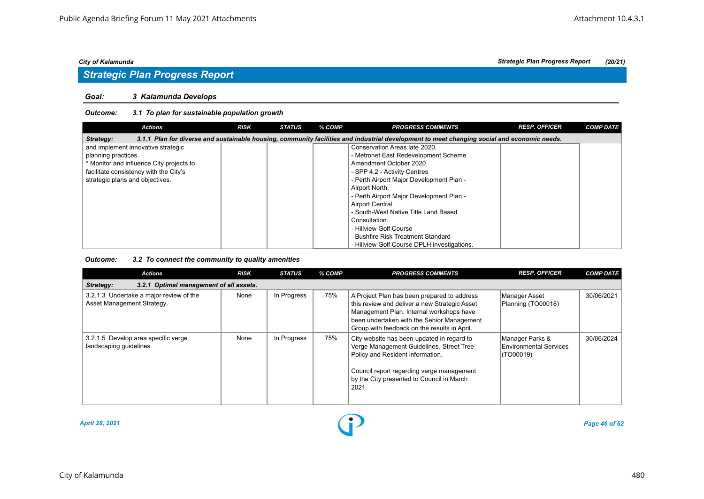# *Strategic Plan Progress Report*

#### *Goal: 3 Kalamunda Develops*

### *Outcome: 3.1 To plan for sustainable population growth*

| <b>Actions</b>                                                                                                                                           | <b>RISK</b> | <b>STATUS</b> | % COMP | <b>PROGRESS COMMENTS</b>                    | <b>RESP. OFFICER</b> | <b>COMP DATE</b> |  |  |  |  |
|----------------------------------------------------------------------------------------------------------------------------------------------------------|-------------|---------------|--------|---------------------------------------------|----------------------|------------------|--|--|--|--|
| 3.1.1 Plan for diverse and sustainable housing, community facilities and industrial development to meet changing social and economic needs.<br>Strategy: |             |               |        |                                             |                      |                  |  |  |  |  |
| and implement innovative strategic                                                                                                                       |             |               |        | Conservation Areas late 2020.               |                      |                  |  |  |  |  |
| planning practices.                                                                                                                                      |             |               |        | - Metronet East Redevelopment Scheme        |                      |                  |  |  |  |  |
| * Monitor and influence City projects to                                                                                                                 |             |               |        | Amendment October 2020.                     |                      |                  |  |  |  |  |
| facilitate consistency with the City's                                                                                                                   |             |               |        | - SPP 4.2 - Activity Centres                |                      |                  |  |  |  |  |
| strategic plans and objectives.                                                                                                                          |             |               |        | - Perth Airport Major Development Plan -    |                      |                  |  |  |  |  |
|                                                                                                                                                          |             |               |        | Airport North.                              |                      |                  |  |  |  |  |
|                                                                                                                                                          |             |               |        | - Perth Airport Major Development Plan -    |                      |                  |  |  |  |  |
|                                                                                                                                                          |             |               |        | Airport Central.                            |                      |                  |  |  |  |  |
|                                                                                                                                                          |             |               |        | - South-West Native Title Land Based        |                      |                  |  |  |  |  |
|                                                                                                                                                          |             |               |        | Consultation.                               |                      |                  |  |  |  |  |
|                                                                                                                                                          |             |               |        | - Hillview Golf Course                      |                      |                  |  |  |  |  |
|                                                                                                                                                          |             |               |        | - Bushfire Risk Treatment Standard          |                      |                  |  |  |  |  |
|                                                                                                                                                          |             |               |        | - Hillview Golf Course DPLH investigations. |                      |                  |  |  |  |  |

### *Outcome: 3.2 To connect the community to quality amenities*

| <b>Actions</b>                                                        | <b>RISK</b> | <b>STATUS</b> | % COMP | <b>PROGRESS COMMENTS</b>                                                                                                                                                                                                               | <b>RESP. OFFICER</b>                                   | <b>COMP DATE</b> |
|-----------------------------------------------------------------------|-------------|---------------|--------|----------------------------------------------------------------------------------------------------------------------------------------------------------------------------------------------------------------------------------------|--------------------------------------------------------|------------------|
| 3.2.1 Optimal management of all assets.<br>Strategy:                  |             |               |        |                                                                                                                                                                                                                                        |                                                        |                  |
| 3.2.1.3 Undertake a major review of the<br>Asset Management Strategy. | None        | In Progress   | 75%    | A Project Plan has been prepared to address<br>this review and deliver a new Strategic Asset<br>Management Plan. Internal workshops have<br>been undertaken with the Senior Management<br>Group with feedback on the results in April. | Manager Asset<br>Planning (TO00018)                    | 30/06/2021       |
| 3.2.1.5 Develop area specific verge<br>landscaping guidelines.        | None        | In Progress   | 75%    | City website has been updated in regard to<br>Verge Management Guidelines, Street Tree<br>Policy and Resident information.<br>Council report regarding verge management<br>by the City presented to Council in March<br>2021.          | Manager Parks &<br>Environmental Services<br>(TO00019) | 30/06/2024       |



*April 28, 2021 Page 46 of 62*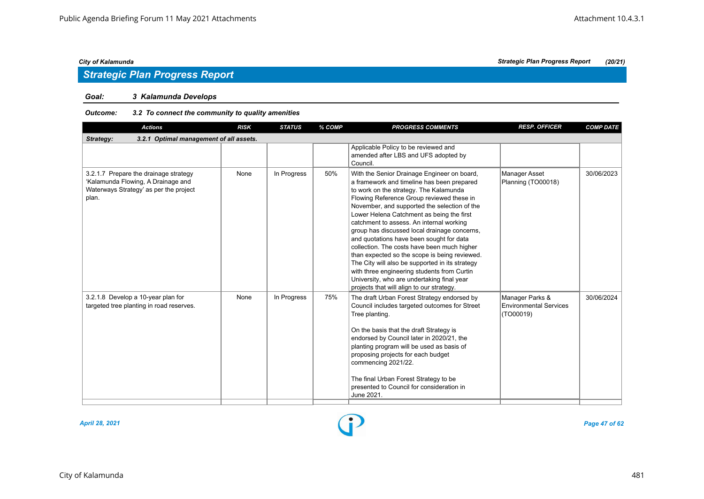# *Strategic Plan Progress Report*

### *Goal: 3 Kalamunda Develops*

#### *Outcome: 3.2 To connect the community to quality amenities*

| <b>Actions</b>                                                                                                                 | <b>RISK</b> | <b>STATUS</b> | % COMP | <b>PROGRESS COMMENTS</b>                                                                                                                                                                                                                                                                                                                                                                                                                                                                                                                                                                                                                                                                                           | <b>RESP. OFFICER</b>                                          | <b>COMP DATE</b> |  |  |  |  |
|--------------------------------------------------------------------------------------------------------------------------------|-------------|---------------|--------|--------------------------------------------------------------------------------------------------------------------------------------------------------------------------------------------------------------------------------------------------------------------------------------------------------------------------------------------------------------------------------------------------------------------------------------------------------------------------------------------------------------------------------------------------------------------------------------------------------------------------------------------------------------------------------------------------------------------|---------------------------------------------------------------|------------------|--|--|--|--|
| 3.2.1 Optimal management of all assets.<br>Strategy:                                                                           |             |               |        |                                                                                                                                                                                                                                                                                                                                                                                                                                                                                                                                                                                                                                                                                                                    |                                                               |                  |  |  |  |  |
|                                                                                                                                |             |               |        | Applicable Policy to be reviewed and<br>amended after LBS and UFS adopted by<br>Council.                                                                                                                                                                                                                                                                                                                                                                                                                                                                                                                                                                                                                           |                                                               |                  |  |  |  |  |
| 3.2.1.7 Prepare the drainage strategy<br>'Kalamunda Flowing, A Drainage and<br>Waterways Strategy' as per the project<br>plan. | None        | In Progress   | 50%    | With the Senior Drainage Engineer on board,<br>a framework and timeline has been prepared<br>to work on the strategy. The Kalamunda<br>Flowing Reference Group reviewed these in<br>November, and supported the selection of the<br>Lower Helena Catchment as being the first<br>catchment to assess. An internal working<br>group has discussed local drainage concerns,<br>and quotations have been sought for data<br>collection. The costs have been much higher<br>than expected so the scope is being reviewed.<br>The City will also be supported in its strategy<br>with three engineering students from Curtin<br>University, who are undertaking final year<br>projects that will align to our strategy. | <b>Manager Asset</b><br>Planning (TO00018)                    | 30/06/2023       |  |  |  |  |
| 3.2.1.8 Develop a 10-year plan for<br>targeted tree planting in road reserves.                                                 | None        | In Progress   | 75%    | The draft Urban Forest Strategy endorsed by<br>Council includes targeted outcomes for Street<br>Tree planting.<br>On the basis that the draft Strategy is<br>endorsed by Council later in 2020/21, the<br>planting program will be used as basis of<br>proposing projects for each budget<br>commencing 2021/22.<br>The final Urban Forest Strategy to be<br>presented to Council for consideration in<br>June 2021.                                                                                                                                                                                                                                                                                               | Manager Parks &<br><b>Environmental Services</b><br>(TO00019) | 30/06/2024       |  |  |  |  |



*April 28, 2021 Page 47 of 62*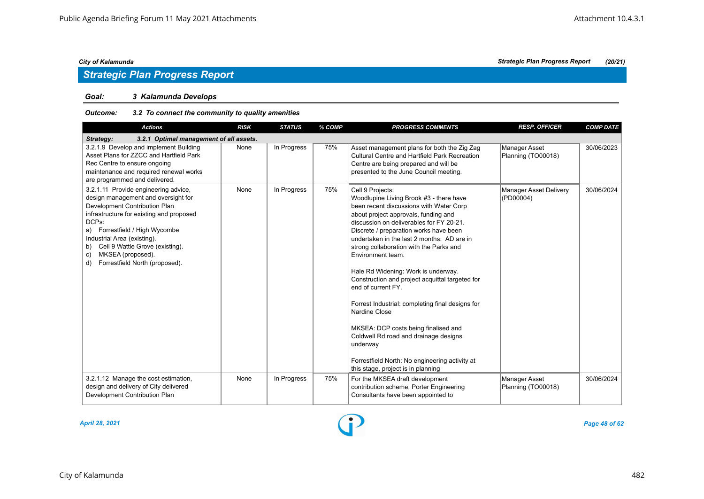# *Strategic Plan Progress Report*

### *Goal: 3 Kalamunda Develops*

#### *Outcome: 3.2 To connect the community to quality amenities*

| <b>Actions</b>                                                                                                                                                                                                                                                                                                                                 | <b>RISK</b> | <b>STATUS</b> | % COMP | <b>PROGRESS COMMENTS</b>                                                                                                                                                                                                                                                                                                                                                                                                                                                                                                                                                                                                                                                                                                     | <b>RESP. OFFICER</b>                       | <b>COMP DATE</b> |  |  |  |
|------------------------------------------------------------------------------------------------------------------------------------------------------------------------------------------------------------------------------------------------------------------------------------------------------------------------------------------------|-------------|---------------|--------|------------------------------------------------------------------------------------------------------------------------------------------------------------------------------------------------------------------------------------------------------------------------------------------------------------------------------------------------------------------------------------------------------------------------------------------------------------------------------------------------------------------------------------------------------------------------------------------------------------------------------------------------------------------------------------------------------------------------------|--------------------------------------------|------------------|--|--|--|
| 3.2.1 Optimal management of all assets.<br>Strategy:                                                                                                                                                                                                                                                                                           |             |               |        |                                                                                                                                                                                                                                                                                                                                                                                                                                                                                                                                                                                                                                                                                                                              |                                            |                  |  |  |  |
| 3.2.1.9 Develop and implement Building<br>Asset Plans for ZZCC and Hartfield Park<br>Rec Centre to ensure ongoing<br>maintenance and required renewal works<br>are programmed and delivered.                                                                                                                                                   | None        | In Progress   | 75%    | Asset management plans for both the Zig Zag<br><b>Cultural Centre and Hartfield Park Recreation</b><br>Centre are being prepared and will be<br>presented to the June Council meeting.                                                                                                                                                                                                                                                                                                                                                                                                                                                                                                                                       | Manager Asset<br>Planning (TO00018)        | 30/06/2023       |  |  |  |
| 3.2.1.11 Provide engineering advice,<br>design management and oversight for<br>Development Contribution Plan<br>infrastructure for existing and proposed<br>DCPs:<br>a) Forrestfield / High Wycombe<br>Industrial Area (existing).<br>Cell 9 Wattle Grove (existing).<br>b)<br>MKSEA (proposed).<br>c)<br>Forrestfield North (proposed).<br>d) | None        | In Progress   | 75%    | Cell 9 Projects:<br>Woodlupine Living Brook #3 - there have<br>been recent discussions with Water Corp<br>about project approvals, funding and<br>discussion on deliverables for FY 20-21.<br>Discrete / preparation works have been<br>undertaken in the last 2 months. AD are in<br>strong collaboration with the Parks and<br>Environment team.<br>Hale Rd Widening: Work is underway.<br>Construction and project acquittal targeted for<br>end of current FY.<br>Forrest Industrial: completing final designs for<br>Nardine Close<br>MKSEA: DCP costs being finalised and<br>Coldwell Rd road and drainage designs<br>underway<br>Forrestfield North: No engineering activity at<br>this stage, project is in planning | <b>Manager Asset Delivery</b><br>(PD00004) | 30/06/2024       |  |  |  |
| 3.2.1.12 Manage the cost estimation,<br>design and delivery of City delivered<br>Development Contribution Plan                                                                                                                                                                                                                                 | None        | In Progress   | 75%    | For the MKSEA draft development<br>contribution scheme, Porter Engineering<br>Consultants have been appointed to                                                                                                                                                                                                                                                                                                                                                                                                                                                                                                                                                                                                             | <b>Manager Asset</b><br>Planning (TO00018) | 30/06/2024       |  |  |  |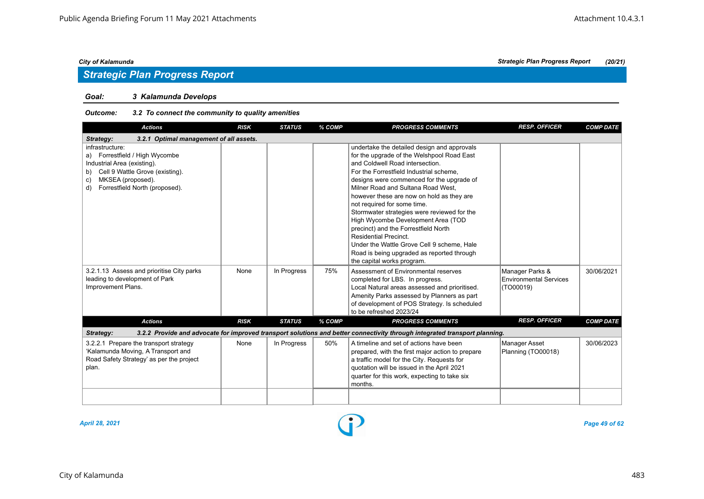### *Goal: 3 Kalamunda Develops*

### *Outcome: 3.2 To connect the community to quality amenities*

| <b>Actions</b>                                                                                                                                                                               | <b>RISK</b> | <b>STATUS</b> | % COMP | <b>PROGRESS COMMENTS</b>                                                                                                                                                                                                                                                                                                                                                                                                                                                                                                                                                                                                      | <b>RESP. OFFICER</b>                                          | <b>COMP DATE</b> |
|----------------------------------------------------------------------------------------------------------------------------------------------------------------------------------------------|-------------|---------------|--------|-------------------------------------------------------------------------------------------------------------------------------------------------------------------------------------------------------------------------------------------------------------------------------------------------------------------------------------------------------------------------------------------------------------------------------------------------------------------------------------------------------------------------------------------------------------------------------------------------------------------------------|---------------------------------------------------------------|------------------|
| 3.2.1 Optimal management of all assets.<br>Strategy:                                                                                                                                         |             |               |        |                                                                                                                                                                                                                                                                                                                                                                                                                                                                                                                                                                                                                               |                                                               |                  |
| infrastructure:<br>a) Forrestfield / High Wycombe<br>Industrial Area (existing).<br>Cell 9 Wattle Grove (existing).<br>b)<br>MKSEA (proposed).<br>c)<br>Forrestfield North (proposed).<br>d) |             |               |        | undertake the detailed design and approvals<br>for the upgrade of the Welshpool Road East<br>and Coldwell Road intersection.<br>For the Forrestfield Industrial scheme,<br>designs were commenced for the upgrade of<br>Milner Road and Sultana Road West.<br>however these are now on hold as they are<br>not required for some time.<br>Stormwater strategies were reviewed for the<br>High Wycombe Development Area (TOD<br>precinct) and the Forrestfield North<br><b>Residential Precinct.</b><br>Under the Wattle Grove Cell 9 scheme. Hale<br>Road is being upgraded as reported through<br>the capital works program. |                                                               |                  |
| 3.2.1.13 Assess and prioritise City parks<br>leading to development of Park<br>Improvement Plans.                                                                                            | None        | In Progress   | 75%    | Assessment of Environmental reserves<br>completed for LBS. In progress.<br>Local Natural areas assessed and prioritised.<br>Amenity Parks assessed by Planners as part<br>of development of POS Strategy. Is scheduled<br>to be refreshed 2023/24                                                                                                                                                                                                                                                                                                                                                                             | Manager Parks &<br><b>Environmental Services</b><br>(TO00019) | 30/06/2021       |
| <b>Actions</b>                                                                                                                                                                               | <b>RISK</b> | <b>STATUS</b> | % COMP | <b>PROGRESS COMMENTS</b>                                                                                                                                                                                                                                                                                                                                                                                                                                                                                                                                                                                                      | <b>RESP. OFFICER</b>                                          | <b>COMP DATE</b> |
| Strategy:                                                                                                                                                                                    |             |               |        | 3.2.2 Provide and advocate for improved transport solutions and better connectivity through integrated transport planning.                                                                                                                                                                                                                                                                                                                                                                                                                                                                                                    |                                                               |                  |
| 3.2.2.1 Prepare the transport strategy<br>'Kalamunda Moving, A Transport and<br>Road Safety Strategy' as per the project<br>plan.                                                            | None        | In Progress   | 50%    | A timeline and set of actions have been<br>prepared, with the first major action to prepare<br>a traffic model for the City. Requests for<br>quotation will be issued in the April 2021<br>quarter for this work, expecting to take six<br>months.                                                                                                                                                                                                                                                                                                                                                                            | <b>Manager Asset</b><br>Planning (TO00018)                    | 30/06/2023       |
|                                                                                                                                                                                              |             |               |        |                                                                                                                                                                                                                                                                                                                                                                                                                                                                                                                                                                                                                               |                                                               |                  |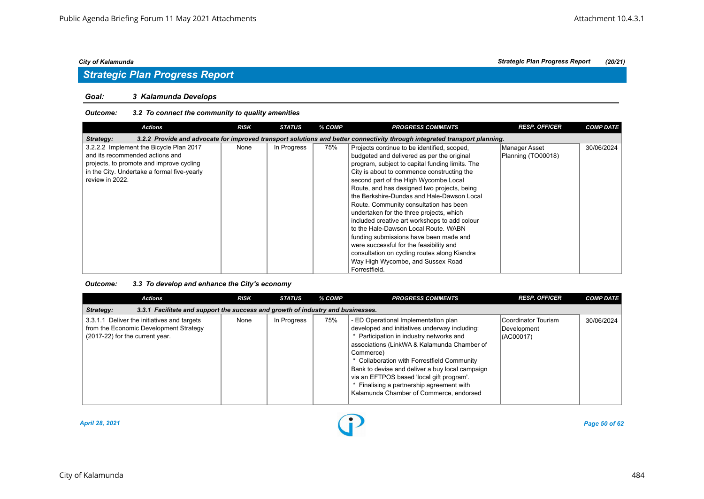#### *Goal: 3 Kalamunda Develops*

#### *Outcome: 3.2 To connect the community to quality amenities*

| <b>Actions</b>                                                                                                                                                                           | <b>RISK</b> | <b>STATUS</b> | % COMP | <b>PROGRESS COMMENTS</b>                                                                                                                                                                                                                                                                                                                                               | <b>RESP. OFFICER</b>                | <b>COMP DATE</b> |  |  |  |  |
|------------------------------------------------------------------------------------------------------------------------------------------------------------------------------------------|-------------|---------------|--------|------------------------------------------------------------------------------------------------------------------------------------------------------------------------------------------------------------------------------------------------------------------------------------------------------------------------------------------------------------------------|-------------------------------------|------------------|--|--|--|--|
| 3.2.2 Provide and advocate for improved transport solutions and better connectivity through integrated transport planning.<br>Strategy:                                                  |             |               |        |                                                                                                                                                                                                                                                                                                                                                                        |                                     |                  |  |  |  |  |
| 3.2.2.2 Implement the Bicycle Plan 2017<br>and its recommended actions and<br>projects, to promote and improve cycling<br>in the City. Undertake a formal five-yearly<br>review in 2022. | None        | In Progress   | 75%    | Projects continue to be identified, scoped,<br>budgeted and delivered as per the original<br>program, subject to capital funding limits. The<br>City is about to commence constructing the<br>second part of the High Wycombe Local<br>Route, and has designed two projects, being<br>the Berkshire-Dundas and Hale-Dawson Local                                       | Manager Asset<br>Planning (TO00018) | 30/06/2024       |  |  |  |  |
|                                                                                                                                                                                          |             |               |        | Route. Community consultation has been<br>undertaken for the three projects, which<br>included creative art workshops to add colour<br>to the Hale-Dawson Local Route, WABN<br>funding submissions have been made and<br>were successful for the feasibility and<br>consultation on cycling routes along Kiandra<br>Way High Wycombe, and Sussex Road<br>Forrestfield. |                                     |                  |  |  |  |  |

### *Outcome: 3.3 To develop and enhance the City's economy*

| Actions                                                                                                                  | <b>RISK</b> | <b>STATUS</b> | % COMP | <b>PROGRESS COMMENTS</b>                                                                                                                                                                                                                                                                                                                                                                                                           | <b>RESP. OFFICER</b>                            | <b>COMP DATE</b> |  |  |  |  |
|--------------------------------------------------------------------------------------------------------------------------|-------------|---------------|--------|------------------------------------------------------------------------------------------------------------------------------------------------------------------------------------------------------------------------------------------------------------------------------------------------------------------------------------------------------------------------------------------------------------------------------------|-------------------------------------------------|------------------|--|--|--|--|
| 3.3.1 Facilitate and support the success and growth of industry and businesses.<br>Strategy:                             |             |               |        |                                                                                                                                                                                                                                                                                                                                                                                                                                    |                                                 |                  |  |  |  |  |
| 3.3.1.1 Deliver the initiatives and targets<br>from the Economic Development Strategy<br>(2017-22) for the current year. | None        | In Progress   | 75%    | - ED Operational Implementation plan<br>developed and initiatives underway including:<br>* Participation in industry networks and<br>associations (LinkWA & Kalamunda Chamber of<br>Commerce)<br>* Collaboration with Forrestfield Community<br>Bank to devise and deliver a buy local campaign<br>via an EFTPOS based 'local gift program'.<br>Finalising a partnership agreement with<br>Kalamunda Chamber of Commerce, endorsed | Coordinator Tourism<br>Development<br>(AC00017) | 30/06/2024       |  |  |  |  |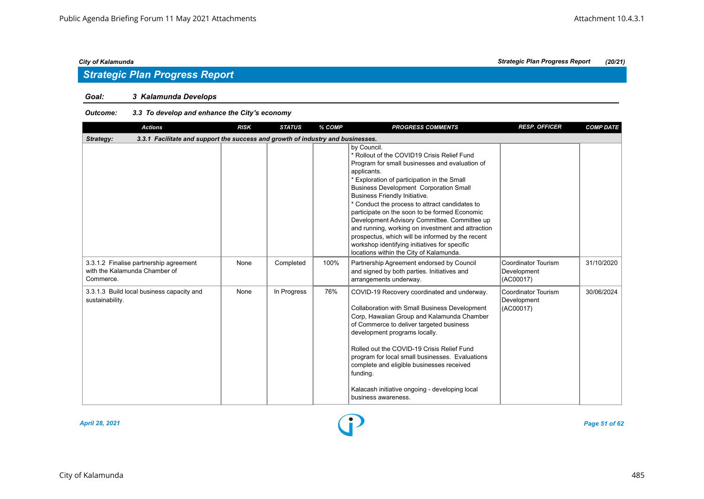# *Strategic Plan Progress Report*

### *Goal: 3 Kalamunda Develops*

### *Outcome: 3.3 To develop and enhance the City's economy*

| <b>Actions</b>                                                                               | <b>RISK</b> | <b>STATUS</b> | % COMP | <b>PROGRESS COMMENTS</b>                                                                                                                                                                                                                                                                                                                                                                                                                                                                                                                                                                                                    | <b>RESP. OFFICER</b>                                   | <b>COMP DATE</b> |  |  |  |  |
|----------------------------------------------------------------------------------------------|-------------|---------------|--------|-----------------------------------------------------------------------------------------------------------------------------------------------------------------------------------------------------------------------------------------------------------------------------------------------------------------------------------------------------------------------------------------------------------------------------------------------------------------------------------------------------------------------------------------------------------------------------------------------------------------------------|--------------------------------------------------------|------------------|--|--|--|--|
| 3.3.1 Facilitate and support the success and growth of industry and businesses.<br>Strategy: |             |               |        |                                                                                                                                                                                                                                                                                                                                                                                                                                                                                                                                                                                                                             |                                                        |                  |  |  |  |  |
|                                                                                              |             |               |        | by Council.<br>* Rollout of the COVID19 Crisis Relief Fund<br>Program for small businesses and evaluation of<br>applicants.<br>* Exploration of participation in the Small<br><b>Business Development Corporation Small</b><br><b>Business Friendly Initiative.</b><br>* Conduct the process to attract candidates to<br>participate on the soon to be formed Economic<br>Development Advisory Committee. Committee up<br>and running, working on investment and attraction<br>prospectus, which will be informed by the recent<br>workshop identifying initiatives for specific<br>locations within the City of Kalamunda. |                                                        |                  |  |  |  |  |
| 3.3.1.2 Finalise partnership agreement<br>with the Kalamunda Chamber of<br>Commerce.         | None        | Completed     | 100%   | Partnership Agreement endorsed by Council<br>and signed by both parties. Initiatives and<br>arrangements underway.                                                                                                                                                                                                                                                                                                                                                                                                                                                                                                          | Coordinator Tourism<br>Development<br>(AC00017)        | 31/10/2020       |  |  |  |  |
| 3.3.1.3 Build local business capacity and<br>sustainability.                                 | None        | In Progress   | 76%    | COVID-19 Recovery coordinated and underway.<br><b>Collaboration with Small Business Development</b><br>Corp, Hawaiian Group and Kalamunda Chamber<br>of Commerce to deliver targeted business<br>development programs locally.<br>Rolled out the COVID-19 Crisis Relief Fund<br>program for local small businesses. Evaluations<br>complete and eligible businesses received<br>funding.<br>Kalacash initiative ongoing - developing local<br>business awareness.                                                                                                                                                           | <b>Coordinator Tourism</b><br>Development<br>(AC00017) | 30/06/2024       |  |  |  |  |



*April 28, 2021 Page 51 of 62*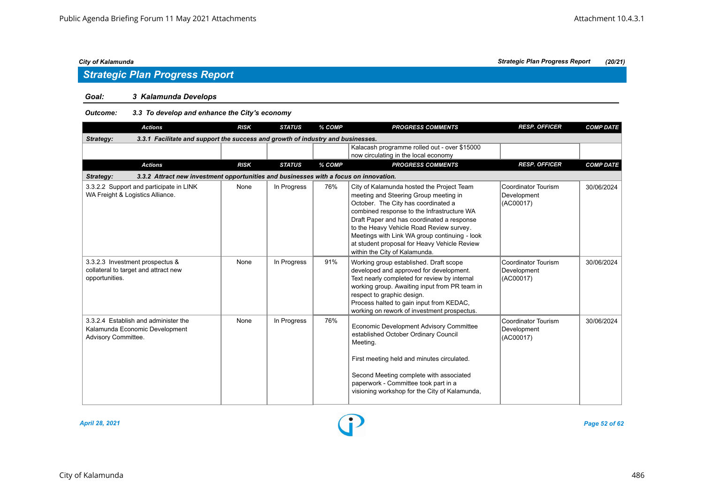### *Goal: 3 Kalamunda Develops*

*Outcome: 3.3 To develop and enhance the City's economy*

| <b>Actions</b>                                                                                     | <b>RISK</b> | <b>STATUS</b> | % COMP | <b>PROGRESS COMMENTS</b>                                                                                                                                                                                                                                                                                                                                                                            | <b>RESP. OFFICER</b>                            | <b>COMP DATE</b> |  |  |  |  |  |
|----------------------------------------------------------------------------------------------------|-------------|---------------|--------|-----------------------------------------------------------------------------------------------------------------------------------------------------------------------------------------------------------------------------------------------------------------------------------------------------------------------------------------------------------------------------------------------------|-------------------------------------------------|------------------|--|--|--|--|--|
| 3.3.1 Facilitate and support the success and growth of industry and businesses.<br>Strategy:       |             |               |        |                                                                                                                                                                                                                                                                                                                                                                                                     |                                                 |                  |  |  |  |  |  |
|                                                                                                    |             |               |        | Kalacash programme rolled out - over \$15000<br>now circulating in the local economy                                                                                                                                                                                                                                                                                                                |                                                 |                  |  |  |  |  |  |
| <b>Actions</b>                                                                                     | <b>RISK</b> | <b>STATUS</b> | % COMP | <b>PROGRESS COMMENTS</b>                                                                                                                                                                                                                                                                                                                                                                            | <b>RESP. OFFICER</b>                            | <b>COMP DATE</b> |  |  |  |  |  |
| 3.3.2 Attract new investment opportunities and businesses with a focus on innovation.<br>Strategy: |             |               |        |                                                                                                                                                                                                                                                                                                                                                                                                     |                                                 |                  |  |  |  |  |  |
| 3.3.2.2 Support and participate in LINK<br>WA Freight & Logistics Alliance.                        | None        | In Progress   | 76%    | City of Kalamunda hosted the Project Team<br>meeting and Steering Group meeting in<br>October. The City has coordinated a<br>combined response to the Infrastructure WA<br>Draft Paper and has coordinated a response<br>to the Heavy Vehicle Road Review survey.<br>Meetings with Link WA group continuing - look<br>at student proposal for Heavy Vehicle Review<br>within the City of Kalamunda. | Coordinator Tourism<br>Development<br>(AC00017) | 30/06/2024       |  |  |  |  |  |
| 3.3.2.3 Investment prospectus &<br>collateral to target and attract new<br>opportunities.          | None        | In Progress   | 91%    | Working group established. Draft scope<br>developed and approved for development.<br>Text nearly completed for review by internal<br>working group. Awaiting input from PR team in<br>respect to graphic design.<br>Process halted to gain input from KEDAC,<br>working on rework of investment prospectus.                                                                                         | Coordinator Tourism<br>Development<br>(AC00017) | 30/06/2024       |  |  |  |  |  |
| 3.3.2.4 Establish and administer the<br>Kalamunda Economic Development<br>Advisory Committee.      | None        | In Progress   | 76%    | <b>Economic Development Advisory Committee</b><br>established October Ordinary Council<br>Meeting.<br>First meeting held and minutes circulated.<br>Second Meeting complete with associated<br>paperwork - Committee took part in a<br>visioning workshop for the City of Kalamunda,                                                                                                                | Coordinator Tourism<br>Development<br>(AC00017) | 30/06/2024       |  |  |  |  |  |



*April 28, 2021 Page 52 of 62*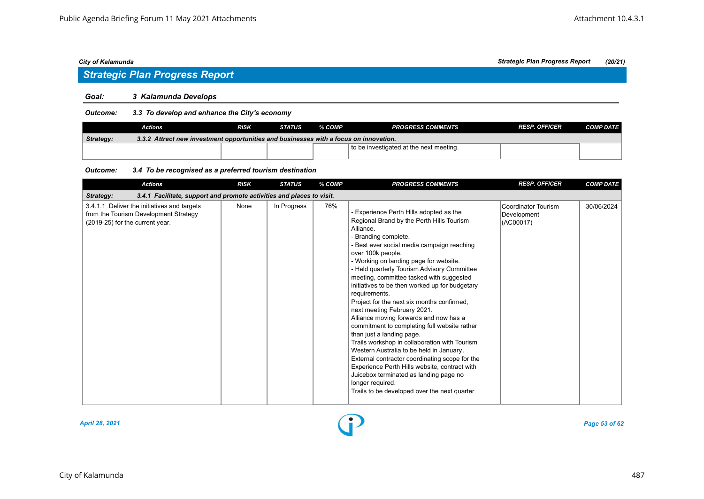# *Strategic Plan Progress Report*

#### *Goal: 3 Kalamunda Develops*

### *Outcome: 3.3 To develop and enhance the City's economy*

|                  | Actions                                                                               | <b>RISK</b> | <b>STATUS</b> | % COMP | <b>PROGRESS COMMENTS</b>                | <b>RESP. OFFICER</b> | <b>COMP DATE</b> |  |  |  |
|------------------|---------------------------------------------------------------------------------------|-------------|---------------|--------|-----------------------------------------|----------------------|------------------|--|--|--|
| <b>Strategy:</b> | 3.3.2 Attract new investment opportunities and businesses with a focus on innovation. |             |               |        |                                         |                      |                  |  |  |  |
|                  |                                                                                       |             |               |        | to be investigated at the next meeting. |                      |                  |  |  |  |

#### *Outcome: 3.4 To be recognised as a preferred tourism destination*

| <b>Actions</b>                                                                                                          | <b>RISK</b> | <b>STATUS</b> | % COMP | <b>PROGRESS COMMENTS</b>                                                                                                                                                                                                                                                                                                                                                                                                                                                                                                                                                                                                                                                                                                                                                                                                                                                                                               | <b>RESP. OFFICER</b>                            | <b>COMP DATE</b> |  |  |  |  |
|-------------------------------------------------------------------------------------------------------------------------|-------------|---------------|--------|------------------------------------------------------------------------------------------------------------------------------------------------------------------------------------------------------------------------------------------------------------------------------------------------------------------------------------------------------------------------------------------------------------------------------------------------------------------------------------------------------------------------------------------------------------------------------------------------------------------------------------------------------------------------------------------------------------------------------------------------------------------------------------------------------------------------------------------------------------------------------------------------------------------------|-------------------------------------------------|------------------|--|--|--|--|
| Strategy:<br>3.4.1 Facilitate, support and promote activities and places to visit.                                      |             |               |        |                                                                                                                                                                                                                                                                                                                                                                                                                                                                                                                                                                                                                                                                                                                                                                                                                                                                                                                        |                                                 |                  |  |  |  |  |
| 3.4.1.1 Deliver the initiatives and targets<br>from the Tourism Development Strategy<br>(2019-25) for the current year. | None        | In Progress   | 76%    | - Experience Perth Hills adopted as the<br>Regional Brand by the Perth Hills Tourism<br>Alliance.<br>- Branding complete.<br>- Best ever social media campaign reaching<br>over 100k people.<br>- Working on landing page for website.<br>- Held quarterly Tourism Advisory Committee<br>meeting, committee tasked with suggested<br>initiatives to be then worked up for budgetary<br>requirements.<br>Project for the next six months confirmed,<br>next meeting February 2021.<br>Alliance moving forwards and now has a<br>commitment to completing full website rather<br>than just a landing page.<br>Trails workshop in collaboration with Tourism<br>Western Australia to be held in January.<br>External contractor coordinating scope for the<br>Experience Perth Hills website, contract with<br>Juicebox terminated as landing page no<br>longer required.<br>Trails to be developed over the next quarter | Coordinator Tourism<br>Development<br>(AC00017) | 30/06/2024       |  |  |  |  |



*April 28, 2021 Page 53 of 62*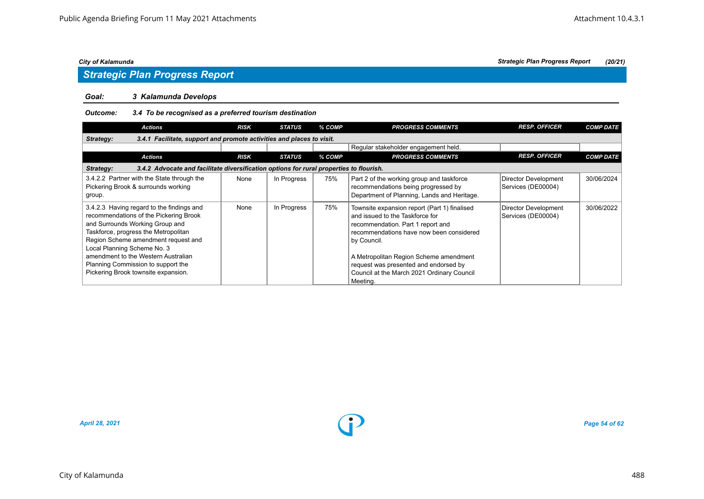# *Strategic Plan Progress Report*

### *Goal: 3 Kalamunda Develops*

### *Outcome: 3.4 To be recognised as a preferred tourism destination*

| <b>Actions</b>                                                                                                                                                                                                                                                                                                                                           |                                                                                         | <b>RISK</b> | <b>STATUS</b> | % COMP | <b>PROGRESS COMMENTS</b>                                                                                                                                                                                                                                                                                                     | <b>RESP. OFFICER</b>                       | <b>COMP DATE</b> |  |
|----------------------------------------------------------------------------------------------------------------------------------------------------------------------------------------------------------------------------------------------------------------------------------------------------------------------------------------------------------|-----------------------------------------------------------------------------------------|-------------|---------------|--------|------------------------------------------------------------------------------------------------------------------------------------------------------------------------------------------------------------------------------------------------------------------------------------------------------------------------------|--------------------------------------------|------------------|--|
| 3.4.1 Facilitate, support and promote activities and places to visit.<br>Strategy:                                                                                                                                                                                                                                                                       |                                                                                         |             |               |        |                                                                                                                                                                                                                                                                                                                              |                                            |                  |  |
|                                                                                                                                                                                                                                                                                                                                                          |                                                                                         |             |               |        | Regular stakeholder engagement held.                                                                                                                                                                                                                                                                                         |                                            |                  |  |
| <b>Actions</b>                                                                                                                                                                                                                                                                                                                                           |                                                                                         | <b>RISK</b> | <b>STATUS</b> | % COMP | <b>PROGRESS COMMENTS</b>                                                                                                                                                                                                                                                                                                     | <b>RESP. OFFICER</b>                       | <b>COMP DATE</b> |  |
| Strategy:                                                                                                                                                                                                                                                                                                                                                | 3.4.2 Advocate and facilitate diversification options for rural properties to flourish. |             |               |        |                                                                                                                                                                                                                                                                                                                              |                                            |                  |  |
| 3.4.2.2 Partner with the State through the<br>Pickering Brook & surrounds working<br>group.                                                                                                                                                                                                                                                              |                                                                                         | None        | In Progress   | 75%    | Part 2 of the working group and taskforce<br>recommendations being progressed by<br>Department of Planning, Lands and Heritage.                                                                                                                                                                                              | Director Development<br>Services (DE00004) | 30/06/2024       |  |
| 3.4.2.3 Having regard to the findings and<br>recommendations of the Pickering Brook<br>and Surrounds Working Group and<br>Taskforce, progress the Metropolitan<br>Region Scheme amendment request and<br>Local Planning Scheme No. 3<br>amendment to the Western Australian<br>Planning Commission to support the<br>Pickering Brook townsite expansion. |                                                                                         | None        | In Progress   | 75%    | Townsite expansion report (Part 1) finalised<br>and issued to the Taskforce for<br>recommendation. Part 1 report and<br>recommendations have now been considered<br>by Council.<br>A Metropolitan Region Scheme amendment<br>request was presented and endorsed by<br>Council at the March 2021 Ordinary Council<br>Meeting. | Director Development<br>Services (DE00004) | 30/06/2022       |  |



*April 28, 2021 Page 54 of 62*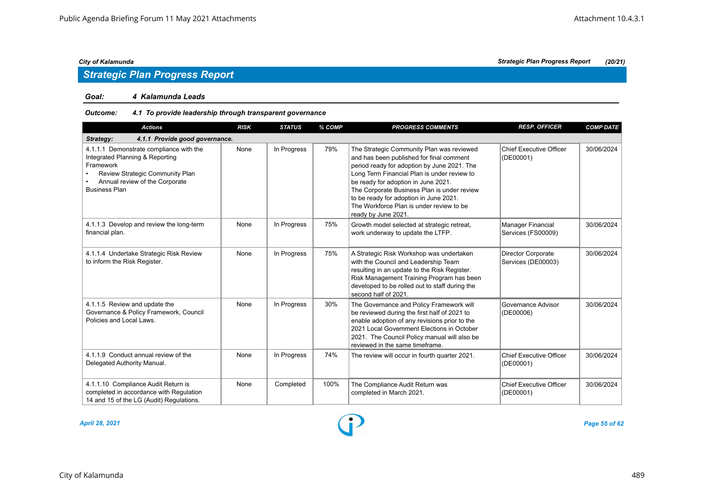#### *Goal: 4 Kalamunda Leads*

### *Outcome: 4.1 To provide leadership through transparent governance*

| <b>Actions</b>                                                                                                                                                                       | <b>RISK</b> | <b>STATUS</b> | % COMP | <b>PROGRESS COMMENTS</b>                                                                                                                                                                                                                                                                                                                                                               | <b>RESP. OFFICER</b>                            | <b>COMP DATE</b> |
|--------------------------------------------------------------------------------------------------------------------------------------------------------------------------------------|-------------|---------------|--------|----------------------------------------------------------------------------------------------------------------------------------------------------------------------------------------------------------------------------------------------------------------------------------------------------------------------------------------------------------------------------------------|-------------------------------------------------|------------------|
| 4.1.1 Provide good governance.<br>Strategy:                                                                                                                                          |             |               |        |                                                                                                                                                                                                                                                                                                                                                                                        |                                                 |                  |
| 4.1.1.1 Demonstrate compliance with the<br>Integrated Planning & Reporting<br>Framework<br>Review Strategic Community Plan<br>Annual review of the Corporate<br><b>Business Plan</b> | None        | In Progress   | 79%    | The Strategic Community Plan was reviewed<br>and has been published for final comment<br>period ready for adoption by June 2021. The<br>Long Term Financial Plan is under review to<br>be ready for adoption in June 2021.<br>The Corporate Business Plan is under review<br>to be ready for adoption in June 2021.<br>The Workforce Plan is under review to be<br>ready by June 2021. | <b>Chief Executive Officer</b><br>(DE00001)     | 30/06/2024       |
| 4.1.1.3 Develop and review the long-term<br>financial plan.                                                                                                                          | None        | In Progress   | 75%    | Growth model selected at strategic retreat,<br>work underway to update the LTFP.                                                                                                                                                                                                                                                                                                       | Manager Financial<br>Services (FS00009)         | 30/06/2024       |
| 4.1.1.4 Undertake Strategic Risk Review<br>to inform the Risk Register.                                                                                                              | None        | In Progress   | 75%    | A Strategic Risk Workshop was undertaken<br>with the Council and Leadership Team<br>resulting in an update to the Risk Register.<br>Risk Management Training Program has been<br>developed to be rolled out to staff during the<br>second half of 2021.                                                                                                                                | <b>Director Corporate</b><br>Services (DE00003) | 30/06/2024       |
| 4.1.1.5 Review and update the<br>Governance & Policy Framework, Council<br>Policies and Local Laws.                                                                                  | None        | In Progress   | 30%    | The Governance and Policy Framework will<br>be reviewed during the first half of 2021 to<br>enable adoption of any revisions prior to the<br>2021 Local Government Elections in October<br>2021. The Council Policy manual will also be<br>reviewed in the same timeframe.                                                                                                             | Governance Advisor<br>(DE00006)                 | 30/06/2024       |
| 4.1.1.9 Conduct annual review of the<br>Delegated Authority Manual.                                                                                                                  | None        | In Progress   | 74%    | The review will occur in fourth quarter 2021.                                                                                                                                                                                                                                                                                                                                          | <b>Chief Executive Officer</b><br>(DE00001)     | 30/06/2024       |
| 4.1.1.10 Compliance Audit Return is<br>completed in accordance with Regulation<br>14 and 15 of the LG (Audit) Regulations.                                                           | None        | Completed     | 100%   | The Compliance Audit Return was<br>completed in March 2021.                                                                                                                                                                                                                                                                                                                            | <b>Chief Executive Officer</b><br>(DE00001)     | 30/06/2024       |

*April 28, 2021 Page 55 of 62*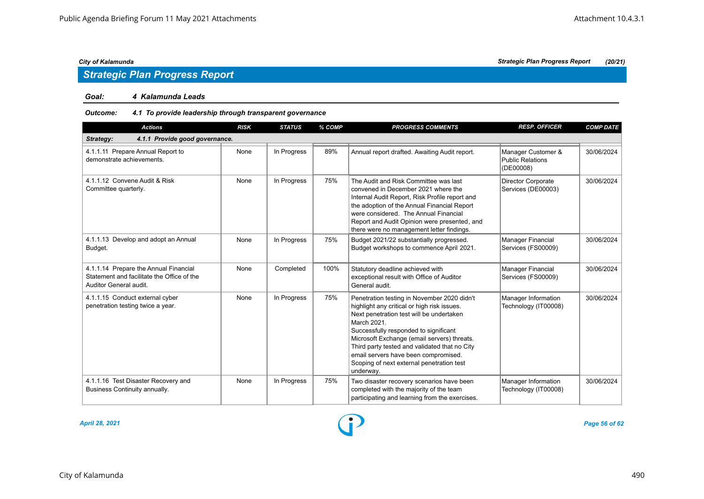# *Strategic Plan Progress Report*

#### *Goal: 4 Kalamunda Leads*

### *Outcome: 4.1 To provide leadership through transparent governance*

| <b>Actions</b>                                                                                                | <b>RISK</b> | <b>STATUS</b> | % COMP | <b>PROGRESS COMMENTS</b>                                                                                                                                                                                                                                                                                                                                                                         | <b>RESP. OFFICER</b>                                       | <b>COMP DATE</b> |
|---------------------------------------------------------------------------------------------------------------|-------------|---------------|--------|--------------------------------------------------------------------------------------------------------------------------------------------------------------------------------------------------------------------------------------------------------------------------------------------------------------------------------------------------------------------------------------------------|------------------------------------------------------------|------------------|
| 4.1.1 Provide good governance.<br>Strategy:                                                                   |             |               |        |                                                                                                                                                                                                                                                                                                                                                                                                  |                                                            |                  |
| 4.1.1.11 Prepare Annual Report to<br>demonstrate achievements.                                                | None        | In Progress   | 89%    | Annual report drafted. Awaiting Audit report.                                                                                                                                                                                                                                                                                                                                                    | Manager Customer &<br><b>Public Relations</b><br>(DE00008) | 30/06/2024       |
| 4.1.1.12 Convene Audit & Risk<br>Committee quarterly.                                                         | None        | In Progress   | 75%    | The Audit and Risk Committee was last<br>convened in December 2021 where the<br>Internal Audit Report, Risk Profile report and<br>the adoption of the Annual Financial Report<br>were considered. The Annual Financial<br>Report and Audit Opinion were presented, and<br>there were no management letter findings.                                                                              | Director Corporate<br>Services (DE00003)                   | 30/06/2024       |
| 4.1.1.13 Develop and adopt an Annual<br>Budget.                                                               | None        | In Progress   | 75%    | Budget 2021/22 substantially progressed.<br>Budget workshops to commence April 2021.                                                                                                                                                                                                                                                                                                             | <b>Manager Financial</b><br>Services (FS00009)             | 30/06/2024       |
| 4.1.1.14 Prepare the Annual Financial<br>Statement and facilitate the Office of the<br>Auditor General audit. | None        | Completed     | 100%   | Statutory deadline achieved with<br>exceptional result with Office of Auditor<br>General audit.                                                                                                                                                                                                                                                                                                  | <b>Manager Financial</b><br>Services (FS00009)             | 30/06/2024       |
| 4.1.1.15 Conduct external cyber<br>penetration testing twice a year.                                          | None        | In Progress   | 75%    | Penetration testing in November 2020 didn't<br>highlight any critical or high risk issues.<br>Next penetration test will be undertaken<br>March 2021.<br>Successfully responded to significant<br>Microsoft Exchange (email servers) threats.<br>Third party tested and validated that no City<br>email servers have been compromised.<br>Scoping of next external penetration test<br>underway. | Manager Information<br>Technology (IT00008)                | 30/06/2024       |
| 4.1.1.16 Test Disaster Recovery and<br>Business Continuity annually.                                          | None        | In Progress   | 75%    | Two disaster recovery scenarios have been<br>completed with the majority of the team<br>participating and learning from the exercises.                                                                                                                                                                                                                                                           | Manager Information<br>Technology (IT00008)                | 30/06/2024       |

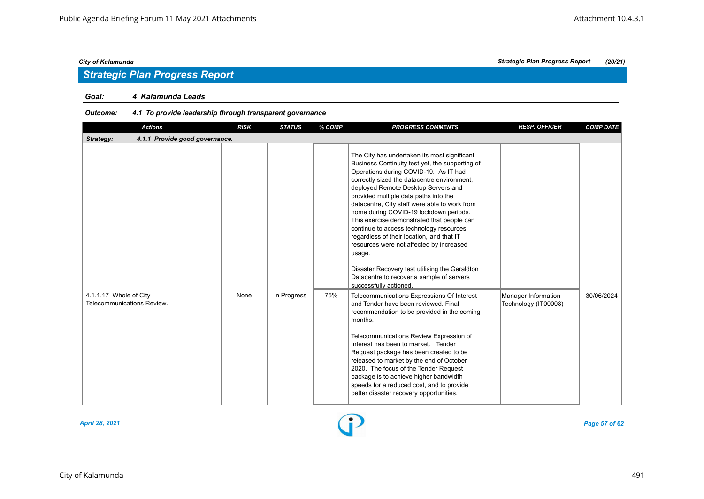### *Goal: 4 Kalamunda Leads*

### *Outcome: 4.1 To provide leadership through transparent governance*

| <b>Actions</b>                                       | <b>RISK</b> | <b>STATUS</b> | % COMP | <b>PROGRESS COMMENTS</b>                                                                                                                                                                                                                                                                                                                                                                                                                                                                                                                                                                                                                                                                | <b>RESP. OFFICER</b>                        | <b>COMP DATE</b> |
|------------------------------------------------------|-------------|---------------|--------|-----------------------------------------------------------------------------------------------------------------------------------------------------------------------------------------------------------------------------------------------------------------------------------------------------------------------------------------------------------------------------------------------------------------------------------------------------------------------------------------------------------------------------------------------------------------------------------------------------------------------------------------------------------------------------------------|---------------------------------------------|------------------|
| 4.1.1 Provide good governance.<br>Strategy:          |             |               |        |                                                                                                                                                                                                                                                                                                                                                                                                                                                                                                                                                                                                                                                                                         |                                             |                  |
|                                                      |             |               |        | The City has undertaken its most significant<br>Business Continuity test yet, the supporting of<br>Operations during COVID-19. As IT had<br>correctly sized the datacentre environment,<br>deployed Remote Desktop Servers and<br>provided multiple data paths into the<br>datacentre, City staff were able to work from<br>home during COVID-19 lockdown periods.<br>This exercise demonstrated that people can<br>continue to access technology resources<br>regardless of their location, and that IT<br>resources were not affected by increased<br>usage.<br>Disaster Recovery test utilising the Geraldton<br>Datacentre to recover a sample of servers<br>successfully actioned. |                                             |                  |
| 4.1.1.17 Whole of City<br>Telecommunications Review. | None        | In Progress   | 75%    | Telecommunications Expressions Of Interest<br>and Tender have been reviewed. Final<br>recommendation to be provided in the coming<br>months.<br>Telecommunications Review Expression of<br>Interest has been to market. Tender<br>Request package has been created to be<br>released to market by the end of October<br>2020. The focus of the Tender Request<br>package is to achieve higher bandwidth<br>speeds for a reduced cost, and to provide<br>better disaster recovery opportunities.                                                                                                                                                                                         | Manager Information<br>Technology (IT00008) | 30/06/2024       |



*April 28, 2021 Page 57 of 62*

*City of Kalamunda Strategic Plan Progress Report (20/21)*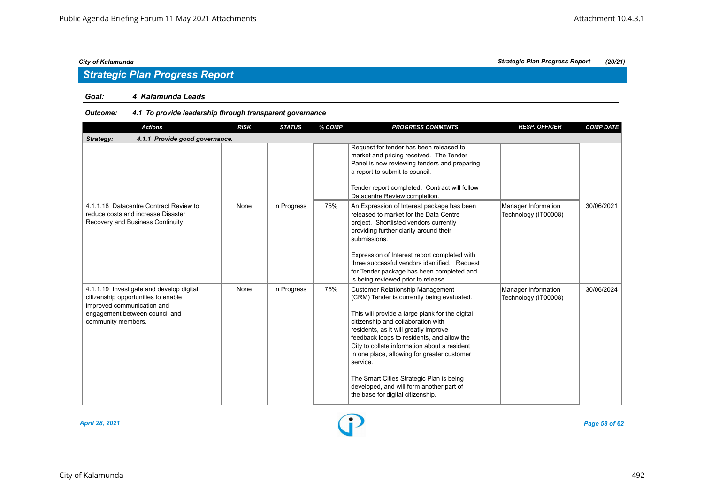# *Strategic Plan Progress Report*

### *Goal: 4 Kalamunda Leads*

### *Outcome: 4.1 To provide leadership through transparent governance*

| <b>Actions</b>                                                                                                                                                        | <b>RISK</b> | <b>STATUS</b> | % COMP | <b>PROGRESS COMMENTS</b>                                                                                                                                                                                                                                                                                                                                                                                                                                                                                      | <b>RESP. OFFICER</b>                        | <b>COMP DATE</b> |
|-----------------------------------------------------------------------------------------------------------------------------------------------------------------------|-------------|---------------|--------|---------------------------------------------------------------------------------------------------------------------------------------------------------------------------------------------------------------------------------------------------------------------------------------------------------------------------------------------------------------------------------------------------------------------------------------------------------------------------------------------------------------|---------------------------------------------|------------------|
| 4.1.1 Provide good governance.<br>Strategy:                                                                                                                           |             |               |        |                                                                                                                                                                                                                                                                                                                                                                                                                                                                                                               |                                             |                  |
|                                                                                                                                                                       |             |               |        | Request for tender has been released to<br>market and pricing received. The Tender<br>Panel is now reviewing tenders and preparing<br>a report to submit to council.<br>Tender report completed. Contract will follow<br>Datacentre Review completion.                                                                                                                                                                                                                                                        |                                             |                  |
| 4.1.1.18 Datacentre Contract Review to<br>reduce costs and increase Disaster<br>Recovery and Business Continuity.                                                     | None        | In Progress   | 75%    | An Expression of Interest package has been<br>released to market for the Data Centre<br>project. Shortlisted vendors currently<br>providing further clarity around their<br>submissions.<br>Expression of Interest report completed with<br>three successful vendors identified. Request<br>for Tender package has been completed and<br>is being reviewed prior to release.                                                                                                                                  | Manager Information<br>Technology (IT00008) | 30/06/2021       |
| 4.1.1.19 Investigate and develop digital<br>citizenship opportunities to enable<br>improved communication and<br>engagement between council and<br>community members. | None        | In Progress   | 75%    | <b>Customer Relationship Management</b><br>(CRM) Tender is currently being evaluated.<br>This will provide a large plank for the digital<br>citizenship and collaboration with<br>residents, as it will greatly improve<br>feedback loops to residents, and allow the<br>City to collate information about a resident<br>in one place, allowing for greater customer<br>service.<br>The Smart Cities Strategic Plan is being<br>developed, and will form another part of<br>the base for digital citizenship. | Manager Information<br>Technology (IT00008) | 30/06/2024       |



*April 28, 2021 Page 58 of 62*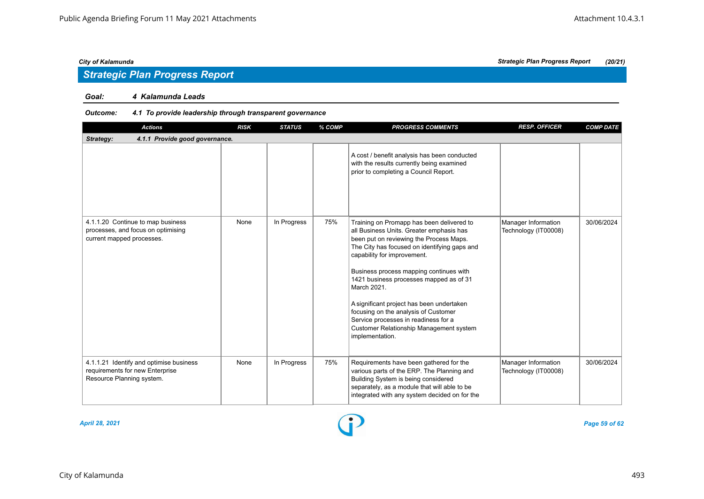# *Strategic Plan Progress Report*

#### *Goal: 4 Kalamunda Leads*

### *Outcome: 4.1 To provide leadership through transparent governance*

| <b>Actions</b>                                                                                          | <b>RISK</b> | <b>STATUS</b> | % COMP | <b>PROGRESS COMMENTS</b>                                                                                                                                                                                                                                                                                                                                                                                                                                                                                               | <b>RESP. OFFICER</b>                        | <b>COMP DATE</b> |
|---------------------------------------------------------------------------------------------------------|-------------|---------------|--------|------------------------------------------------------------------------------------------------------------------------------------------------------------------------------------------------------------------------------------------------------------------------------------------------------------------------------------------------------------------------------------------------------------------------------------------------------------------------------------------------------------------------|---------------------------------------------|------------------|
| 4.1.1 Provide good governance.<br>Strategy:                                                             |             |               |        |                                                                                                                                                                                                                                                                                                                                                                                                                                                                                                                        |                                             |                  |
|                                                                                                         |             |               |        | A cost / benefit analysis has been conducted<br>with the results currently being examined<br>prior to completing a Council Report.                                                                                                                                                                                                                                                                                                                                                                                     |                                             |                  |
| 4.1.1.20 Continue to map business<br>processes, and focus on optimising<br>current mapped processes.    | None        | In Progress   | 75%    | Training on Promapp has been delivered to<br>all Business Units. Greater emphasis has<br>been put on reviewing the Process Maps.<br>The City has focused on identifying gaps and<br>capability for improvement.<br>Business process mapping continues with<br>1421 business processes mapped as of 31<br>March 2021.<br>A significant project has been undertaken<br>focusing on the analysis of Customer<br>Service processes in readiness for a<br><b>Customer Relationship Management system</b><br>implementation. | Manager Information<br>Technology (IT00008) | 30/06/2024       |
| 4.1.1.21 Identify and optimise business<br>requirements for new Enterprise<br>Resource Planning system. | None        | In Progress   | 75%    | Requirements have been gathered for the<br>various parts of the ERP. The Planning and<br>Building System is being considered<br>separately, as a module that will able to be<br>integrated with any system decided on for the                                                                                                                                                                                                                                                                                          | Manager Information<br>Technology (IT00008) | 30/06/2024       |



*April 28, 2021 Page 59 of 62*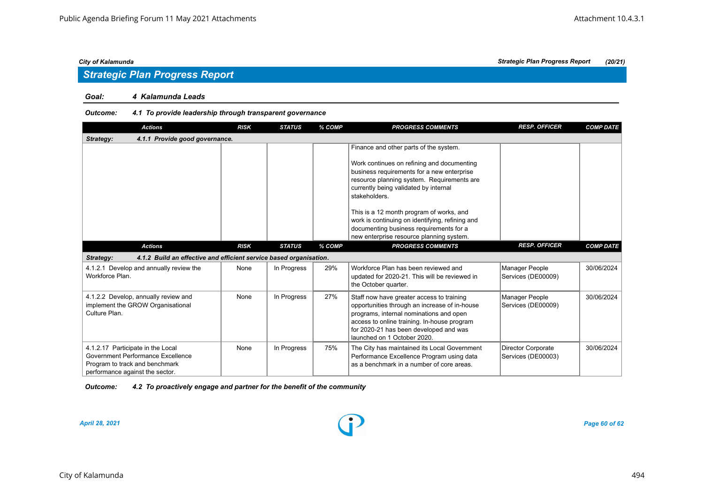# *Strategic Plan Progress Report*

#### *Goal: 4 Kalamunda Leads*

#### *Outcome: 4.1 To provide leadership through transparent governance*

| <b>Actions</b>                                                                                                                              | <b>RISK</b> | <b>STATUS</b> | % COMP | <b>PROGRESS COMMENTS</b>                                                                                                                                                                                                                                      | <b>RESP. OFFICER</b>                     | <b>COMP DATE</b> |
|---------------------------------------------------------------------------------------------------------------------------------------------|-------------|---------------|--------|---------------------------------------------------------------------------------------------------------------------------------------------------------------------------------------------------------------------------------------------------------------|------------------------------------------|------------------|
| 4.1.1 Provide good governance.<br>Strategy:                                                                                                 |             |               |        |                                                                                                                                                                                                                                                               |                                          |                  |
|                                                                                                                                             |             |               |        | Finance and other parts of the system.<br>Work continues on refining and documenting<br>business requirements for a new enterprise<br>resource planning system. Requirements are                                                                              |                                          |                  |
|                                                                                                                                             |             |               |        | currently being validated by internal<br>stakeholders.                                                                                                                                                                                                        |                                          |                  |
|                                                                                                                                             |             |               |        | This is a 12 month program of works, and<br>work is continuing on identifying, refining and<br>documenting business requirements for a<br>new enterprise resource planning system.                                                                            |                                          |                  |
| <b>Actions</b>                                                                                                                              | <b>RISK</b> | <b>STATUS</b> | % COMP | <b>PROGRESS COMMENTS</b>                                                                                                                                                                                                                                      | <b>RESP. OFFICER</b>                     | <b>COMP DATE</b> |
| 4.1.2 Build an effective and efficient service based organisation.<br>Strategy:                                                             |             |               |        |                                                                                                                                                                                                                                                               |                                          |                  |
| 4.1.2.1 Develop and annually review the<br>Workforce Plan.                                                                                  | None        | In Progress   | 29%    | Workforce Plan has been reviewed and<br>updated for 2020-21. This will be reviewed in<br>the October quarter.                                                                                                                                                 | Manager People<br>Services (DE00009)     | 30/06/2024       |
| 4.1.2.2 Develop, annually review and<br>implement the GROW Organisational<br>Culture Plan.                                                  | None        | In Progress   | 27%    | Staff now have greater access to training<br>opportunities through an increase of in-house<br>programs, internal nominations and open<br>access to online training. In-house program<br>for 2020-21 has been developed and was<br>launched on 1 October 2020. | Manager People<br>Services (DE00009)     | 30/06/2024       |
| 4.1.2.17 Participate in the Local<br>Government Performance Excellence<br>Program to track and benchmark<br>performance against the sector. | None        | In Progress   | 75%    | The City has maintained its Local Government<br>Performance Excellence Program using data<br>as a benchmark in a number of core areas.                                                                                                                        | Director Corporate<br>Services (DE00003) | 30/06/2024       |

#### *Outcome: 4.2 To proactively engage and partner for the benefit of the community*

*April 28, 2021 Page 60 of 62*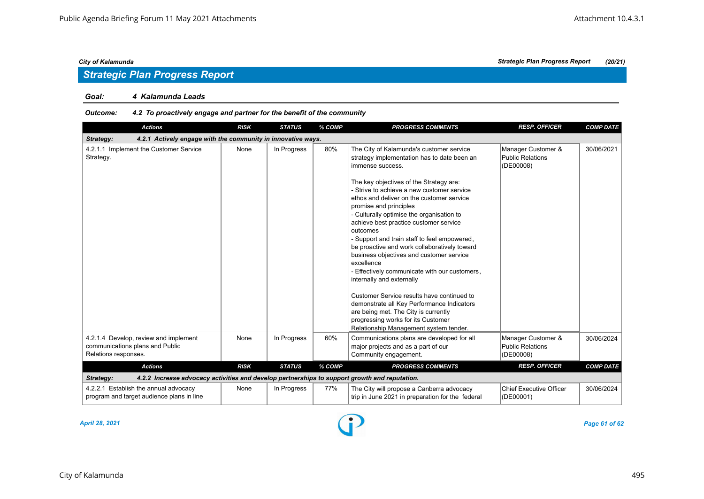#### *Goal: 4 Kalamunda Leads*

### *Outcome: 4.2 To proactively engage and partner for the benefit of the community*

| <b>Actions</b>                                                                                             | <b>RISK</b> | <b>STATUS</b> | % COMP | <b>PROGRESS COMMENTS</b>                                                                                                                                                                                                                                                                                                                                                                                                                                                                                                                                                                                                                                                                                                                                                                                                                   | <b>RESP. OFFICER</b>                                       | <b>COMP DATE</b> |
|------------------------------------------------------------------------------------------------------------|-------------|---------------|--------|--------------------------------------------------------------------------------------------------------------------------------------------------------------------------------------------------------------------------------------------------------------------------------------------------------------------------------------------------------------------------------------------------------------------------------------------------------------------------------------------------------------------------------------------------------------------------------------------------------------------------------------------------------------------------------------------------------------------------------------------------------------------------------------------------------------------------------------------|------------------------------------------------------------|------------------|
| 4.2.1 Actively engage with the community in innovative ways.<br>Strategy:                                  |             |               |        |                                                                                                                                                                                                                                                                                                                                                                                                                                                                                                                                                                                                                                                                                                                                                                                                                                            |                                                            |                  |
| 4.2.1.1 Implement the Customer Service<br>Strategy.                                                        | None        | In Progress   | 80%    | The City of Kalamunda's customer service<br>strategy implementation has to date been an<br>immense success.<br>The key objectives of the Strategy are:<br>- Strive to achieve a new customer service<br>ethos and deliver on the customer service<br>promise and principles<br>- Culturally optimise the organisation to<br>achieve best practice customer service<br>outcomes<br>- Support and train staff to feel empowered,<br>be proactive and work collaboratively toward<br>business objectives and customer service<br>excellence<br>- Effectively communicate with our customers,<br>internally and externally<br>Customer Service results have continued to<br>demonstrate all Key Performance Indicators<br>are being met. The City is currently<br>progressing works for its Customer<br>Relationship Management system tender. | Manager Customer &<br><b>Public Relations</b><br>(DE00008) | 30/06/2021       |
| 4.2.1.4 Develop, review and implement<br>communications plans and Public<br>Relations responses.           | None        | In Progress   | 60%    | Communications plans are developed for all<br>major projects and as a part of our<br>Community engagement.                                                                                                                                                                                                                                                                                                                                                                                                                                                                                                                                                                                                                                                                                                                                 | Manager Customer &<br><b>Public Relations</b><br>(DE00008) | 30/06/2024       |
| <b>Actions</b>                                                                                             | <b>RISK</b> | <b>STATUS</b> | % COMP | <b>PROGRESS COMMENTS</b>                                                                                                                                                                                                                                                                                                                                                                                                                                                                                                                                                                                                                                                                                                                                                                                                                   | <b>RESP. OFFICER</b>                                       | <b>COMP DATE</b> |
| 4.2.2 Increase advocacy activities and develop partnerships to support growth and reputation.<br>Strategy: |             |               |        |                                                                                                                                                                                                                                                                                                                                                                                                                                                                                                                                                                                                                                                                                                                                                                                                                                            |                                                            |                  |
| 4.2.2.1 Establish the annual advocacy<br>program and target audience plans in line                         | None        | In Progress   | 77%    | The City will propose a Canberra advocacy<br>trip in June 2021 in preparation for the federal                                                                                                                                                                                                                                                                                                                                                                                                                                                                                                                                                                                                                                                                                                                                              | <b>Chief Executive Officer</b><br>(DE00001)                | 30/06/2024       |